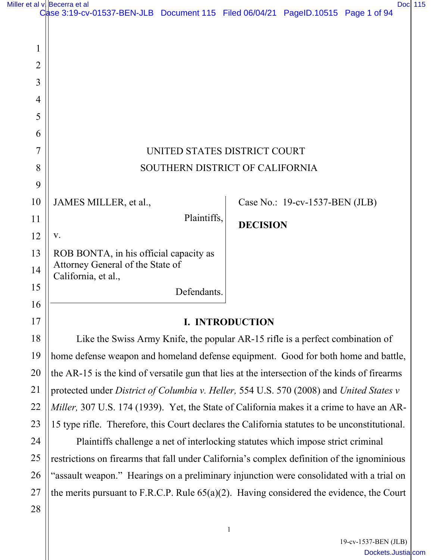|                                                                                                     | Case 3:19-cv-01537-BEN-JLB Document 115 Filed 06/04/21 PageID.10515 Page 1 of 94      |
|-----------------------------------------------------------------------------------------------------|---------------------------------------------------------------------------------------|
|                                                                                                     |                                                                                       |
|                                                                                                     |                                                                                       |
|                                                                                                     |                                                                                       |
|                                                                                                     |                                                                                       |
|                                                                                                     |                                                                                       |
|                                                                                                     |                                                                                       |
|                                                                                                     |                                                                                       |
|                                                                                                     |                                                                                       |
|                                                                                                     | UNITED STATES DISTRICT COURT                                                          |
| 8<br>SOUTHERN DISTRICT OF CALIFORNIA                                                                |                                                                                       |
|                                                                                                     |                                                                                       |
| JAMES MILLER, et al.,                                                                               | Case No.: 19-cv-1537-BEN (JLB)                                                        |
|                                                                                                     | <b>DECISION</b>                                                                       |
| V.                                                                                                  |                                                                                       |
| ROB BONTA, in his official capacity as                                                              |                                                                                       |
|                                                                                                     |                                                                                       |
|                                                                                                     |                                                                                       |
|                                                                                                     |                                                                                       |
|                                                                                                     | <b>I. INTRODUCTION</b>                                                                |
| 18<br>Like the Swiss Army Knife, the popular AR-15 rifle is a perfect combination of                |                                                                                       |
| 19<br>home defense weapon and homeland defense equipment. Good for both home and battle,            |                                                                                       |
| 20<br>the AR-15 is the kind of versatile gun that lies at the intersection of the kinds of firearms |                                                                                       |
| 21<br>protected under District of Columbia v. Heller, 554 U.S. 570 (2008) and United States v       |                                                                                       |
|                                                                                                     | Plaintiffs,<br>Attorney General of the State of<br>California, et al.,<br>Defendants. |

*Miller,* 307 U.S. 174 (1939). Yet, the State of California makes it a crime to have an AR-15 type rifle. Therefore, this Court declares the California statutes to be unconstitutional.

22

23

24

25

26

27

28

 Plaintiffs challenge a net of interlocking statutes which impose strict criminal restrictions on firearms that fall under California's complex definition of the ignominious "assault weapon." Hearings on a preliminary injunction were consolidated with a trial on the merits pursuant to F.R.C.P. Rule 65(a)(2). Having considered the evidence, the Court

> 19-cv-1537-BEN (JLB) [Dockets.Justia.com](https://dockets.justia.com/)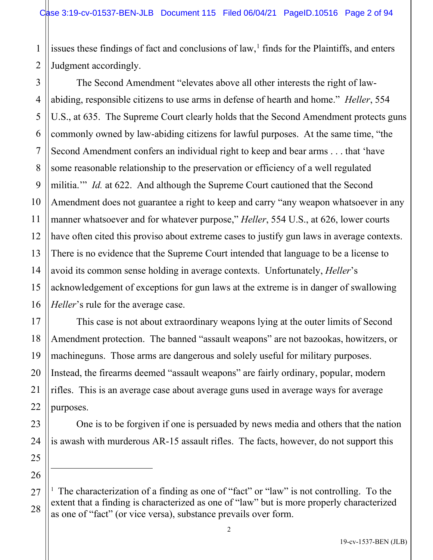1 2 issues these findings of fact and conclusions of law, [1](#page-1-0) finds for the Plaintiffs, and enters Judgment accordingly.

3 4 5 6 7 8 9 10 11 12 13 14 15 16 The Second Amendment "elevates above all other interests the right of lawabiding, responsible citizens to use arms in defense of hearth and home." *Heller*, 554 U.S., at 635. The Supreme Court clearly holds that the Second Amendment protects guns commonly owned by law-abiding citizens for lawful purposes. At the same time, "the Second Amendment confers an individual right to keep and bear arms . . . that 'have some reasonable relationship to the preservation or efficiency of a well regulated militia." *Id.* at 622. And although the Supreme Court cautioned that the Second Amendment does not guarantee a right to keep and carry "any weapon whatsoever in any manner whatsoever and for whatever purpose," *Heller*, 554 U.S., at 626, lower courts have often cited this proviso about extreme cases to justify gun laws in average contexts. There is no evidence that the Supreme Court intended that language to be a license to avoid its common sense holding in average contexts. Unfortunately, *Heller*'s acknowledgement of exceptions for gun laws at the extreme is in danger of swallowing *Heller*'s rule for the average case.

This case is not about extraordinary weapons lying at the outer limits of Second Amendment protection. The banned "assault weapons" are not bazookas, howitzers, or machineguns. Those arms are dangerous and solely useful for military purposes. Instead, the firearms deemed "assault weapons" are fairly ordinary, popular, modern rifles. This is an average case about average guns used in average ways for average purposes.

17

18

19

20

21

22

23

24

25

26

One is to be forgiven if one is persuaded by news media and others that the nation is awash with murderous AR-15 assault rifles. The facts, however, do not support this

<span id="page-1-0"></span><sup>27</sup> 28 <sup>1</sup> The characterization of a finding as one of "fact" or "law" is not controlling. To the extent that a finding is characterized as one of "law" but is more properly characterized as one of "fact" (or vice versa), substance prevails over form.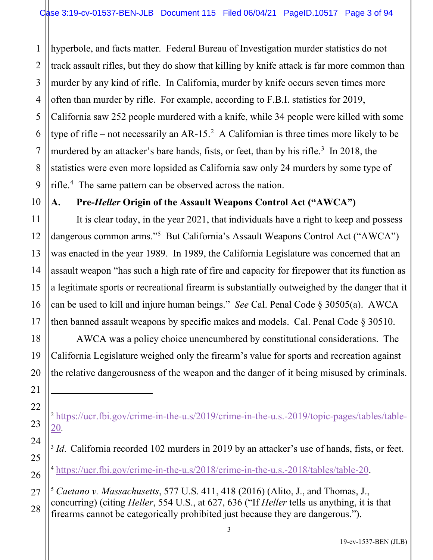1 2 3 4 5 6 hyperbole, and facts matter. Federal Bureau of Investigation murder statistics do not track assault rifles, but they do show that killing by knife attack is far more common than murder by any kind of rifle. In California, murder by knife occurs seven times more often than murder by rifle. For example, according to F.B.I. statistics for 2019, California saw 252 people murdered with a knife, while 34 people were killed with some type of rifle – not necessarily an AR-15.<sup>[2](#page-2-0)</sup> A Californian is three times more likely to be murdered by an attacker's bare hands, fists, or feet, than by his rifle. $3 \text{ In } 2018$  $3 \text{ In } 2018$ , the statistics were even more lopsided as California saw only 24 murders by some type of rifle.[4](#page-2-2) The same pattern can be observed across the nation.

# **A. Pre-***Heller* **Origin of the Assault Weapons Control Act ("AWCA")**

It is clear today, in the year 2021, that individuals have a right to keep and possess dangerous common arms."<sup>[5](#page-2-3)</sup> But California's Assault Weapons Control Act ("AWCA") was enacted in the year 1989. In 1989, the California Legislature was concerned that an assault weapon "has such a high rate of fire and capacity for firepower that its function as a legitimate sports or recreational firearm is substantially outweighed by the danger that it can be used to kill and injure human beings." *See* Cal. Penal Code § 30505(a). AWCA then banned assault weapons by specific makes and models. Cal. Penal Code § 30510.

AWCA was a policy choice unencumbered by constitutional considerations. The California Legislature weighed only the firearm's value for sports and recreation against the relative dangerousness of the weapon and the danger of it being misused by criminals.

<span id="page-2-2"></span><sup>4</sup> [https://ucr.fbi.gov/crime-in-the-u.s/2018/crime-in-the-u.s.-2018/tables/table-20.](https://ucr.fbi.gov/crime-in-the-u.s/2018/crime-in-the-u.s.-2018/tables/table-20)

<span id="page-2-3"></span><sup>5</sup> *Caetano v. Massachusetts*, 577 U.S. 411, 418 (2016) (Alito, J., and Thomas, J., concurring) (citing *Heller*, 554 U.S., at 627, 636 ("If *Heller* tells us anything, it is that firearms cannot be categorically prohibited just because they are dangerous.").

<span id="page-2-0"></span><sup>&</sup>lt;sup>2</sup> [https://ucr.fbi.gov/crime-in-the-u.s/2019/crime-in-the-u.s.-2019/topic-pages/tables/table-](https://ucr.fbi.gov/crime-in-the-u.s/2019/crime-in-the-u.s.-2019/topic-pages/tables/table-20)[20](https://ucr.fbi.gov/crime-in-the-u.s/2019/crime-in-the-u.s.-2019/topic-pages/tables/table-20).

<span id="page-2-1"></span><sup>&</sup>lt;sup>3</sup> *Id*. California recorded 102 murders in 2019 by an attacker's use of hands, fists, or feet.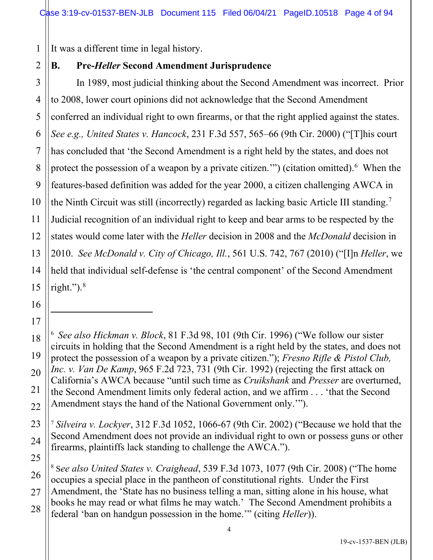1 It was a different time in legal history.

# **B. Pre-***Heller* **Second Amendment Jurisprudence**

3 4 5 6 7 8 9 10 11 12 13 14 In 1989, most judicial thinking about the Second Amendment was incorrect. Prior to 2008, lower court opinions did not acknowledge that the Second Amendment conferred an individual right to own firearms, or that the right applied against the states. *See e.g., United States v. Hancock*, 231 F.3d 557, 565–66 (9th Cir. 2000) ("[T]his court has concluded that 'the Second Amendment is a right held by the states, and does not protect the possession of a weapon by a private citizen."") (citation omitted).<sup>[6](#page-3-0)</sup> When the features-based definition was added for the year 2000, a citizen challenging AWCA in the Ninth Circuit was still (incorrectly) regarded as lacking basic Article III standing.<sup>[7](#page-3-1)</sup> Judicial recognition of an individual right to keep and bear arms to be respected by the states would come later with the *Heller* decision in 2008 and the *McDonald* decision in 2010. *See McDonald v. City of Chicago, Ill.*, 561 U.S. 742, 767 (2010) ("[I]n *Heller*, we held that individual self-defense is 'the central component' of the Second Amendment right."). [8](#page-3-2)

21

22

2

<span id="page-3-1"></span>23 24 <sup>7</sup> *Silveira v. Lockyer*, 312 F.3d 1052, 1066-67 (9th Cir. 2002) ("Because we hold that the Second Amendment does not provide an individual right to own or possess guns or other firearms, plaintiffs lack standing to challenge the AWCA.").

<span id="page-3-2"></span>25 26 27 28 8 S*ee also United States v. Craighead*, 539 F.3d 1073, 1077 (9th Cir. 2008) ("The home occupies a special place in the pantheon of constitutional rights. Under the First Amendment, the 'State has no business telling a man, sitting alone in his house, what books he may read or what films he may watch.' The Second Amendment prohibits a federal 'ban on handgun possession in the home.'" (citing *Heller*)).

<span id="page-3-0"></span><sup>6</sup> *See also Hickman v. Block*, 81 F.3d 98, 101 (9th Cir. 1996) ("We follow our sister circuits in holding that the Second Amendment is a right held by the states, and does not protect the possession of a weapon by a private citizen."); *Fresno Rifle & Pistol Club, Inc. v. Van De Kamp*, 965 F.2d 723, 731 (9th Cir. 1992) (rejecting the first attack on California's AWCA because "until such time as *Cruikshank* and *Presser* are overturned, the Second Amendment limits only federal action, and we affirm . . . 'that the Second Amendment stays the hand of the National Government only.'").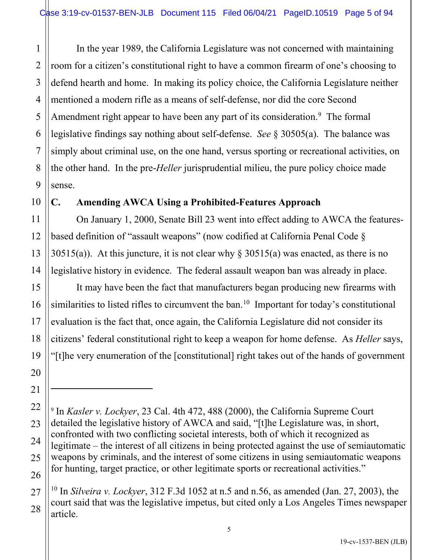1 2 3 4 In the year 1989, the California Legislature was not concerned with maintaining room for a citizen's constitutional right to have a common firearm of one's choosing to defend hearth and home. In making its policy choice, the California Legislature neither mentioned a modern rifle as a means of self-defense, nor did the core Second Amendment right appear to have been any part of its consideration.<sup>[9](#page-4-0)</sup> The formal legislative findings say nothing about self-defense. *See* § 30505(a). The balance was simply about criminal use, on the one hand, versus sporting or recreational activities, on the other hand. In the pre-*Heller* jurisprudential milieu, the pure policy choice made sense.

## **C. Amending AWCA Using a Prohibited-Features Approach**

On January 1, 2000, Senate Bill 23 went into effect adding to AWCA the featuresbased definition of "assault weapons" (now codified at California Penal Code § 30515(a)). At this juncture, it is not clear why  $\S 30515(a)$  was enacted, as there is no legislative history in evidence. The federal assault weapon ban was already in place.

It may have been the fact that manufacturers began producing new firearms with similarities to listed rifles to circumvent the ban.<sup>[10](#page-4-1)</sup> Important for today's constitutional evaluation is the fact that, once again, the California Legislature did not consider its citizens' federal constitutional right to keep a weapon for home defense.As *Heller* says, "[t]he very enumeration of the [constitutional] right takes out of the hands of government

<span id="page-4-0"></span><sup>9</sup> In *Kasler v. Lockyer*, 23 Cal. 4th 472, 488 (2000), the California Supreme Court detailed the legislative history of AWCA and said, "[t]he Legislature was, in short, confronted with two conflicting societal interests, both of which it recognized as legitimate – the interest of all citizens in being protected against the use of semiautomatic weapons by criminals, and the interest of some citizens in using semiautomatic weapons for hunting, target practice, or other legitimate sports or recreational activities."

<span id="page-4-1"></span><sup>10</sup> In *Silveira v. Lockyer*, 312 F.3d 1052 at n.5 and n.56, as amended (Jan. 27, 2003), the court said that was the legislative impetus, but cited only a Los Angeles Times newspaper article.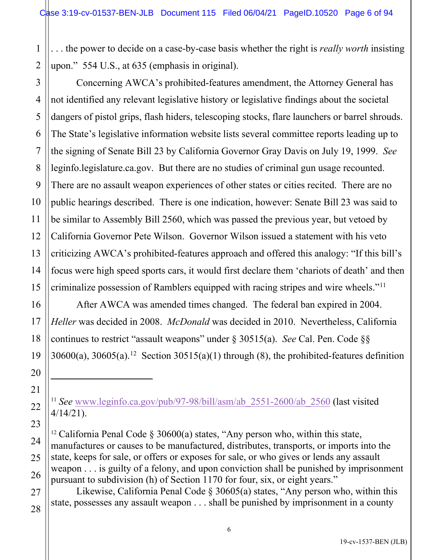. . . the power to decide on a case-by-case basis whether the right is *really worth* insisting upon." 554 U.S., at 635 (emphasis in original).

Concerning AWCA's prohibited-features amendment, the Attorney General has not identified any relevant legislative history or legislative findings about the societal dangers of pistol grips, flash hiders, telescoping stocks, flare launchers or barrel shrouds. The State's legislative information website lists several committee reports leading up to the signing of Senate Bill 23 by California Governor Gray Davis on July 19, 1999. *See* leginfo.legislature.ca.gov. But there are no studies of criminal gun usage recounted. There are no assault weapon experiences of other states or cities recited. There are no public hearings described. There is one indication, however: Senate Bill 23 was said to be similar to Assembly Bill 2560, which was passed the previous year, but vetoed by California Governor Pete Wilson. Governor Wilson issued a statement with his veto criticizing AWCA's prohibited-features approach and offered this analogy: "If this bill's focus were high speed sports cars, it would first declare them 'chariots of death' and then criminalize possession of Ramblers equipped with racing stripes and wire wheels."<sup>[11](#page-5-0)</sup>

After AWCA was amended times changed. The federal ban expired in 2004. *Heller* was decided in 2008. *McDonald* was decided in 2010. Nevertheless, California continues to restrict "assault weapons" under § 30515(a). *See* Cal. Pen. Code §§  $30600(a)$ ,  $30605(a)$ .<sup>[12](#page-5-1)</sup> Section  $30515(a)(1)$  through (8), the prohibited-features definition

<span id="page-5-0"></span><sup>11</sup> *See* [www.leginfo.ca.gov/pub/97-98/bill/asm/ab\\_2551-2600/ab\\_2560](http://www.leginfo.ca.gov/pub/97-98/bill/asm/ab_2551-2600/ab_2560) (last visited 4/14/21).

<span id="page-5-1"></span><sup>12</sup> California Penal Code  $\S 30600(a)$  states, "Any person who, within this state, manufactures or causes to be manufactured, distributes, transports, or imports into the state, keeps for sale, or offers or exposes for sale, or who gives or lends any assault weapon . . . is guilty of a felony, and upon conviction shall be punished by imprisonment pursuant to subdivision (h) of Section 1170 for four, six, or eight years."

Likewise, California Penal Code § 30605(a) states, "Any person who, within this state, possesses any assault weapon . . . shall be punished by imprisonment in a county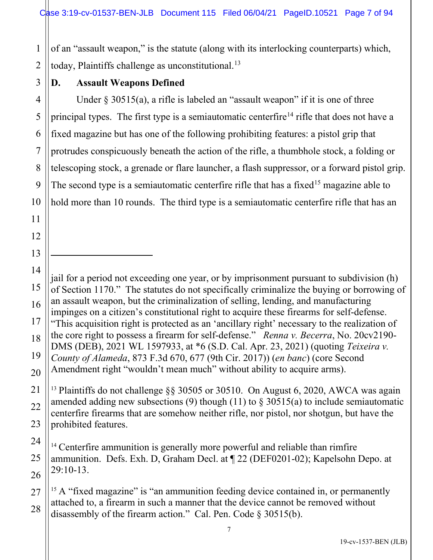of an "assault weapon," is the statute (along with its interlocking counterparts) which, today, Plaintiffs challenge as unconstitutional.<sup>[13](#page-6-0)</sup>

1

2

### **D. Assault Weapons Defined**

Under  $\S 30515(a)$ , a rifle is labeled an "assault weapon" if it is one of three principal types. The first type is a semiautomatic centerfire<sup>[14](#page-6-1)</sup> rifle that does not have a fixed magazine but has one of the following prohibiting features: a pistol grip that protrudes conspicuously beneath the action of the rifle, a thumbhole stock, a folding or telescoping stock, a grenade or flare launcher, a flash suppressor, or a forward pistol grip. The second type is a semiautomatic centerfire rifle that has a fixed<sup>[15](#page-6-2)</sup> magazine able to hold more than 10 rounds. The third type is a semiautomatic centerfire rifle that has an

jail for a period not exceeding one year, or by imprisonment pursuant to subdivision (h) of Section 1170." The statutes do not specifically criminalize the buying or borrowing of an assault weapon, but the criminalization of selling, lending, and manufacturing impinges on a citizen's constitutional right to acquire these firearms for self-defense. "This acquisition right is protected as an 'ancillary right' necessary to the realization of the core right to possess a firearm for self-defense." *Renna v. Becerra*, No. 20cv2190- DMS (DEB), 2021 WL 1597933, at \*6 (S.D. Cal. Apr. 23, 2021) (quoting *Teixeira v. County of Alameda*, 873 F.3d 670, 677 (9th Cir. 2017)) (*en banc*) (core Second Amendment right "wouldn't mean much" without ability to acquire arms).

<span id="page-6-0"></span><sup>13</sup> Plaintiffs do not challenge §§ 30505 or 30510. On August 6, 2020, AWCA was again amended adding new subsections (9) though (11) to  $\S$  30515(a) to include semiautomatic centerfire firearms that are somehow neither rifle, nor pistol, nor shotgun, but have the prohibited features.

<span id="page-6-1"></span><sup>14</sup> Centerfire ammunition is generally more powerful and reliable than rimfire ammunition. Defs. Exh. D, Graham Decl. at ¶ 22 (DEF0201-02); Kapelsohn Depo. at 29:10-13.

<span id="page-6-2"></span><sup>15</sup> A "fixed magazine" is "an ammunition feeding device contained in, or permanently attached to, a firearm in such a manner that the device cannot be removed without disassembly of the firearm action." Cal. Pen. Code § 30515(b).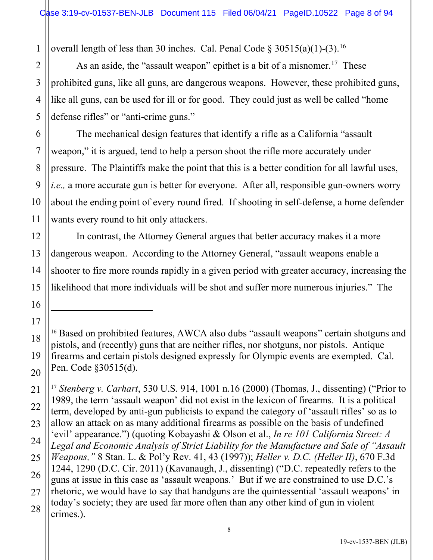1 overall length of less than 30 inches. Cal. Penal Code  $\S 30515(a)(1)-(3).$ <sup>[16](#page-7-0)</sup>

As an aside, the "assault weapon" epithet is a bit of a misnomer.<sup>[17](#page-7-1)</sup> These prohibited guns, like all guns, are dangerous weapons. However, these prohibited guns, like all guns, can be used for ill or for good. They could just as well be called "home defense rifles" or "anti-crime guns."

The mechanical design features that identify a rifle as a California "assault weapon," it is argued, tend to help a person shoot the rifle more accurately under pressure. The Plaintiffs make the point that this is a better condition for all lawful uses, *i.e.,* a more accurate gun is better for everyone. After all, responsible gun-owners worry about the ending point of every round fired. If shooting in self-defense, a home defender wants every round to hit only attackers.

In contrast, the Attorney General argues that better accuracy makes it a more dangerous weapon. According to the Attorney General, "assault weapons enable a shooter to fire more rounds rapidly in a given period with greater accuracy, increasing the likelihood that more individuals will be shot and suffer more numerous injuries." The

2

3

4

5

6

7

8

9

11

13

14

15

17

<span id="page-7-0"></span>18

<sup>&</sup>lt;sup>16</sup> Based on prohibited features, AWCA also dubs "assault weapons" certain shotguns and pistols, and (recently) guns that are neither rifles, nor shotguns, nor pistols. Antique firearms and certain pistols designed expressly for Olympic events are exempted. Cal. Pen. Code §30515(d).

<span id="page-7-1"></span><sup>21</sup> 22 23 24 25 26 27 28 <sup>17</sup> *Stenberg v. Carhart*, 530 U.S. 914, 1001 n.16 (2000) (Thomas, J., dissenting) ("Prior to 1989, the term 'assault weapon' did not exist in the lexicon of firearms. It is a political term, developed by anti-gun publicists to expand the category of 'assault rifles' so as to allow an attack on as many additional firearms as possible on the basis of undefined 'evil' appearance.") (quoting Kobayashi & Olson et al., *In re 101 California Street: A Legal and Economic Analysis of Strict Liability for the Manufacture and Sale of "Assault Weapons,"* 8 Stan. L. & Pol'y Rev. 41, 43 (1997)); *Heller v. D.C. (Heller II)*, 670 F.3d 1244, 1290 (D.C. Cir. 2011) (Kavanaugh, J., dissenting) ("D.C. repeatedly refers to the guns at issue in this case as 'assault weapons.' But if we are constrained to use D.C.'s rhetoric, we would have to say that handguns are the quintessential 'assault weapons' in today's society; they are used far more often than any other kind of gun in violent crimes.).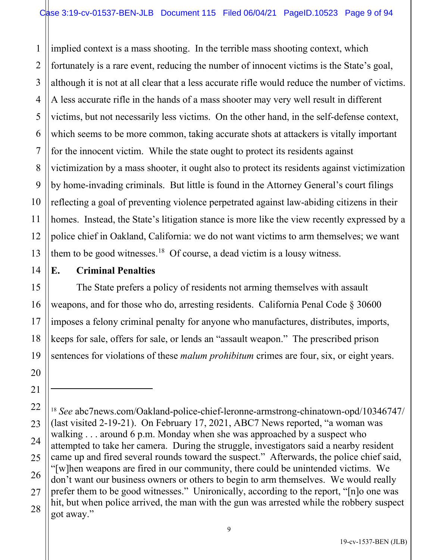1 2 3 4 5 6 7 8 9 10 11 12 13 implied context is a mass shooting. In the terrible mass shooting context, which fortunately is a rare event, reducing the number of innocent victims is the State's goal, although it is not at all clear that a less accurate rifle would reduce the number of victims. A less accurate rifle in the hands of a mass shooter may very well result in different victims, but not necessarily less victims. On the other hand, in the self-defense context, which seems to be more common, taking accurate shots at attackers is vitally important for the innocent victim. While the state ought to protect its residents against victimization by a mass shooter, it ought also to protect its residents against victimization by home-invading criminals. But little is found in the Attorney General's court filings reflecting a goal of preventing violence perpetrated against law-abiding citizens in their homes. Instead, the State's litigation stance is more like the view recently expressed by a police chief in Oakland, California: we do not want victims to arm themselves; we want them to be good witnesses.<sup>[18](#page-8-0)</sup> Of course, a dead victim is a lousy witness.

14 15

16

17

18

19

20

21

# **E. Criminal Penalties**

The State prefers a policy of residents not arming themselves with assault weapons, and for those who do, arresting residents. California Penal Code § 30600 imposes a felony criminal penalty for anyone who manufactures, distributes, imports, keeps for sale, offers for sale, or lends an "assault weapon." The prescribed prison sentences for violations of these *malum prohibitum* crimes are four, six, or eight years.

<span id="page-8-0"></span><sup>22</sup> 23 24 25 26 27 28 <sup>18</sup> *See* abc7news.com/Oakland-police-chief-leronne-armstrong-chinatown-opd/10346747/ (last visited 2-19-21). On February 17, 2021, ABC7 News reported, "a woman was walking . . . around 6 p.m. Monday when she was approached by a suspect who attempted to take her camera. During the struggle, investigators said a nearby resident came up and fired several rounds toward the suspect." Afterwards, the police chief said, "[w]hen weapons are fired in our community, there could be unintended victims. We don't want our business owners or others to begin to arm themselves. We would really prefer them to be good witnesses." Unironically, according to the report, "[n]o one was hit, but when police arrived, the man with the gun was arrested while the robbery suspect got away."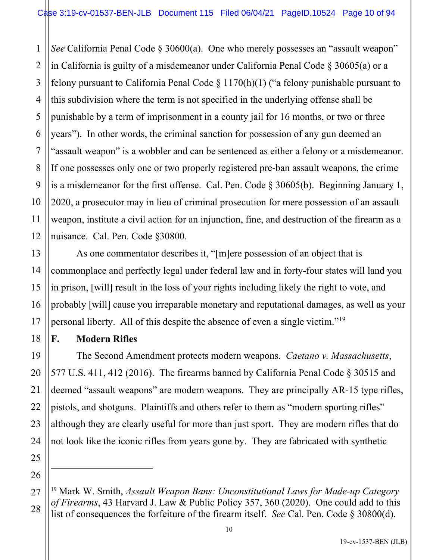1 2 3 4 5 6 7 8 9 10 11 12 *See* California Penal Code § 30600(a). One who merely possesses an "assault weapon" in California is guilty of a misdemeanor under California Penal Code § 30605(a) or a felony pursuant to California Penal Code  $\S 1170(h)(1)$  ("a felony punishable pursuant to this subdivision where the term is not specified in the underlying offense shall be punishable by a term of imprisonment in a county jail for 16 months, or two or three years"). In other words, the criminal sanction for possession of any gun deemed an "assault weapon" is a wobbler and can be sentenced as either a felony or a misdemeanor. If one possesses only one or two properly registered pre-ban assault weapons, the crime is a misdemeanor for the first offense. Cal. Pen. Code § 30605(b). Beginning January 1, 2020, a prosecutor may in lieu of criminal prosecution for mere possession of an assault weapon, institute a civil action for an injunction, fine, and destruction of the firearm as a nuisance. Cal. Pen. Code §30800.

As one commentator describes it, "[m]ere possession of an object that is commonplace and perfectly legal under federal law and in forty-four states will land you in prison, [will] result in the loss of your rights including likely the right to vote, and probably [will] cause you irreparable monetary and reputational damages, as well as your personal liberty. All of this despite the absence of even a single victim."<sup>[19](#page-9-0)</sup>

## **F. Modern Rifles**

13

14

15

16

17

18

19

20

21

22

23

24

25

26

<span id="page-9-0"></span>27

28

The Second Amendment protects modern weapons. *Caetano v. Massachusetts*, 577 U.S. 411, 412 (2016). The firearms banned by California Penal Code § 30515 and deemed "assault weapons" are modern weapons. They are principally AR-15 type rifles, pistols, and shotguns. Plaintiffs and others refer to them as "modern sporting rifles" although they are clearly useful for more than just sport. They are modern rifles that do not look like the iconic rifles from years gone by. They are fabricated with synthetic

<sup>19</sup> Mark W. Smith, *Assault Weapon Bans: Unconstitutional Laws for Made-up Category of Firearms*, 43 Harvard J. Law & Public Policy 357, 360 (2020). One could add to this list of consequences the forfeiture of the firearm itself. *See* Cal. Pen. Code § 30800(d).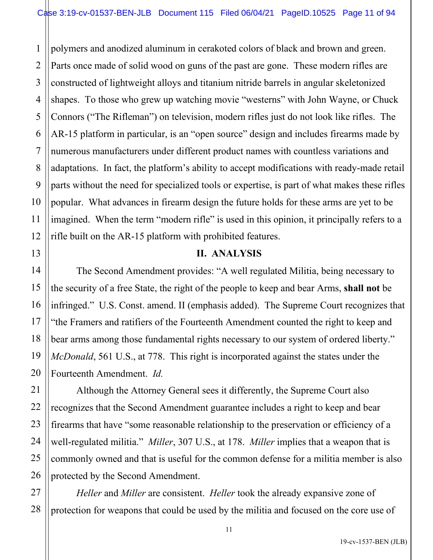1 2 3 4 polymers and anodized aluminum in cerakoted colors of black and brown and green. Parts once made of solid wood on guns of the past are gone. These modern rifles are constructed of lightweight alloys and titanium nitride barrels in angular skeletonized shapes. To those who grew up watching movie "westerns" with John Wayne, or Chuck Connors ("The Rifleman") on television, modern rifles just do not look like rifles. The AR-15 platform in particular, is an "open source" design and includes firearms made by numerous manufacturers under different product names with countless variations and adaptations. In fact, the platform's ability to accept modifications with ready-made retail parts without the need for specialized tools or expertise, is part of what makes these rifles popular. What advances in firearm design the future holds for these arms are yet to be imagined. When the term "modern rifle" is used in this opinion, it principally refers to a rifle built on the AR-15 platform with prohibited features.

### **II. ANALYSIS**

The Second Amendment provides: "A well regulated Militia, being necessary to the security of a free State, the right of the people to keep and bear Arms, **shall not** be infringed." U.S. Const. amend. II (emphasis added). The Supreme Court recognizes that "the Framers and ratifiers of the Fourteenth Amendment counted the right to keep and bear arms among those fundamental rights necessary to our system of ordered liberty." *McDonald*, 561 U.S., at 778. This right is incorporated against the states under the Fourteenth Amendment. *Id.* 

 Although the Attorney General sees it differently, the Supreme Court also recognizes that the Second Amendment guarantee includes a right to keep and bear firearms that have "some reasonable relationship to the preservation or efficiency of a well-regulated militia." *Miller*, 307 U.S., at 178. *Miller* implies that a weapon that is commonly owned and that is useful for the common defense for a militia member is also protected by the Second Amendment.

*Heller* and *Miller* are consistent. *Heller* took the already expansive zone of protection for weapons that could be used by the militia and focused on the core use of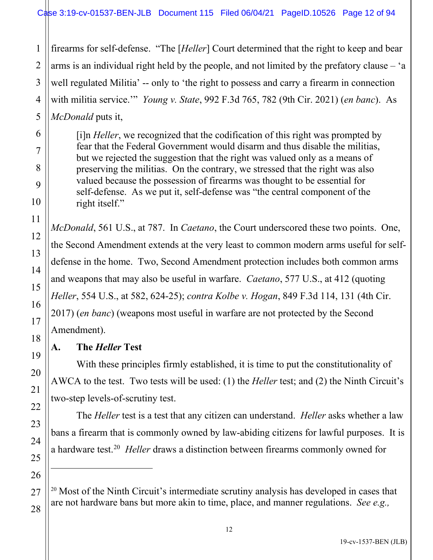3 4 5 firearms for self-defense. "The [*Heller*] Court determined that the right to keep and bear arms is an individual right held by the people, and not limited by the prefatory clause – 'a well regulated Militia' -- only to 'the right to possess and carry a firearm in connection with militia service.'" *Young v. State*, 992 F.3d 765, 782 (9th Cir. 2021) (*en banc*). As *McDonald* puts it,

[i]n *Heller*, we recognized that the codification of this right was prompted by fear that the Federal Government would disarm and thus disable the militias, but we rejected the suggestion that the right was valued only as a means of preserving the militias. On the contrary, we stressed that the right was also valued because the possession of firearms was thought to be essential for self-defense. As we put it, self-defense was "the central component of the right itself."

*McDonald*, 561 U.S., at 787. In *Caetano*, the Court underscored these two points. One, the Second Amendment extends at the very least to common modern arms useful for selfdefense in the home. Two, Second Amendment protection includes both common arms and weapons that may also be useful in warfare. *Caetano*, 577 U.S., at 412 (quoting *Heller*, 554 U.S., at 582, 624-25); *contra Kolbe v. Hogan*, 849 F.3d 114, 131 (4th Cir. 2017) (*en banc*) (weapons most useful in warfare are not protected by the Second Amendment).

# **A. The** *Heller* **Test**

1

2

6

7

8

9

10

11

12

13

14

15

16

17

18

19

20

21

22

23

24

25

26

<span id="page-11-0"></span>27

28

With these principles firmly established, it is time to put the constitutionality of AWCA to the test. Two tests will be used: (1) the *Heller* test; and (2) the Ninth Circuit's two-step levels-of-scrutiny test.

The *Heller* test is a test that any citizen can understand. *Heller* asks whether a law bans a firearm that is commonly owned by law-abiding citizens for lawful purposes. It is a hardware test.<sup>[20](#page-11-0)</sup> Heller draws a distinction between firearms commonly owned for

 $20$  Most of the Ninth Circuit's intermediate scrutiny analysis has developed in cases that are not hardware bans but more akin to time, place, and manner regulations. *See e.g.,*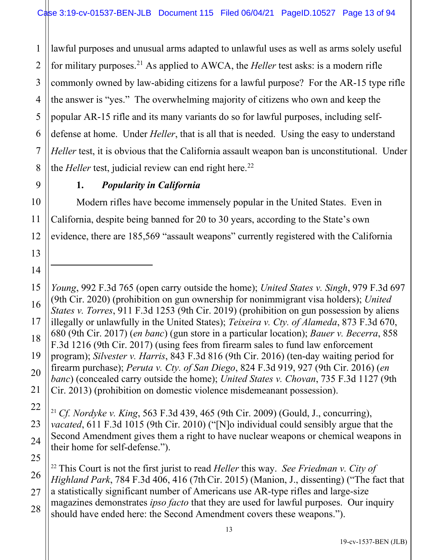1 2 3 4 lawful purposes and unusual arms adapted to unlawful uses as well as arms solely useful for military purposes. [21](#page-12-0) As applied to AWCA, the *Heller* test asks: is a modern rifle commonly owned by law-abiding citizens for a lawful purpose? For the AR-15 type rifle the answer is "yes." The overwhelming majority of citizens who own and keep the popular AR-15 rifle and its many variants do so for lawful purposes, including selfdefense at home. Under *Heller*, that is all that is needed. Using the easy to understand *Heller* test, it is obvious that the California assault weapon ban is unconstitutional. Under the *Heller* test, judicial review can end right here.<sup>[22](#page-12-1)</sup>

# **1.** *Popularity in California*

 Modern rifles have become immensely popular in the United States. Even in California, despite being banned for 20 to 30 years, according to the State's own evidence, there are 185,569 "assault weapons" currently registered with the California

*Young*, 992 F.3d 765 (open carry outside the home); *United States v. Singh*, 979 F.3d 697 (9th Cir. 2020) (prohibition on gun ownership for nonimmigrant visa holders); *United States v. Torres*, 911 F.3d 1253 (9th Cir. 2019) (prohibition on gun possession by aliens illegally or unlawfully in the United States); *Teixeira v. Cty. of Alameda*, 873 F.3d 670, 680 (9th Cir. 2017) (*en banc*) (gun store in a particular location); *Bauer v. Becerra*, 858 F.3d 1216 (9th Cir. 2017) (using fees from firearm sales to fund law enforcement program); *Silvester v. Harris*, 843 F.3d 816 (9th Cir. 2016) (ten-day waiting period for firearm purchase); *Peruta v. Cty. of San Diego*, 824 F.3d 919, 927 (9th Cir. 2016) (*en banc*) (concealed carry outside the home); *United States v. Chovan*, 735 F.3d 1127 (9th Cir. 2013) (prohibition on domestic violence misdemeanant possession).

<span id="page-12-0"></span><sup>21</sup> *Cf. Nordyke v. King*, 563 F.3d 439, 465 (9th Cir. 2009) (Gould, J., concurring), *vacated*, 611 F.3d 1015 (9th Cir. 2010) ("[N]o individual could sensibly argue that the Second Amendment gives them a right to have nuclear weapons or chemical weapons in their home for self-defense.").

<span id="page-12-1"></span><sup>22</sup> This Court is not the first jurist to read *Heller* this way. *See Friedman v. City of Highland Park*, 784 F.3d 406, 416 (7thCir. 2015) (Manion, J., dissenting) ("The fact that a statistically significant number of Americans use AR-type rifles and large-size magazines demonstrates *ipso facto* that they are used for lawful purposes. Our inquiry should have ended here: the Second Amendment covers these weapons.").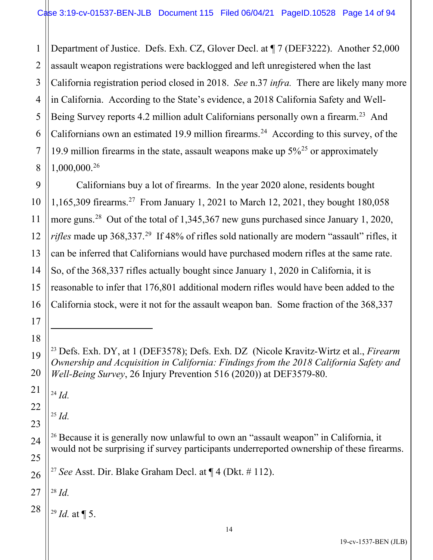1 2 3 Department of Justice. Defs. Exh. CZ, Glover Decl. at ¶ 7 (DEF3222). Another 52,000 assault weapon registrations were backlogged and left unregistered when the last California registration period closed in 2018. *See* n.37 *infra.* There are likely many more in California. According to the State's evidence, a 2018 California Safety and Well-Being Survey reports 4.2 million adult Californians personally own a firearm.<sup>[23](#page-13-0)</sup> And Californians own an estimated 19.9 million firearms. [24](#page-13-1) According to this survey, of the 19.9 million firearms in the state, assault weapons make up  $5\frac{3}{25}$  $5\frac{3}{25}$  $5\frac{3}{25}$  or approximately 1,000,000. [26](#page-13-3)

Californians buy a lot of firearms. In the year 2020 alone, residents bought 1,165,309 firearms.[27](#page-13-4) From January 1, 2021 to March 12, 2021, they bought 180,058 more guns.<sup>[28](#page-13-5)</sup> Out of the total of 1,345,367 new guns purchased since January 1, 2020, *rifles* made up 368,337.<sup>[29](#page-13-6)</sup> If 48% of rifles sold nationally are modern "assault" rifles, it can be inferred that Californians would have purchased modern rifles at the same rate. So, of the 368,337 rifles actually bought since January 1, 2020 in California, it is reasonable to infer that 176,801 additional modern rifles would have been added to the California stock, were it not for the assault weapon ban. Some fraction of the 368,337

<span id="page-13-1"></span><sup>24</sup> *Id.*

<span id="page-13-2"></span><sup>25</sup> *Id.*

<sup>27</sup> *See* Asst. Dir. Blake Graham Decl. at ¶ 4 (Dkt. # 112).

<span id="page-13-6"></span><span id="page-13-5"></span><span id="page-13-4"></span><sup>28</sup> *Id.*

 $^{29}$  *Id.* at ¶ 5.

<span id="page-13-0"></span><sup>23</sup> Defs. Exh. DY, at 1 (DEF3578); Defs. Exh. DZ (Nicole Kravitz-Wirtz et al., *Firearm Ownership and Acquisition in California: Findings from the 2018 California Safety and Well-Being Survey*, 26 Injury Prevention 516 (2020)) at DEF3579-80.

<span id="page-13-3"></span><sup>&</sup>lt;sup>26</sup> Because it is generally now unlawful to own an "assault weapon" in California, it would not be surprising if survey participants underreported ownership of these firearms.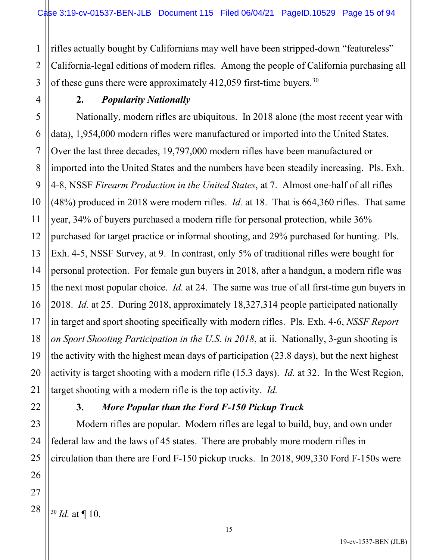rifles actually bought by Californians may well have been stripped-down "featureless" California-legal editions of modern rifles. Among the people of California purchasing all of these guns there were approximately  $412,059$  first-time buyers.<sup>[30](#page-14-0)</sup>

### **2.** *Popularity Nationally*

5 6 7 8 9 10 12 13 14 15 16 17 18 19 20 Nationally, modern rifles are ubiquitous. In 2018 alone (the most recent year with data), 1,954,000 modern rifles were manufactured or imported into the United States. Over the last three decades, 19,797,000 modern rifles have been manufactured or imported into the United States and the numbers have been steadily increasing. Pls. Exh. 4-8, NSSF *Firearm Production in the United States*, at 7. Almost one-half of all rifles (48%) produced in 2018 were modern rifles. *Id.* at 18. That is 664,360 rifles. That same year, 34% of buyers purchased a modern rifle for personal protection, while 36% purchased for target practice or informal shooting, and 29% purchased for hunting. Pls. Exh. 4-5, NSSF Survey, at 9. In contrast, only 5% of traditional rifles were bought for personal protection. For female gun buyers in 2018, after a handgun, a modern rifle was the next most popular choice. *Id.* at 24. The same was true of all first-time gun buyers in 2018. *Id.* at 25. During 2018, approximately 18,327,314 people participated nationally in target and sport shooting specifically with modern rifles. Pls. Exh. 4-6, *NSSF Report on Sport Shooting Participation in the U.S. in 2018*, at ii. Nationally, 3-gun shooting is the activity with the highest mean days of participation (23.8 days), but the next highest activity is target shooting with a modern rifle (15.3 days). *Id.* at 32. In the West Region, target shooting with a modern rifle is the top activity. *Id.*

1

2

3

4

11

# **3.** *More Popular than the Ford F-150 Pickup Truck*

Modern rifles are popular. Modern rifles are legal to build, buy, and own under federal law and the laws of 45 states. There are probably more modern rifles in circulation than there are Ford F-150 pickup trucks. In 2018, 909,330 Ford F-150s were

<span id="page-14-0"></span>27 28

25

26

<sup>30</sup> *Id.* at ¶ 10.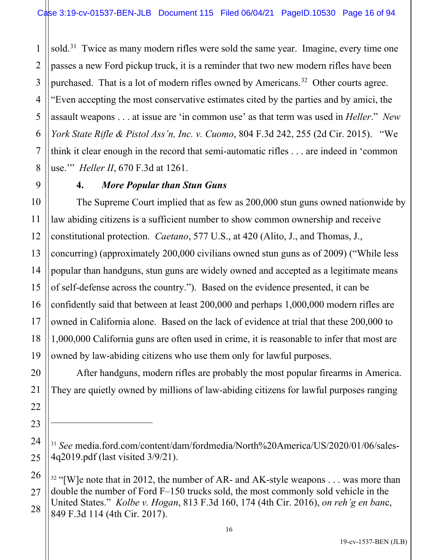1 2 sold.<sup>[31](#page-15-0)</sup> Twice as many modern rifles were sold the same year. Imagine, every time one passes a new Ford pickup truck, it is a reminder that two new modern rifles have been purchased. That is a lot of modern rifles owned by Americans.<sup>[32](#page-15-1)</sup> Other courts agree. "Even accepting the most conservative estimates cited by the parties and by amici, the assault weapons . . . at issue are 'in common use' as that term was used in *Heller*." *New York State Rifle & Pistol Ass'n, Inc. v. Cuomo*, 804 F.3d 242, 255 (2d Cir. 2015). "We think it clear enough in the record that semi-automatic rifles . . . are indeed in 'common use.'" *Heller II*, 670 F.3d at 1261.

## **4.** *More Popular than Stun Guns*

The Supreme Court implied that as few as 200,000 stun guns owned nationwide by law abiding citizens is a sufficient number to show common ownership and receive constitutional protection. *Caetano*, 577 U.S., at 420 (Alito, J., and Thomas, J., concurring) (approximately 200,000 civilians owned stun guns as of 2009) ("While less popular than handguns, stun guns are widely owned and accepted as a legitimate means of self-defense across the country."). Based on the evidence presented, it can be confidently said that between at least 200,000 and perhaps 1,000,000 modern rifles are owned in California alone. Based on the lack of evidence at trial that these 200,000 to 1,000,000 California guns are often used in crime, it is reasonable to infer that most are owned by law-abiding citizens who use them only for lawful purposes.

After handguns, modern rifles are probably the most popular firearms in America. They are quietly owned by millions of law-abiding citizens for lawful purposes ranging

<span id="page-15-0"></span><sup>&</sup>lt;sup>31</sup> See media.ford.com/content/dam/fordmedia/North%20America/US/2020/01/06/sales-4q2019.pdf (last visited 3/9/21).

<span id="page-15-1"></span><sup>&</sup>lt;sup>32</sup> "[W]e note that in 2012, the number of AR- and AK-style weapons . . . was more than double the number of Ford F–150 trucks sold, the most commonly sold vehicle in the United States." *Kolbe v. Hogan*, 813 F.3d 160, 174 (4th Cir. 2016), *on reh'g en ban*c, 849 F.3d 114 (4th Cir. 2017).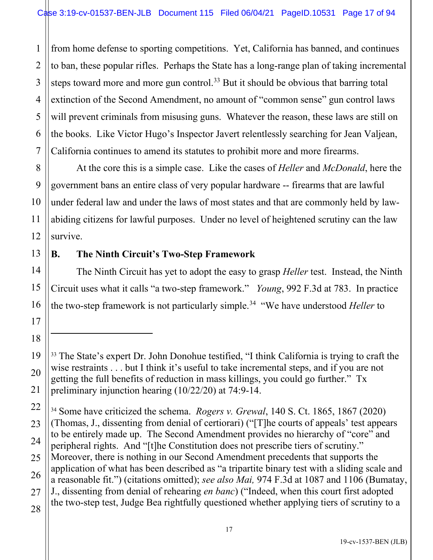1 2 3 4 from home defense to sporting competitions. Yet, California has banned, and continues to ban, these popular rifles. Perhaps the State has a long-range plan of taking incremental steps toward more and more gun control.<sup>[33](#page-16-0)</sup> But it should be obvious that barring total extinction of the Second Amendment, no amount of "common sense" gun control laws will prevent criminals from misusing guns. Whatever the reason, these laws are still on the books. Like Victor Hugo's Inspector Javert relentlessly searching for Jean Valjean, California continues to amend its statutes to prohibit more and more firearms.

At the core this is a simple case. Like the cases of *Heller* and *McDonald*, here the government bans an entire class of very popular hardware -- firearms that are lawful under federal law and under the laws of most states and that are commonly held by lawabiding citizens for lawful purposes. Under no level of heightened scrutiny can the law survive.

# **B. The Ninth Circuit's Two-Step Framework**

The Ninth Circuit has yet to adopt the easy to grasp *Heller* test. Instead, the Ninth Circuit uses what it calls "a two-step framework." *Young*, 992 F.3d at 783. In practice the two-step framework is not particularly simple.<sup>[34](#page-16-1)</sup> "We have understood *Heller* to

<span id="page-16-1"></span><sup>34</sup> Some have criticized the schema. *Rogers v. Grewal*, 140 S. Ct. 1865, 1867 (2020) (Thomas, J., dissenting from denial of certiorari) ("[T]he courts of appeals' test appears to be entirely made up. The Second Amendment provides no hierarchy of "core" and peripheral rights. And "[t]he Constitution does not prescribe tiers of scrutiny." Moreover, there is nothing in our Second Amendment precedents that supports the application of what has been described as "a tripartite binary test with a sliding scale and a reasonable fit.") (citations omitted); *see also Mai,* 974 F.3d at 1087 and 1106 (Bumatay, J., dissenting from denial of rehearing *en banc*) ("Indeed, when this court first adopted the two-step test, Judge Bea rightfully questioned whether applying tiers of scrutiny to a

<span id="page-16-0"></span><sup>&</sup>lt;sup>33</sup> The State's expert Dr. John Donohue testified, "I think California is trying to craft the wise restraints . . . but I think it's useful to take incremental steps, and if you are not getting the full benefits of reduction in mass killings, you could go further." Tx preliminary injunction hearing (10/22/20) at 74:9-14.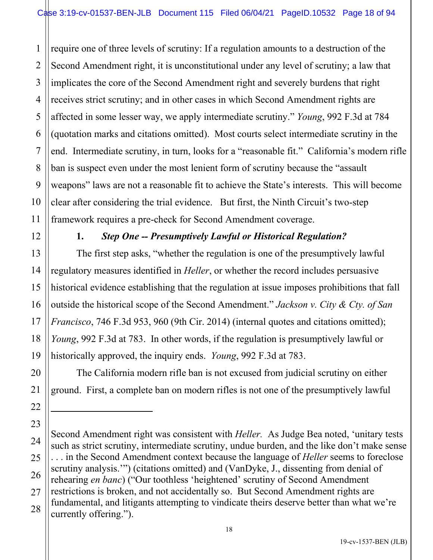1 2 3 4 5 6 7 8 9 10 11 require one of three levels of scrutiny: If a regulation amounts to a destruction of the Second Amendment right, it is unconstitutional under any level of scrutiny; a law that implicates the core of the Second Amendment right and severely burdens that right receives strict scrutiny; and in other cases in which Second Amendment rights are affected in some lesser way, we apply intermediate scrutiny." *Young*, 992 F.3d at 784 (quotation marks and citations omitted). Most courts select intermediate scrutiny in the end. Intermediate scrutiny, in turn, looks for a "reasonable fit." California's modern rifle ban is suspect even under the most lenient form of scrutiny because the "assault weapons" laws are not a reasonable fit to achieve the State's interests. This will become clear after considering the trial evidence. But first, the Ninth Circuit's two-step framework requires a pre-check for Second Amendment coverage.

12

13

14

15

16

17

18

19

20

21

22

23

24

26

27

## **1.** *Step One -- Presumptively Lawful or Historical Regulation?*

The first step asks, "whether the regulation is one of the presumptively lawful regulatory measures identified in *Heller*, or whether the record includes persuasive historical evidence establishing that the regulation at issue imposes prohibitions that fall outside the historical scope of the Second Amendment." *Jackson v. City & Cty. of San Francisco*, 746 F.3d 953, 960 (9th Cir. 2014) (internal quotes and citations omitted); *Young*, 992 F.3d at 783. In other words, if the regulation is presumptively lawful or historically approved, the inquiry ends. *Young*, 992 F.3d at 783.

The California modern rifle ban is not excused from judicial scrutiny on either ground. First, a complete ban on modern rifles is not one of the presumptively lawful

<sup>25</sup> 28 Second Amendment right was consistent with *Heller.* As Judge Bea noted, 'unitary tests such as strict scrutiny, intermediate scrutiny, undue burden, and the like don't make sense . . . in the Second Amendment context because the language of *Heller* seems to foreclose scrutiny analysis.'") (citations omitted) and (VanDyke, J., dissenting from denial of rehearing *en banc*) ("Our toothless 'heightened' scrutiny of Second Amendment restrictions is broken, and not accidentally so. But Second Amendment rights are fundamental, and litigants attempting to vindicate theirs deserve better than what we're currently offering.").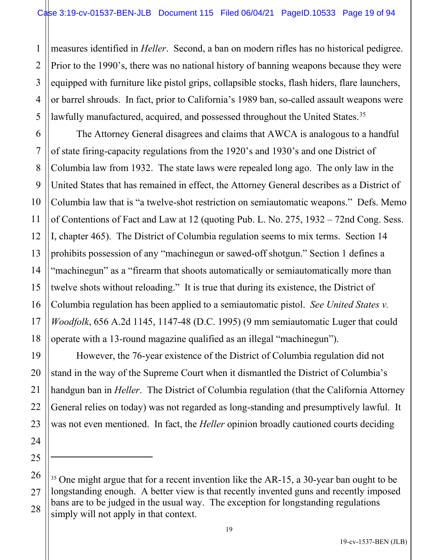1 2 3 4 5 measures identified in *Heller*. Second, a ban on modern rifles has no historical pedigree. Prior to the 1990's, there was no national history of banning weapons because they were equipped with furniture like pistol grips, collapsible stocks, flash hiders, flare launchers, or barrel shrouds. In fact, prior to California's 1989 ban, so-called assault weapons were lawfully manufactured, acquired, and possessed throughout the United States.<sup>[35](#page-18-0)</sup>

7

11

17

19

20

21

22

23

24

25

6 8 9 10 12 13 14 15 16 18 The Attorney General disagrees and claims that AWCA is analogous to a handful of state firing-capacity regulations from the 1920's and 1930's and one District of Columbia law from 1932. The state laws were repealed long ago. The only law in the United States that has remained in effect, the Attorney General describes as a District of Columbia law that is "a twelve-shot restriction on semiautomatic weapons." Defs. Memo of Contentions of Fact and Law at 12 (quoting Pub. L. No. 275, 1932 – 72nd Cong. Sess. I, chapter 465). The District of Columbia regulation seems to mix terms. Section 14 prohibits possession of any "machinegun or sawed-off shotgun." Section 1 defines a "machinegun" as a "firearm that shoots automatically or semiautomatically more than twelve shots without reloading." It is true that during its existence, the District of Columbia regulation has been applied to a semiautomatic pistol. *See United States v. Woodfolk*, 656 A.2d 1145, 1147-48 (D.C. 1995) (9 mm semiautomatic Luger that could operate with a 13-round magazine qualified as an illegal "machinegun").

However, the 76-year existence of the District of Columbia regulation did not stand in the way of the Supreme Court when it dismantled the District of Columbia's handgun ban in *Heller*. The District of Columbia regulation (that the California Attorney General relies on today) was not regarded as long-standing and presumptively lawful. It was not even mentioned. In fact, the *Heller* opinion broadly cautioned courts deciding

<span id="page-18-0"></span><sup>26</sup> 27 28 <sup>35</sup> One might argue that for a recent invention like the AR-15, a 30-year ban ought to be longstanding enough. A better view is that recently invented guns and recently imposed bans are to be judged in the usual way. The exception for longstanding regulations simply will not apply in that context.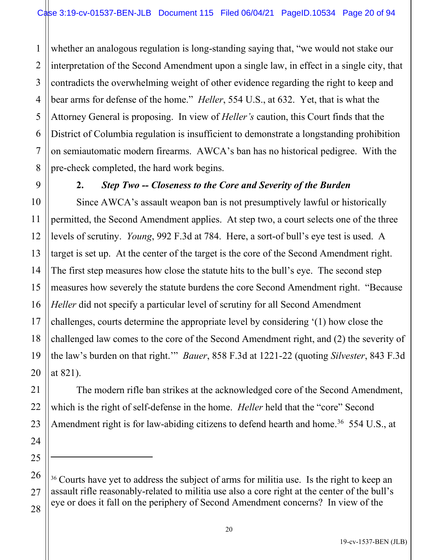1 2 3 4 5 6 7 8 whether an analogous regulation is long-standing saying that, "we would not stake our interpretation of the Second Amendment upon a single law, in effect in a single city, that contradicts the overwhelming weight of other evidence regarding the right to keep and bear arms for defense of the home." *Heller*, 554 U.S., at 632. Yet, that is what the Attorney General is proposing. In view of *Heller's* caution, this Court finds that the District of Columbia regulation is insufficient to demonstrate a longstanding prohibition on semiautomatic modern firearms. AWCA's ban has no historical pedigree. With the pre-check completed, the hard work begins.

9

10

11

12

13

14

15

16

17

18

19

20

21

22

23

24

25

27

### **2.** *Step Two -- Closeness to the Core and Severity of the Burden*

Since AWCA's assault weapon ban is not presumptively lawful or historically permitted, the Second Amendment applies. At step two, a court selects one of the three levels of scrutiny. *Young*, 992 F.3d at 784. Here, a sort-of bull's eye test is used. A target is set up. At the center of the target is the core of the Second Amendment right. The first step measures how close the statute hits to the bull's eye. The second step measures how severely the statute burdens the core Second Amendment right. "Because *Heller* did not specify a particular level of scrutiny for all Second Amendment challenges, courts determine the appropriate level by considering '(1) how close the challenged law comes to the core of the Second Amendment right, and (2) the severity of the law's burden on that right.'" *Bauer*, 858 F.3d at 1221-22 (quoting *Silvester*, 843 F.3d at 821).

The modern rifle ban strikes at the acknowledged core of the Second Amendment, which is the right of self-defense in the home. *Heller* held that the "core" Second Amendment right is for law-abiding citizens to defend hearth and home.<sup>[36](#page-19-0)</sup> 554 U.S., at

<span id="page-19-0"></span><sup>26</sup> 28 <sup>36</sup> Courts have yet to address the subject of arms for militia use. Is the right to keep an assault rifle reasonably-related to militia use also a core right at the center of the bull's eye or does it fall on the periphery of Second Amendment concerns? In view of the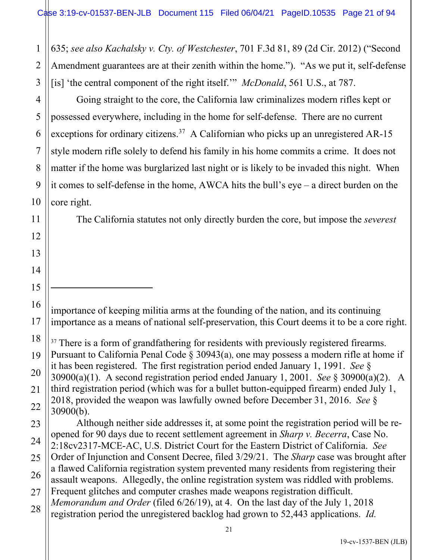635; *see also Kachalsky v. Cty. of Westchester*, 701 F.3d 81, 89 (2d Cir. 2012) ("Second Amendment guarantees are at their zenith within the home."). "As we put it, self-defense [is] 'the central component of the right itself.'" *McDonald*, 561 U.S., at 787.

Going straight to the core, the California law criminalizes modern rifles kept or possessed everywhere, including in the home for self-defense. There are no current exceptions for ordinary citizens.<sup>[37](#page-20-0)</sup> A Californian who picks up an unregistered AR-15 style modern rifle solely to defend his family in his home commits a crime. It does not matter if the home was burglarized last night or is likely to be invaded this night. When it comes to self-defense in the home, AWCA hits the bull's eye – a direct burden on the core right.

The California statutes not only directly burden the core, but impose the *severest*

importance of keeping militia arms at the founding of the nation, and its continuing importance as a means of national self-preservation, this Court deems it to be a core right.

<span id="page-20-0"></span><sup>37</sup> There is a form of grandfathering for residents with previously registered firearms. Pursuant to California Penal Code § 30943(a), one may possess a modern rifle at home if it has been registered. The first registration period ended January 1, 1991. *See* § 30900(a)(1). A second registration period ended January 1, 2001. *See* § 30900(a)(2). A third registration period (which was for a bullet button-equipped firearm) ended July 1, 2018, provided the weapon was lawfully owned before December 31, 2016. *See* § 30900(b).

Although neither side addresses it, at some point the registration period will be reopened for 90 days due to recent settlement agreement in *Sharp v. Becerra*, Case No. 2:18cv2317-MCE-AC, U.S. District Court for the Eastern District of California. *See*  Order of Injunction and Consent Decree, filed 3/29/21. The *Sharp* case was brought after a flawed California registration system prevented many residents from registering their assault weapons. Allegedly, the online registration system was riddled with problems. Frequent glitches and computer crashes made weapons registration difficult. *Memorandum and Order* (filed 6/26/19), at 4. On the last day of the July 1, 2018 registration period the unregistered backlog had grown to 52,443 applications. *Id.* 

1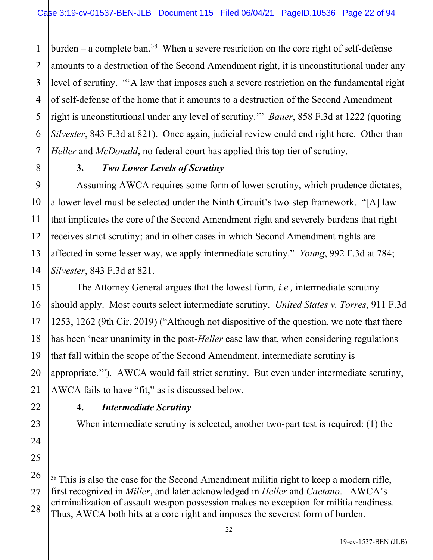1 2 burden  $-$  a complete ban.<sup>[38](#page-21-0)</sup> When a severe restriction on the core right of self-defense amounts to a destruction of the Second Amendment right, it is unconstitutional under any level of scrutiny. "'A law that imposes such a severe restriction on the fundamental right of self-defense of the home that it amounts to a destruction of the Second Amendment right is unconstitutional under any level of scrutiny.'" *Bauer*, 858 F.3d at 1222 (quoting *Silvester*, 843 F.3d at 821). Once again, judicial review could end right here. Other than *Heller* and *McDonald*, no federal court has applied this top tier of scrutiny.

# **3.** *Two Lower Levels of Scrutiny*

Assuming AWCA requires some form of lower scrutiny, which prudence dictates, a lower level must be selected under the Ninth Circuit's two-step framework. "[A] law that implicates the core of the Second Amendment right and severely burdens that right receives strict scrutiny; and in other cases in which Second Amendment rights are affected in some lesser way, we apply intermediate scrutiny." *Young*, 992 F.3d at 784; *Silvester*, 843 F.3d at 821.

The Attorney General argues that the lowest form*, i.e.,* intermediate scrutiny should apply. Most courts select intermediate scrutiny. *United States v. Torres*, 911 F.3d 1253, 1262 (9th Cir. 2019) ("Although not dispositive of the question, we note that there has been 'near unanimity in the post-*Heller* case law that, when considering regulations that fall within the scope of the Second Amendment, intermediate scrutiny is appropriate.'"). AWCA would fail strict scrutiny. But even under intermediate scrutiny, AWCA fails to have "fit," as is discussed below.

# **4.** *Intermediate Scrutiny*

When intermediate scrutiny is selected, another two-part test is required: (1) the

<span id="page-21-0"></span><sup>&</sup>lt;sup>38</sup> This is also the case for the Second Amendment militia right to keep a modern rifle, first recognized in *Miller*, and later acknowledged in *Heller* and *Caetano*. AWCA's criminalization of assault weapon possession makes no exception for militia readiness. Thus, AWCA both hits at a core right and imposes the severest form of burden.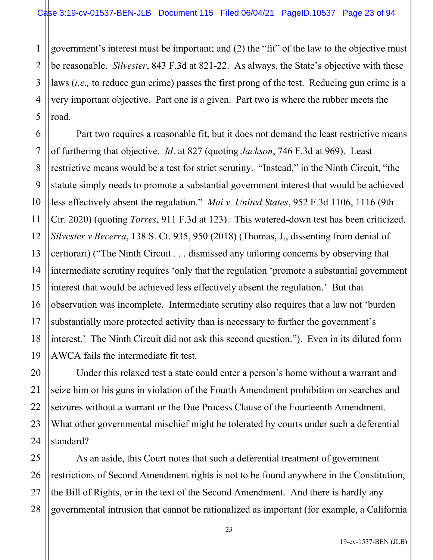1 2 3 4 5 government's interest must be important; and (2) the "fit" of the law to the objective must be reasonable. *Silvester*, 843 F.3d at 821-22. As always, the State's objective with these laws (*i.e.,* to reduce gun crime) passes the first prong of the test. Reducing gun crime is a very important objective. Part one is a given. Part two is where the rubber meets the road.

6 7 8 9 10 11 12 13 14 15 16 17 18 19 Part two requires a reasonable fit, but it does not demand the least restrictive means of furthering that objective. *Id*. at 827 (quoting *Jackson*, 746 F.3d at 969). Least restrictive means would be a test for strict scrutiny. "Instead," in the Ninth Circuit, "the statute simply needs to promote a substantial government interest that would be achieved less effectively absent the regulation." *Mai v. United States*, 952 F.3d 1106, 1116 (9th Cir. 2020) (quoting *Torres*, 911 F.3d at 123). This watered-down test has been criticized. *Silvester v Becerra*, 138 S. Ct. 935, 950 (2018) (Thomas, J., dissenting from denial of certiorari) ("The Ninth Circuit . . . dismissed any tailoring concerns by observing that intermediate scrutiny requires 'only that the regulation 'promote a substantial government interest that would be achieved less effectively absent the regulation.' But that observation was incomplete. Intermediate scrutiny also requires that a law not 'burden substantially more protected activity than is necessary to further the government's interest.' The Ninth Circuit did not ask this second question."). Even in its diluted form AWCA fails the intermediate fit test.

Under this relaxed test a state could enter a person's home without a warrant and seize him or his guns in violation of the Fourth Amendment prohibition on searches and seizures without a warrant or the Due Process Clause of the Fourteenth Amendment. What other governmental mischief might be tolerated by courts under such a deferential standard?

25 26 27 28 As an aside, this Court notes that such a deferential treatment of government restrictions of Second Amendment rights is not to be found anywhere in the Constitution, the Bill of Rights, or in the text of the Second Amendment. And there is hardly any governmental intrusion that cannot be rationalized as important (for example, a California

20

21

22

23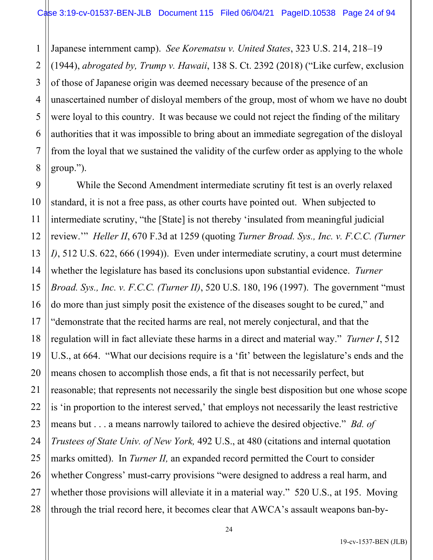1 2 3 4 5 6 7 8 Japanese internment camp). *See Korematsu v. United States*, 323 U.S. 214, 218–19 (1944), *abrogated by, Trump v. Hawaii*, 138 S. Ct. 2392 (2018) ("Like curfew, exclusion of those of Japanese origin was deemed necessary because of the presence of an unascertained number of disloyal members of the group, most of whom we have no doubt were loyal to this country. It was because we could not reject the finding of the military authorities that it was impossible to bring about an immediate segregation of the disloyal from the loyal that we sustained the validity of the curfew order as applying to the whole group.").

9 10 11 12 13 14 15 16 17 18 19 20 21 22 23 24 25 26 27 28 While the Second Amendment intermediate scrutiny fit test is an overly relaxed standard, it is not a free pass, as other courts have pointed out. When subjected to intermediate scrutiny, "the [State] is not thereby 'insulated from meaningful judicial review.'" *Heller II*, 670 F.3d at 1259 (quoting *Turner Broad. Sys., Inc. v. F.C.C. (Turner I)*, 512 U.S. 622, 666 (1994)). Even under intermediate scrutiny, a court must determine whether the legislature has based its conclusions upon substantial evidence. *Turner Broad. Sys., Inc. v. F.C.C. (Turner II)*, 520 U.S. 180, 196 (1997). The government "must do more than just simply posit the existence of the diseases sought to be cured," and "demonstrate that the recited harms are real, not merely conjectural, and that the regulation will in fact alleviate these harms in a direct and material way." *Turner I*, 512 U.S., at 664. "What our decisions require is a 'fit' between the legislature's ends and the means chosen to accomplish those ends, a fit that is not necessarily perfect, but reasonable; that represents not necessarily the single best disposition but one whose scope is 'in proportion to the interest served,' that employs not necessarily the least restrictive means but . . . a means narrowly tailored to achieve the desired objective." *Bd. of Trustees of State Univ. of New York,* 492 U.S., at 480 (citations and internal quotation marks omitted). In *Turner II,* an expanded record permitted the Court to consider whether Congress' must-carry provisions "were designed to address a real harm, and whether those provisions will alleviate it in a material way." 520 U.S., at 195. Moving through the trial record here, it becomes clear that AWCA's assault weapons ban-by-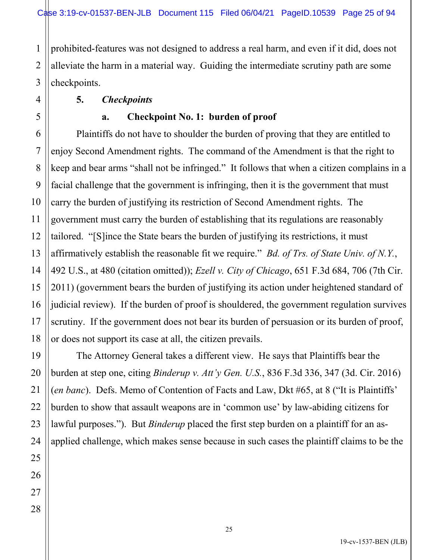1 2 prohibited-features was not designed to address a real harm, and even if it did, does not alleviate the harm in a material way. Guiding the intermediate scrutiny path are some checkpoints.

### **5.** *Checkpoints*

### **a. Checkpoint No. 1: burden of proof**

Plaintiffs do not have to shoulder the burden of proving that they are entitled to enjoy Second Amendment rights. The command of the Amendment is that the right to keep and bear arms "shall not be infringed." It follows that when a citizen complains in a facial challenge that the government is infringing, then it is the government that must carry the burden of justifying its restriction of Second Amendment rights. The government must carry the burden of establishing that its regulations are reasonably tailored. "[S]ince the State bears the burden of justifying its restrictions, it must affirmatively establish the reasonable fit we require." *Bd. of Trs. of State Univ. of N.Y.*, 492 U.S., at 480 (citation omitted)); *Ezell v. City of Chicago*, 651 F.3d 684, 706 (7th Cir. 2011) (government bears the burden of justifying its action under heightened standard of judicial review). If the burden of proof is shouldered, the government regulation survives scrutiny. If the government does not bear its burden of persuasion or its burden of proof, or does not support its case at all, the citizen prevails.

The Attorney General takes a different view. He says that Plaintiffs bear the burden at step one, citing *Binderup v. Att'y Gen. U.S.*, 836 F.3d 336, 347 (3d. Cir. 2016) (*en banc*). Defs. Memo of Contention of Facts and Law, Dkt #65, at 8 ("It is Plaintiffs' burden to show that assault weapons are in 'common use' by law-abiding citizens for lawful purposes."). But *Binderup* placed the first step burden on a plaintiff for an asapplied challenge, which makes sense because in such cases the plaintiff claims to be the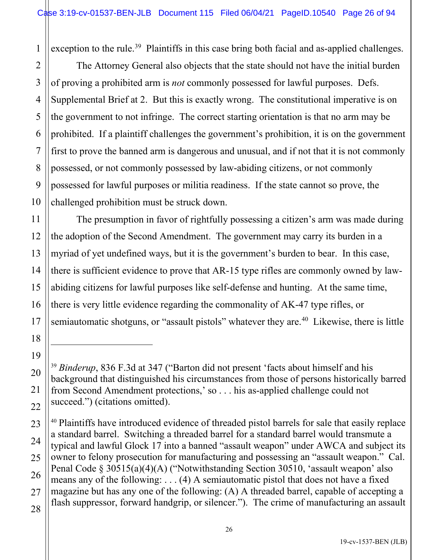1 exception to the rule.<sup>[39](#page-25-0)</sup> Plaintiffs in this case bring both facial and as-applied challenges.

The Attorney General also objects that the state should not have the initial burden of proving a prohibited arm is *not* commonly possessed for lawful purposes. Defs. Supplemental Brief at 2. But this is exactly wrong. The constitutional imperative is on the government to not infringe. The correct starting orientation is that no arm may be prohibited. If a plaintiff challenges the government's prohibition, it is on the government first to prove the banned arm is dangerous and unusual, and if not that it is not commonly possessed, or not commonly possessed by law-abiding citizens, or not commonly possessed for lawful purposes or militia readiness. If the state cannot so prove, the challenged prohibition must be struck down.

The presumption in favor of rightfully possessing a citizen's arm was made during the adoption of the Second Amendment. The government may carry its burden in a myriad of yet undefined ways, but it is the government's burden to bear. In this case, there is sufficient evidence to prove that AR-15 type rifles are commonly owned by lawabiding citizens for lawful purposes like self-defense and hunting. At the same time, there is very little evidence regarding the commonality of AK-47 type rifles, or semiautomatic shotguns, or "assault pistols" whatever they are.<sup>[40](#page-25-1)</sup> Likewise, there is little

2

<span id="page-25-0"></span><sup>39</sup> *Binderup*, 836 F.3d at 347 ("Barton did not present 'facts about himself and his background that distinguished his circumstances from those of persons historically barred from Second Amendment protections,' so . . . his as-applied challenge could not succeed.") (citations omitted).

<span id="page-25-1"></span><sup>&</sup>lt;sup>40</sup> Plaintiffs have introduced evidence of threaded pistol barrels for sale that easily replace a standard barrel. Switching a threaded barrel for a standard barrel would transmute a typical and lawful Glock 17 into a banned "assault weapon" under AWCA and subject its owner to felony prosecution for manufacturing and possessing an "assault weapon." Cal. Penal Code § 30515(a)(4)(A) ("Notwithstanding Section 30510, 'assault weapon' also means any of the following: . . . (4) A semiautomatic pistol that does not have a fixed magazine but has any one of the following: (A) A threaded barrel, capable of accepting a flash suppressor, forward handgrip, or silencer."). The crime of manufacturing an assault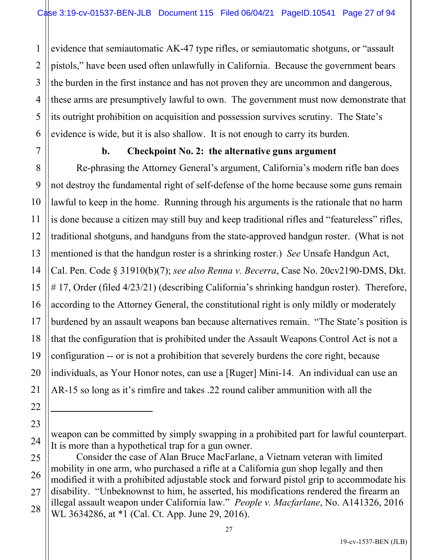3 4 5 6 evidence that semiautomatic AK-47 type rifles, or semiautomatic shotguns, or "assault pistols," have been used often unlawfully in California. Because the government bears the burden in the first instance and has not proven they are uncommon and dangerous, these arms are presumptively lawful to own. The government must now demonstrate that its outright prohibition on acquisition and possession survives scrutiny. The State's evidence is wide, but it is also shallow. It is not enough to carry its burden.

7

8

9

10

11

12

13

14

15

16

17

18

19

20

21

22

23

24

1

2

# **b. Checkpoint No. 2: the alternative guns argument**

Re-phrasing the Attorney General's argument, California's modern rifle ban does not destroy the fundamental right of self-defense of the home because some guns remain lawful to keep in the home. Running through his arguments is the rationale that no harm is done because a citizen may still buy and keep traditional rifles and "featureless" rifles, traditional shotguns, and handguns from the state-approved handgun roster. (What is not mentioned is that the handgun roster is a shrinking roster.) *See* Unsafe Handgun Act, Cal. Pen. Code § 31910(b)(7); *see also Renna v. Becerra*, Case No. 20cv2190-DMS, Dkt. # 17, Order (filed 4/23/21) (describing California's shrinking handgun roster). Therefore, according to the Attorney General, the constitutional right is only mildly or moderately burdened by an assault weapons ban because alternatives remain. "The State's position is that the configuration that is prohibited under the Assault Weapons Control Act is not a configuration -- or is not a prohibition that severely burdens the core right, because individuals, as Your Honor notes, can use a [Ruger] Mini-14. An individual can use an AR-15 so long as it's rimfire and takes .22 round caliber ammunition with all the

weapon can be committed by simply swapping in a prohibited part for lawful counterpart. It is more than a hypothetical trap for a gun owner.

<sup>25</sup> 26 27 28 Consider the case of Alan Bruce MacFarlane, a Vietnam veteran with limited mobility in one arm, who purchased a rifle at a California gun shop legally and then modified it with a prohibited adjustable stock and forward pistol grip to accommodate his disability. "Unbeknownst to him, he asserted, his modifications rendered the firearm an illegal assault weapon under California law." *People v. Macfarlane*, No. A141326, 2016 WL 3634286, at \*1 (Cal. Ct. App. June 29, 2016).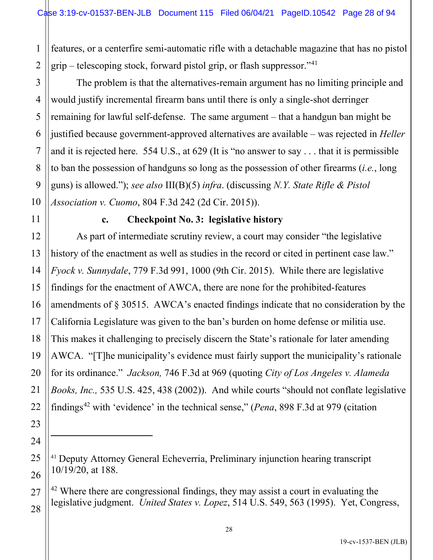1 2 features, or a centerfire semi-automatic rifle with a detachable magazine that has no pistol grip – telescoping stock, forward pistol grip, or flash suppressor."<sup>[41](#page-27-0)</sup>

10 The problem is that the alternatives-remain argument has no limiting principle and would justify incremental firearm bans until there is only a single-shot derringer remaining for lawful self-defense. The same argument – that a handgun ban might be justified because government-approved alternatives are available – was rejected in *Heller* and it is rejected here. 554 U.S., at 629 (It is "no answer to say . . . that it is permissible to ban the possession of handguns so long as the possession of other firearms (*i.e.*, long guns) is allowed."); *see also* III(B)(5) *infra*. (discussing *N.Y. State Rifle & Pistol Association v. Cuomo*, 804 F.3d 242 (2d Cir. 2015)).

11

12

13

14

15

17

18

19

20

21

22

23

24

<span id="page-27-0"></span>25

26

<span id="page-27-1"></span>27

28

3

4

5

6

7

8

9

## **c. Checkpoint No. 3: legislative history**

16 As part of intermediate scrutiny review, a court may consider "the legislative history of the enactment as well as studies in the record or cited in pertinent case law." *Fyock v. Sunnydale*, 779 F.3d 991, 1000 (9th Cir. 2015). While there are legislative findings for the enactment of AWCA, there are none for the prohibited-features amendments of § 30515. AWCA's enacted findings indicate that no consideration by the California Legislature was given to the ban's burden on home defense or militia use. This makes it challenging to precisely discern the State's rationale for later amending AWCA. "[T]he municipality's evidence must fairly support the municipality's rationale for its ordinance." *Jackson,* 746 F.3d at 969 (quoting *City of Los Angeles v. Alameda Books, Inc.,* 535 U.S. 425, 438 (2002)). And while courts "should not conflate legislative findings[42](#page-27-1) with 'evidence' in the technical sense," (*Pena*, 898 F.3d at 979 (citation

<sup>41</sup> Deputy Attorney General Echeverria, Preliminary injunction hearing transcript 10/19/20, at 188.

 $42$  Where there are congressional findings, they may assist a court in evaluating the legislative judgment. *United States v. Lopez*, 514 U.S. 549, 563 (1995). Yet, Congress,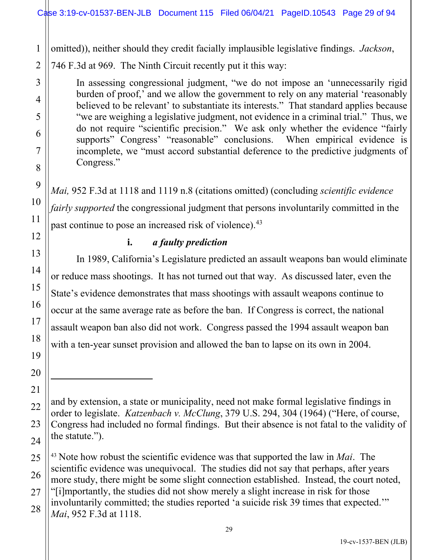1 omitted)), neither should they credit facially implausible legislative findings. *Jackson*,

2 746 F.3d at 969. The Ninth Circuit recently put it this way:

3

4

5

6

7

8

9

10

11

12

13

14

15

16

17

18

19

20

21

22

23

24

In assessing congressional judgment, "we do not impose an 'unnecessarily rigid burden of proof,' and we allow the government to rely on any material 'reasonably believed to be relevant' to substantiate its interests." That standard applies because "we are weighing a legislative judgment, not evidence in a criminal trial." Thus, we do not require "scientific precision." We ask only whether the evidence "fairly supports" Congress' "reasonable" conclusions. When empirical evidence is incomplete, we "must accord substantial deference to the predictive judgments of Congress."

*Mai,* 952 F.3d at 1118 and 1119 n.8 (citations omitted) (concluding *scientific evidence fairly supported* the congressional judgment that persons involuntarily committed in the

past continue to pose an increased risk of violence).<sup>[43](#page-28-0)</sup>

# **i.** *a faulty prediction*

In 1989, California's Legislature predicted an assault weapons ban would eliminate or reduce mass shootings. It has not turned out that way. As discussed later, even the State's evidence demonstrates that mass shootings with assault weapons continue to occur at the same average rate as before the ban. If Congress is correct, the national assault weapon ban also did not work. Congress passed the 1994 assault weapon ban with a ten-year sunset provision and allowed the ban to lapse on its own in 2004.

and by extension, a state or municipality, need not make formal legislative findings in order to legislate. *Katzenbach v. McClung*, 379 U.S. 294, 304 (1964) ("Here, of course, Congress had included no formal findings. But their absence is not fatal to the validity of the statute.").

<span id="page-28-0"></span><sup>25</sup> 26 27 28 <sup>43</sup> Note how robust the scientific evidence was that supported the law in *Mai*. The scientific evidence was unequivocal. The studies did not say that perhaps, after years more study, there might be some slight connection established. Instead, the court noted, "[i]mportantly, the studies did not show merely a slight increase in risk for those involuntarily committed; the studies reported 'a suicide risk 39 times that expected.'" *Mai*, 952 F.3d at 1118.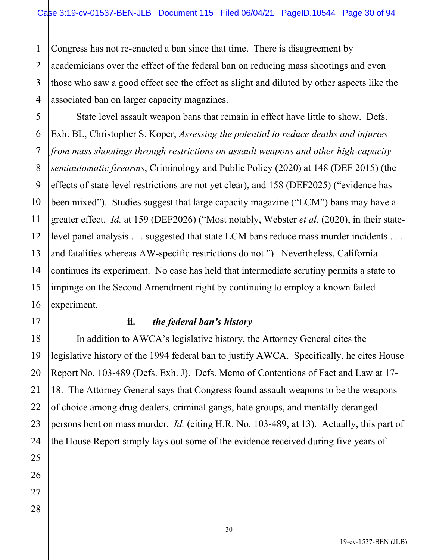1 2 Congress has not re-enacted a ban since that time. There is disagreement by academicians over the effect of the federal ban on reducing mass shootings and even those who saw a good effect see the effect as slight and diluted by other aspects like the associated ban on larger capacity magazines.

State level assault weapon bans that remain in effect have little to show. Defs. Exh. BL, Christopher S. Koper, *Assessing the potential to reduce deaths and injuries from mass shootings through restrictions on assault weapons and other high-capacity semiautomatic firearms*, Criminology and Public Policy (2020) at 148 (DEF 2015) (the effects of state-level restrictions are not yet clear), and 158 (DEF2025) ("evidence has been mixed"). Studies suggest that large capacity magazine ("LCM") bans may have a greater effect. *Id.* at 159 (DEF2026) ("Most notably, Webster *et al.* (2020), in their statelevel panel analysis . . . suggested that state LCM bans reduce mass murder incidents . . . and fatalities whereas AW-specific restrictions do not."). Nevertheless, California continues its experiment. No case has held that intermediate scrutiny permits a state to impinge on the Second Amendment right by continuing to employ a known failed experiment.

## **ii.** *the federal ban's history*

In addition to AWCA's legislative history, the Attorney General cites the legislative history of the 1994 federal ban to justify AWCA. Specifically, he cites House Report No. 103-489 (Defs. Exh. J). Defs. Memo of Contentions of Fact and Law at 17- 18. The Attorney General says that Congress found assault weapons to be the weapons of choice among drug dealers, criminal gangs, hate groups, and mentally deranged persons bent on mass murder. *Id.* (citing H.R. No. 103-489, at 13). Actually, this part of the House Report simply lays out some of the evidence received during five years of

19-cv-1537-BEN (JLB)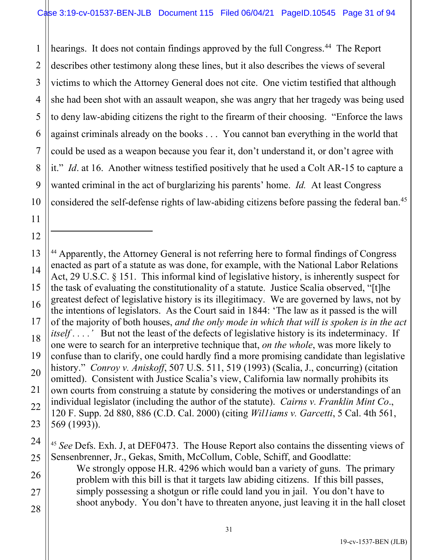1 2 3 4 5 6 7 8 9 10 hearings. It does not contain findings approved by the full Congress.<sup>[44](#page-30-0)</sup> The Report describes other testimony along these lines, but it also describes the views of several victims to which the Attorney General does not cite. One victim testified that although she had been shot with an assault weapon, she was angry that her tragedy was being used to deny law-abiding citizens the right to the firearm of their choosing. "Enforce the laws against criminals already on the books . . . You cannot ban everything in the world that could be used as a weapon because you fear it, don't understand it, or don't agree with it." *Id*. at 16. Another witness testified positively that he used a Colt AR-15 to capture a wanted criminal in the act of burglarizing his parents' home. *Id.* At least Congress considered the self-defense rights of law-abiding citizens before passing the federal ban. [45](#page-30-1)

11

12

<span id="page-30-1"></span>24

25

26

27

28

<sup>45</sup> *See* Defs. Exh. J, at DEF0473. The House Report also contains the dissenting views of Sensenbrenner, Jr., Gekas, Smith, McCollum, Coble, Schiff, and Goodlatte: We strongly oppose H.R. 4296 which would ban a variety of guns. The primary problem with this bill is that it targets law abiding citizens. If this bill passes,

simply possessing a shotgun or rifle could land you in jail. You don't have to shoot anybody. You don't have to threaten anyone, just leaving it in the hall closet

<span id="page-30-0"></span><sup>13</sup> 14 15 16 17 18 19 20 21 22 23 <sup>44</sup> Apparently, the Attorney General is not referring here to formal findings of Congress enacted as part of a statute as was done, for example, with the National Labor Relations Act, 29 U.S.C. § 151. This informal kind of legislative history, is inherently suspect for the task of evaluating the constitutionality of a statute. Justice Scalia observed, "[t]he greatest defect of legislative history is its illegitimacy. We are governed by laws, not by the intentions of legislators. As the Court said in 1844: 'The law as it passed is the will of the majority of both houses, *and the only mode in which that will is spoken is in the act itself....'* But not the least of the defects of legislative history is its indeterminacy. If one were to search for an interpretive technique that, *on the whole*, was more likely to confuse than to clarify, one could hardly find a more promising candidate than legislative history." *Conroy v. Aniskoff*, 507 U.S. 511, 519 (1993) (Scalia, J., concurring) (citation omitted). Consistent with Justice Scalia's view, California law normally prohibits its own courts from construing a statute by considering the motives or understandings of an individual legislator (including the author of the statute). *Cairns v. Franklin Mint Co*., 120 F. Supp. 2d 880, 886 (C.D. Cal. 2000) (citing *Wil1iams v. Garcetti*, 5 Cal. 4th 561, 569 (1993)).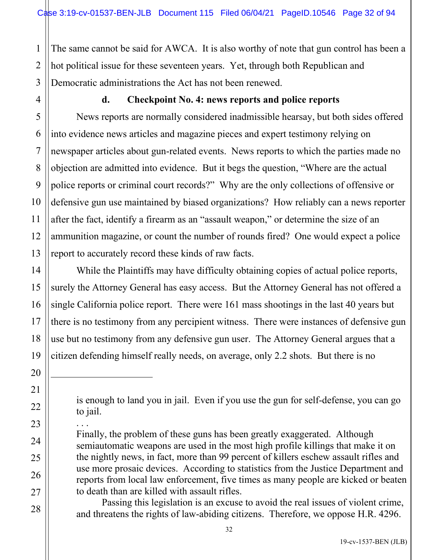1 2 The same cannot be said for AWCA. It is also worthy of note that gun control has been a hot political issue for these seventeen years. Yet, through both Republican and Democratic administrations the Act has not been renewed.

### **d. Checkpoint No. 4: news reports and police reports**

News reports are normally considered inadmissible hearsay, but both sides offered into evidence news articles and magazine pieces and expert testimony relying on newspaper articles about gun-related events. News reports to which the parties made no objection are admitted into evidence. But it begs the question, "Where are the actual police reports or criminal court records?" Why are the only collections of offensive or defensive gun use maintained by biased organizations? How reliably can a news reporter after the fact, identify a firearm as an "assault weapon," or determine the size of an ammunition magazine, or count the number of rounds fired? One would expect a police report to accurately record these kinds of raw facts.

While the Plaintiffs may have difficulty obtaining copies of actual police reports, surely the Attorney General has easy access. But the Attorney General has not offered a single California police report. There were 161 mass shootings in the last 40 years but there is no testimony from any percipient witness. There were instances of defensive gun use but no testimony from any defensive gun user. The Attorney General argues that a citizen defending himself really needs, on average, only 2.2 shots. But there is no

Passing this legislation is an excuse to avoid the real issues of violent crime, and threatens the rights of law-abiding citizens. Therefore, we oppose H.R. 4296.

is enough to land you in jail. Even if you use the gun for self-defense, you can go to jail.

<sup>. . .</sup>  Finally, the problem of these guns has been greatly exaggerated. Although semiautomatic weapons are used in the most high profile killings that make it on the nightly news, in fact, more than 99 percent of killers eschew assault rifles and use more prosaic devices. According to statistics from the Justice Department and reports from local law enforcement, five times as many people are kicked or beaten to death than are killed with assault rifles.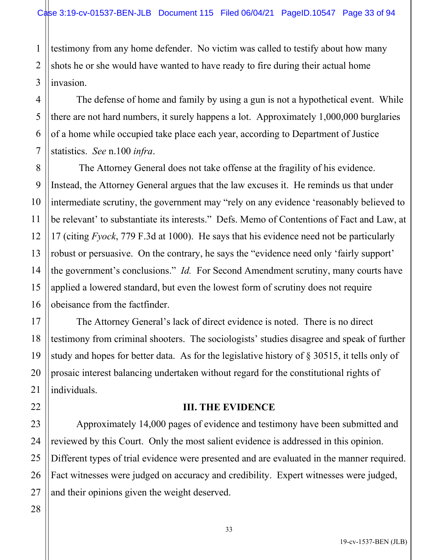1 2 testimony from any home defender. No victim was called to testify about how many shots he or she would have wanted to have ready to fire during their actual home invasion.

The defense of home and family by using a gun is not a hypothetical event. While there are not hard numbers, it surely happens a lot. Approximately 1,000,000 burglaries of a home while occupied take place each year, according to Department of Justice statistics. *See* n.100 *infra*.

The Attorney General does not take offense at the fragility of his evidence. Instead, the Attorney General argues that the law excuses it. He reminds us that under intermediate scrutiny, the government may "rely on any evidence 'reasonably believed to be relevant' to substantiate its interests." Defs. Memo of Contentions of Fact and Law, at 17 (citing *Fyock*, 779 F.3d at 1000). He says that his evidence need not be particularly robust or persuasive. On the contrary, he says the "evidence need only 'fairly support' the government's conclusions." *Id.* For Second Amendment scrutiny, many courts have applied a lowered standard, but even the lowest form of scrutiny does not require obeisance from the factfinder.

The Attorney General's lack of direct evidence is noted. There is no direct testimony from criminal shooters. The sociologists' studies disagree and speak of further study and hopes for better data. As for the legislative history of § 30515, it tells only of prosaic interest balancing undertaken without regard for the constitutional rights of individuals.

### **III. THE EVIDENCE**

Approximately 14,000 pages of evidence and testimony have been submitted and reviewed by this Court. Only the most salient evidence is addressed in this opinion. Different types of trial evidence were presented and are evaluated in the manner required. Fact witnesses were judged on accuracy and credibility. Expert witnesses were judged, and their opinions given the weight deserved.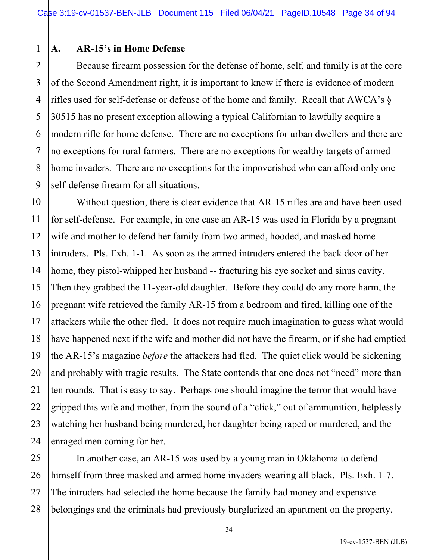### 1 **A. AR-15's in Home Defense**

Because firearm possession for the defense of home, self, and family is at the core of the Second Amendment right, it is important to know if there is evidence of modern rifles used for self-defense or defense of the home and family. Recall that AWCA's § 30515 has no present exception allowing a typical Californian to lawfully acquire a modern rifle for home defense. There are no exceptions for urban dwellers and there are no exceptions for rural farmers. There are no exceptions for wealthy targets of armed home invaders. There are no exceptions for the impoverished who can afford only one self-defense firearm for all situations.

Without question, there is clear evidence that AR-15 rifles are and have been used for self-defense. For example, in one case an AR-15 was used in Florida by a pregnant wife and mother to defend her family from two armed, hooded, and masked home intruders. Pls. Exh. 1-1. As soon as the armed intruders entered the back door of her home, they pistol-whipped her husband -- fracturing his eye socket and sinus cavity. Then they grabbed the 11-year-old daughter. Before they could do any more harm, the pregnant wife retrieved the family AR-15 from a bedroom and fired, killing one of the attackers while the other fled. It does not require much imagination to guess what would have happened next if the wife and mother did not have the firearm, or if she had emptied the AR-15's magazine *before* the attackers had fled. The quiet click would be sickening and probably with tragic results. The State contends that one does not "need" more than ten rounds. That is easy to say. Perhaps one should imagine the terror that would have gripped this wife and mother, from the sound of a "click," out of ammunition, helplessly watching her husband being murdered, her daughter being raped or murdered, and the enraged men coming for her.

In another case, an AR-15 was used by a young man in Oklahoma to defend himself from three masked and armed home invaders wearing all black. Pls. Exh. 1-7. The intruders had selected the home because the family had money and expensive belongings and the criminals had previously burglarized an apartment on the property.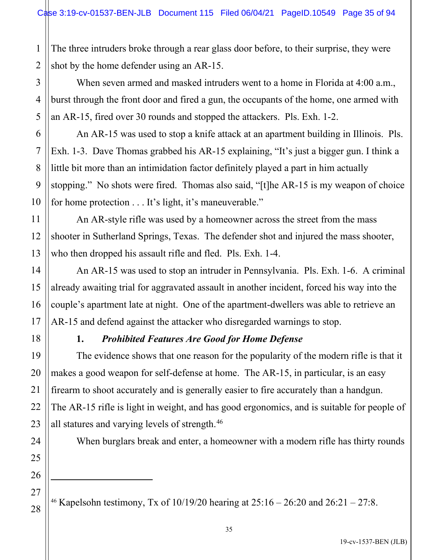1 2 The three intruders broke through a rear glass door before, to their surprise, they were shot by the home defender using an AR-15.

When seven armed and masked intruders went to a home in Florida at 4:00 a.m., burst through the front door and fired a gun, the occupants of the home, one armed with an AR-15, fired over 30 rounds and stopped the attackers. Pls. Exh. 1-2.

An AR-15 was used to stop a knife attack at an apartment building in Illinois. Pls. Exh. 1-3. Dave Thomas grabbed his AR-15 explaining, "It's just a bigger gun. I think a little bit more than an intimidation factor definitely played a part in him actually stopping." No shots were fired. Thomas also said, "[t]he AR-15 is my weapon of choice for home protection . . . It's light, it's maneuverable."

An AR-style rifle was used by a homeowner across the street from the mass shooter in Sutherland Springs, Texas. The defender shot and injured the mass shooter, who then dropped his assault rifle and fled. Pls. Exh. 1-4.

An AR-15 was used to stop an intruder in Pennsylvania. Pls. Exh. 1-6. A criminal already awaiting trial for aggravated assault in another incident, forced his way into the couple's apartment late at night. One of the apartment-dwellers was able to retrieve an AR-15 and defend against the attacker who disregarded warnings to stop.

# **1.** *Prohibited Features Are Good for Home Defense*

The evidence shows that one reason for the popularity of the modern rifle is that it makes a good weapon for self-defense at home. The AR-15, in particular, is an easy firearm to shoot accurately and is generally easier to fire accurately than a handgun. The AR-15 rifle is light in weight, and has good ergonomics, and is suitable for people of all statures and varying levels of strength.<sup>[46](#page-34-0)</sup>

When burglars break and enter, a homeowner with a modern rifle has thirty rounds

<span id="page-34-0"></span><sup>46</sup> Kapelsohn testimony, Tx of  $10/19/20$  hearing at  $25:16 - 26:20$  and  $26:21 - 27:8$ .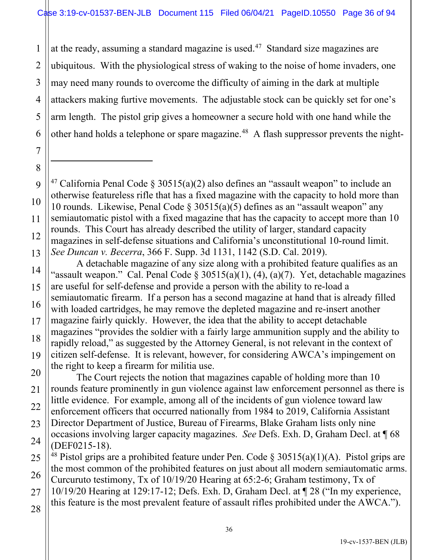1 2 3 4 5 at the ready, assuming a standard magazine is used.<sup>[47](#page-35-0)</sup> Standard size magazines are ubiquitous. With the physiological stress of waking to the noise of home invaders, one may need many rounds to overcome the difficulty of aiming in the dark at multiple attackers making furtive movements. The adjustable stock can be quickly set for one's arm length. The pistol grip gives a homeowner a secure hold with one hand while the other hand holds a telephone or spare magazine.<sup>[48](#page-35-1)</sup> A flash suppressor prevents the night-

- <span id="page-35-0"></span><sup>47</sup> California Penal Code § 30515(a)(2) also defines an "assault weapon" to include an otherwise featureless rifle that has a fixed magazine with the capacity to hold more than 10 rounds. Likewise, Penal Code § 30515(a)(5) defines as an "assault weapon" any semiautomatic pistol with a fixed magazine that has the capacity to accept more than 10 rounds. This Court has already described the utility of larger, standard capacity magazines in self-defense situations and California's unconstitutional 10-round limit. *See Duncan v. Becerra*, 366 F. Supp. 3d 1131, 1142 (S.D. Cal. 2019).
- A detachable magazine of any size along with a prohibited feature qualifies as an "assault weapon." Cal. Penal Code § 30515(a)(1), (4), (a)(7). Yet, detachable magazines are useful for self-defense and provide a person with the ability to re-load a semiautomatic firearm. If a person has a second magazine at hand that is already filled with loaded cartridges, he may remove the depleted magazine and re-insert another magazine fairly quickly. However, the idea that the ability to accept detachable magazines "provides the soldier with a fairly large ammunition supply and the ability to rapidly reload," as suggested by the Attorney General, is not relevant in the context of citizen self-defense. It is relevant, however, for considering AWCA's impingement on the right to keep a firearm for militia use.

The Court rejects the notion that magazines capable of holding more than 10 rounds feature prominently in gun violence against law enforcement personnel as there is little evidence. For example, among all of the incidents of gun violence toward law enforcement officers that occurred nationally from 1984 to 2019, California Assistant Director Department of Justice, Bureau of Firearms, Blake Graham lists only nine occasions involving larger capacity magazines. *See* Defs. Exh. D, Graham Decl. at ¶ 68 (DEF0215-18).

<span id="page-35-1"></span><sup>48</sup> Pistol grips are a prohibited feature under Pen. Code  $\S 30515(a)(1)(A)$ . Pistol grips are the most common of the prohibited features on just about all modern semiautomatic arms. Curcuruto testimony, Tx of 10/19/20 Hearing at 65:2-6; Graham testimony, Tx of 10/19/20 Hearing at 129:17-12; Defs. Exh. D, Graham Decl. at ¶ 28 ("In my experience, this feature is the most prevalent feature of assault rifles prohibited under the AWCA.").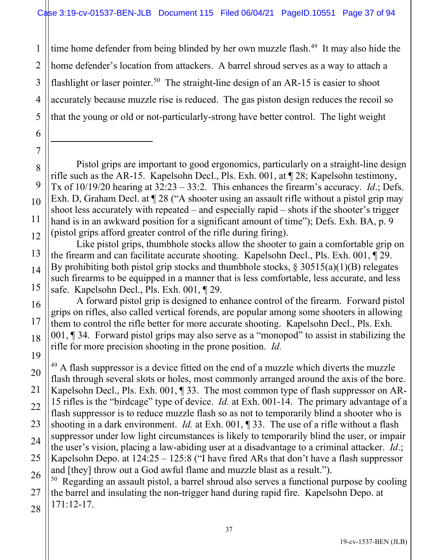1 2 3 4 5 time home defender from being blinded by her own muzzle flash.<sup>[49](#page-36-0)</sup> It may also hide the home defender's location from attackers. A barrel shroud serves as a way to attach a flashlight or laser pointer.<sup>[50](#page-36-1)</sup> The straight-line design of an AR-15 is easier to shoot accurately because muzzle rise is reduced. The gas piston design reduces the recoil so that the young or old or not-particularly-strong have better control. The light weight

- 8 9 10 11 12 Pistol grips are important to good ergonomics, particularly on a straight-line design rifle such as the AR-15. Kapelsohn Decl., Pls. Exh. 001, at ¶ 28; Kapelsohn testimony, Tx of 10/19/20 hearing at 32:23 – 33:2. This enhances the firearm's accuracy. *Id*.; Defs. Exh. D, Graham Decl. at  $\P$  28 ("A shooter using an assault rifle without a pistol grip may shoot less accurately with repeated – and especially rapid – shots if the shooter's trigger hand is in an awkward position for a significant amount of time"); Defs. Exh. BA, p. 9 (pistol grips afford greater control of the rifle during firing).
- 13 14 15 Like pistol grips, thumbhole stocks allow the shooter to gain a comfortable grip on the firearm and can facilitate accurate shooting. Kapelsohn Decl., Pls. Exh. 001, ¶ 29. By prohibiting both pistol grip stocks and thumbhole stocks,  $\S 30515(a)(1)(B)$  relegates such firearms to be equipped in a manner that is less comfortable, less accurate, and less safe. Kapelsohn Decl., Pls. Exh. 001, ¶ 29.
- 16

17

18

19

6

7

A forward pistol grip is designed to enhance control of the firearm. Forward pistol grips on rifles, also called vertical forends, are popular among some shooters in allowing them to control the rifle better for more accurate shooting. Kapelsohn Decl., Pls. Exh. 001, ¶ 34. Forward pistol grips may also serve as a "monopod" to assist in stabilizing the rifle for more precision shooting in the prone position. *Id.*

<span id="page-36-0"></span>20 21 22 23 24 25 26  $49$  A flash suppressor is a device fitted on the end of a muzzle which diverts the muzzle flash through several slots or holes, most commonly arranged around the axis of the bore. Kapelsohn Decl., Pls. Exh. 001, ¶ 33. The most common type of flash suppressor on AR-15 rifles is the "birdcage" type of device. *Id.* at Exh. 001-14. The primary advantage of a flash suppressor is to reduce muzzle flash so as not to temporarily blind a shooter who is shooting in a dark environment. *Id.* at Exh. 001, ¶ 33. The use of a rifle without a flash suppressor under low light circumstances is likely to temporarily blind the user, or impair the user's vision, placing a law-abiding user at a disadvantage to a criminal attacker. *Id*.; Kapelsohn Depo. at  $124:25 - 125:8$  ("I have fired ARs that don't have a flash suppressor and [they] throw out a God awful flame and muzzle blast as a result."). <sup>50</sup> Regarding an assault pistol, a barrel shroud also serves a functional purpose by cooling

<span id="page-36-1"></span>27 28 the barrel and insulating the non-trigger hand during rapid fire. Kapelsohn Depo. at 171:12-17.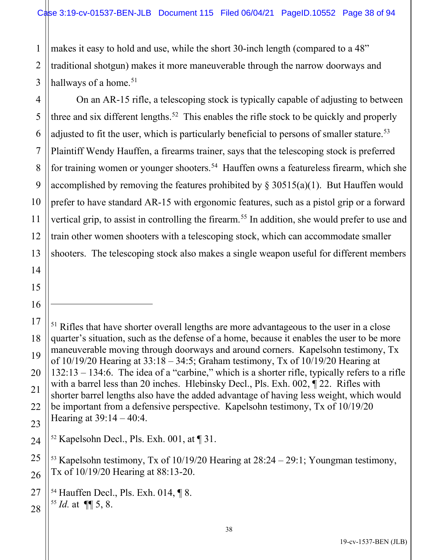1 2 makes it easy to hold and use, while the short 30-inch length (compared to a 48" traditional shotgun) makes it more maneuverable through the narrow doorways and hallways of a home.<sup>[51](#page-37-0)</sup>

On an AR-15 rifle, a telescoping stock is typically capable of adjusting to between three and six different lengths.<sup>[52](#page-37-1)</sup> This enables the rifle stock to be quickly and properly adjusted to fit the user, which is particularly beneficial to persons of smaller stature.<sup>[53](#page-37-2)</sup> Plaintiff Wendy Hauffen, a firearms trainer, says that the telescoping stock is preferred for training women or younger shooters.<sup>[54](#page-37-3)</sup> Hauffen owns a featureless firearm, which she accomplished by removing the features prohibited by  $\S 30515(a)(1)$ . But Hauffen would prefer to have standard AR-15 with ergonomic features, such as a pistol grip or a forward vertical grip, to assist in controlling the firearm.<sup>[55](#page-37-4)</sup> In addition, she would prefer to use and train other women shooters with a telescoping stock, which can accommodate smaller shooters. The telescoping stock also makes a single weapon useful for different members

<span id="page-37-0"></span><sup>&</sup>lt;sup>51</sup> Rifles that have shorter overall lengths are more advantageous to the user in a close quarter's situation, such as the defense of a home, because it enables the user to be more maneuverable moving through doorways and around corners. Kapelsohn testimony, Tx of  $10/19/20$  Hearing at  $33:18 - 34:5$ ; Graham testimony, Tx of  $10/19/20$  Hearing at 132:13 – 134:6. The idea of a "carbine," which is a shorter rifle, typically refers to a rifle with a barrel less than 20 inches. Hlebinsky Decl., Pls. Exh. 002,  $\S$  22. Rifles with shorter barrel lengths also have the added advantage of having less weight, which would be important from a defensive perspective. Kapelsohn testimony, Tx of 10/19/20 Hearing at 39:14 – 40:4.

<span id="page-37-1"></span><sup>&</sup>lt;sup>52</sup> Kapelsohn Decl., Pls. Exh. 001, at  $\P$  31.

<span id="page-37-2"></span><sup>&</sup>lt;sup>53</sup> Kapelsohn testimony, Tx of  $10/19/20$  Hearing at  $28:24 - 29:1$ ; Youngman testimony, Tx of 10/19/20 Hearing at 88:13-20.

<span id="page-37-4"></span><span id="page-37-3"></span><sup>54</sup> Hauffen Decl., Pls. Exh. 014, ¶ 8. <sup>55</sup> *Id.* at ¶¶ 5, 8.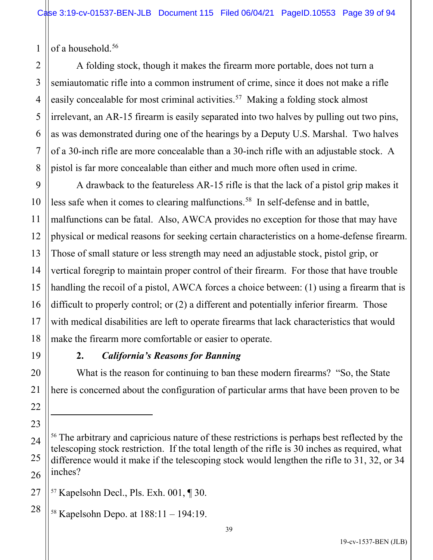1 of a household.<sup>[56](#page-38-0)</sup>

2

3

4

5

A folding stock, though it makes the firearm more portable, does not turn a semiautomatic rifle into a common instrument of crime, since it does not make a rifle easily concealable for most criminal activities.<sup>[57](#page-38-1)</sup> Making a folding stock almost irrelevant, an AR-15 firearm is easily separated into two halves by pulling out two pins, as was demonstrated during one of the hearings by a Deputy U.S. Marshal. Two halves of a 30-inch rifle are more concealable than a 30-inch rifle with an adjustable stock. A pistol is far more concealable than either and much more often used in crime.

A drawback to the featureless AR-15 rifle is that the lack of a pistol grip makes it less safe when it comes to clearing malfunctions.<sup>[58](#page-38-2)</sup> In self-defense and in battle, malfunctions can be fatal. Also, AWCA provides no exception for those that may have physical or medical reasons for seeking certain characteristics on a home-defense firearm. Those of small stature or less strength may need an adjustable stock, pistol grip, or vertical foregrip to maintain proper control of their firearm. For those that have trouble handling the recoil of a pistol, AWCA forces a choice between: (1) using a firearm that is difficult to properly control; or (2) a different and potentially inferior firearm. Those with medical disabilities are left to operate firearms that lack characteristics that would make the firearm more comfortable or easier to operate.

# **2.** *California's Reasons for Banning*

What is the reason for continuing to ban these modern firearms? "So, the State here is concerned about the configuration of particular arms that have been proven to be

<span id="page-38-0"></span><sup>&</sup>lt;sup>56</sup> The arbitrary and capricious nature of these restrictions is perhaps best reflected by the telescoping stock restriction. If the total length of the rifle is 30 inches as required, what difference would it make if the telescoping stock would lengthen the rifle to 31, 32, or 34 inches?

<span id="page-38-1"></span><sup>57</sup> Kapelsohn Decl., Pls. Exh. 001, ¶ 30.

<span id="page-38-2"></span><sup>58</sup> Kapelsohn Depo. at 188:11 – 194:19.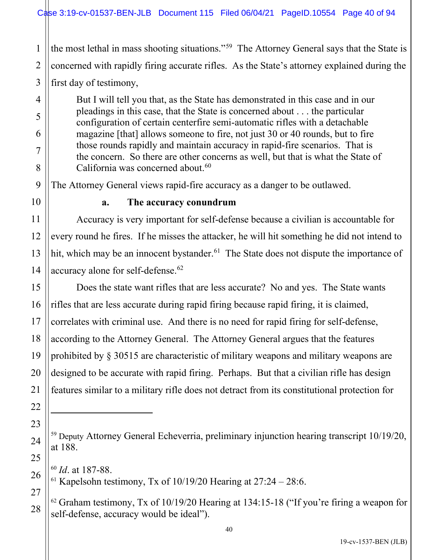the most lethal in mass shooting situations."[59](#page-39-0) The Attorney General says that the State is concerned with rapidly firing accurate rifles. As the State's attorney explained during the first day of testimony,

But I will tell you that, as the State has demonstrated in this case and in our pleadings in this case, that the State is concerned about . . . the particular configuration of certain centerfire semi-automatic rifles with a detachable magazine [that] allows someone to fire, not just 30 or 40 rounds, but to fire those rounds rapidly and maintain accuracy in rapid-fire scenarios. That is the concern. So there are other concerns as well, but that is what the State of California was concerned about. $60$ 

The Attorney General views rapid-fire accuracy as a danger to be outlawed.

#### **a. The accuracy conundrum**

Accuracy is very important for self-defense because a civilian is accountable for every round he fires. If he misses the attacker, he will hit something he did not intend to hit, which may be an innocent bystander.<sup>[61](#page-39-2)</sup> The State does not dispute the importance of accuracy alone for self-defense.<sup>[62](#page-39-3)</sup>

Does the state want rifles that are less accurate? No and yes. The State wants rifles that are less accurate during rapid firing because rapid firing, it is claimed, correlates with criminal use. And there is no need for rapid firing for self-defense, according to the Attorney General. The Attorney General argues that the features prohibited by § 30515 are characteristic of military weapons and military weapons are designed to be accurate with rapid firing. Perhaps. But that a civilian rifle has design features similar to a military rifle does not detract from its constitutional protection for

<span id="page-39-0"></span><sup>59</sup> Deputy Attorney General Echeverria, preliminary injunction hearing transcript 10/19/20, at 188.

<span id="page-39-1"></span><sup>60</sup> *Id*. at 187-88.

<span id="page-39-2"></span><sup>&</sup>lt;sup>61</sup> Kapelsohn testimony, Tx of  $10/19/20$  Hearing at  $27:24 - 28:6$ .

<span id="page-39-3"></span> $62$  Graham testimony, Tx of 10/19/20 Hearing at 134:15-18 ("If you're firing a weapon for self-defense, accuracy would be ideal").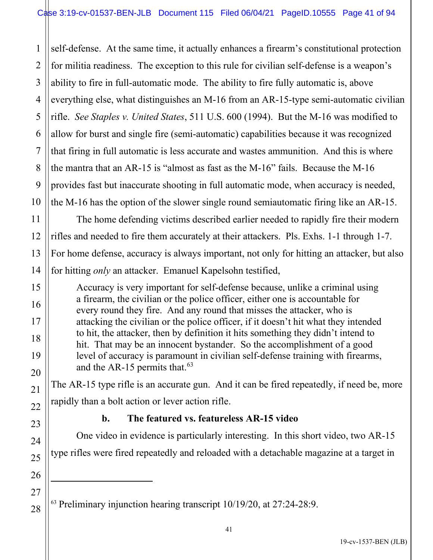2 3 4 5 6 7 8 9 10 self-defense. At the same time, it actually enhances a firearm's constitutional protection for militia readiness. The exception to this rule for civilian self-defense is a weapon's ability to fire in full-automatic mode. The ability to fire fully automatic is, above everything else, what distinguishes an M-16 from an AR-15-type semi-automatic civilian rifle. *See Staples v. United States*, 511 U.S. 600 (1994). But the M-16 was modified to allow for burst and single fire (semi-automatic) capabilities because it was recognized that firing in full automatic is less accurate and wastes ammunition. And this is where the mantra that an AR-15 is "almost as fast as the M-16" fails. Because the M-16 provides fast but inaccurate shooting in full automatic mode, when accuracy is needed, the M-16 has the option of the slower single round semiautomatic firing like an AR-15.

The home defending victims described earlier needed to rapidly fire their modern rifles and needed to fire them accurately at their attackers. Pls. Exhs. 1-1 through 1-7. For home defense, accuracy is always important, not only for hitting an attacker, but also for hitting *only* an attacker. Emanuel Kapelsohn testified,

Accuracy is very important for self-defense because, unlike a criminal using a firearm, the civilian or the police officer, either one is accountable for every round they fire. And any round that misses the attacker, who is attacking the civilian or the police officer, if it doesn't hit what they intended to hit, the attacker, then by definition it hits something they didn't intend to hit. That may be an innocent bystander. So the accomplishment of a good level of accuracy is paramount in civilian self-defense training with firearms, and the AR-15 permits that. $63$ 

The AR-15 type rifle is an accurate gun. And it can be fired repeatedly, if need be, more rapidly than a bolt action or lever action rifle.

1

11

12

13

14

15

16

17

18

19

20

21

22

23

24

25

26

27

<span id="page-40-0"></span>28

# **b. The featured vs. featureless AR-15 video**

One video in evidence is particularly interesting. In this short video, two AR-15 type rifles were fired repeatedly and reloaded with a detachable magazine at a target in

 $63$  Preliminary injunction hearing transcript 10/19/20, at 27:24-28:9.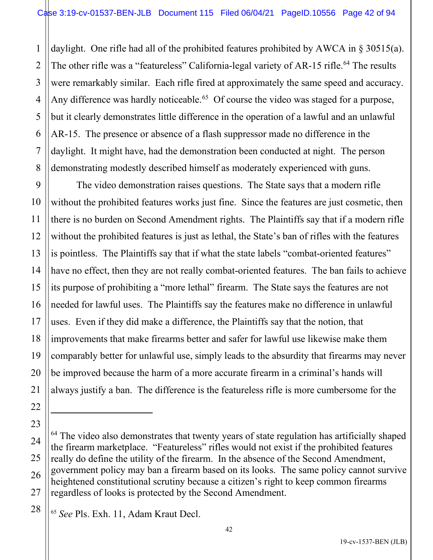1 2 3 4 5 daylight. One rifle had all of the prohibited features prohibited by AWCA in § 30515(a). The other rifle was a "featureless" California-legal variety of AR-15 rifle.<sup>[64](#page-41-0)</sup> The results were remarkably similar. Each rifle fired at approximately the same speed and accuracy. Any difference was hardly noticeable.<sup>[65](#page-41-1)</sup> Of course the video was staged for a purpose, but it clearly demonstrates little difference in the operation of a lawful and an unlawful AR-15. The presence or absence of a flash suppressor made no difference in the daylight. It might have, had the demonstration been conducted at night. The person demonstrating modestly described himself as moderately experienced with guns.

The video demonstration raises questions. The State says that a modern rifle without the prohibited features works just fine. Since the features are just cosmetic, then there is no burden on Second Amendment rights. The Plaintiffs say that if a modern rifle without the prohibited features is just as lethal, the State's ban of rifles with the features is pointless. The Plaintiffs say that if what the state labels "combat-oriented features" have no effect, then they are not really combat-oriented features. The ban fails to achieve its purpose of prohibiting a "more lethal" firearm. The State says the features are not needed for lawful uses. The Plaintiffs say the features make no difference in unlawful uses. Even if they did make a difference, the Plaintiffs say that the notion, that improvements that make firearms better and safer for lawful use likewise make them comparably better for unlawful use, simply leads to the absurdity that firearms may never be improved because the harm of a more accurate firearm in a criminal's hands will always justify a ban. The difference is the featureless rifle is more cumbersome for the

<span id="page-41-0"></span> $64$  The video also demonstrates that twenty years of state regulation has artificially shaped the firearm marketplace. "Featureless" rifles would not exist if the prohibited features really do define the utility of the firearm. In the absence of the Second Amendment, government policy may ban a firearm based on its looks. The same policy cannot survive heightened constitutional scrutiny because a citizen's right to keep common firearms regardless of looks is protected by the Second Amendment.

<span id="page-41-1"></span><sup>65</sup> *See* Pls. Exh. 11, Adam Kraut Decl.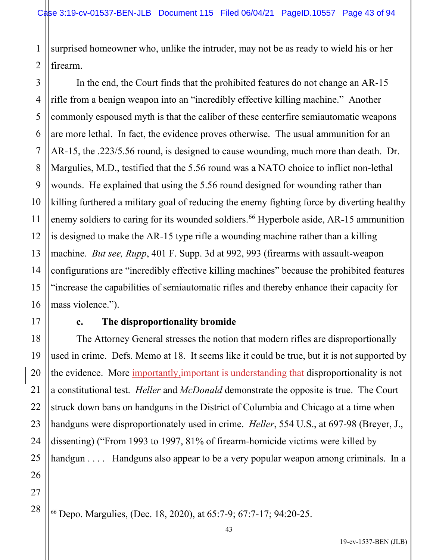1 2 surprised homeowner who, unlike the intruder, may not be as ready to wield his or her firearm.

4 6 8 9 10 12 13 14 15 16 In the end, the Court finds that the prohibited features do not change an AR-15 rifle from a benign weapon into an "incredibly effective killing machine." Another commonly espoused myth is that the caliber of these centerfire semiautomatic weapons are more lethal. In fact, the evidence proves otherwise. The usual ammunition for an AR-15, the .223/5.56 round, is designed to cause wounding, much more than death. Dr. Margulies, M.D., testified that the 5.56 round was a NATO choice to inflict non-lethal wounds. He explained that using the 5.56 round designed for wounding rather than killing furthered a military goal of reducing the enemy fighting force by diverting healthy enemy soldiers to caring for its wounded soldiers. [66](#page-42-0) Hyperbole aside, AR-15 ammunition is designed to make the AR-15 type rifle a wounding machine rather than a killing machine. *But see, Rupp*, 401 F. Supp. 3d at 992, 993 (firearms with assault-weapon configurations are "incredibly effective killing machines" because the prohibited features "increase the capabilities of semiautomatic rifles and thereby enhance their capacity for mass violence.").

17

18

19

20

21

22

23

24

25

26

3

5

7

11

# **c. The disproportionality bromide**

The Attorney General stresses the notion that modern rifles are disproportionally used in crime. Defs. Memo at 18. It seems like it could be true, but it is not supported by the evidence. More importantly, important is understanding that disproportionality is not a constitutional test. *Heller* and *McDonald* demonstrate the opposite is true. The Court struck down bans on handguns in the District of Columbia and Chicago at a time when handguns were disproportionately used in crime. *Heller*, 554 U.S., at 697-98 (Breyer, J., dissenting) ("From 1993 to 1997, 81% of firearm-homicide victims were killed by handgun . . . . Handguns also appear to be a very popular weapon among criminals. In a

<span id="page-42-0"></span><sup>27</sup> 28

<sup>66</sup> Depo. Margulies, (Dec. 18, 2020), at 65:7-9; 67:7-17; 94:20-25.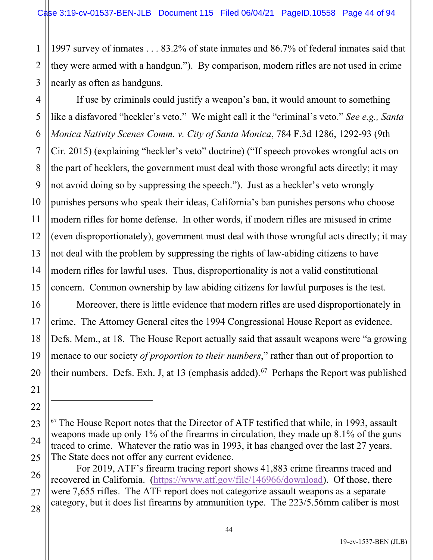1 2 3 1997 survey of inmates . . . 83.2% of state inmates and 86.7% of federal inmates said that they were armed with a handgun."). By comparison, modern rifles are not used in crime nearly as often as handguns.

4 If use by criminals could justify a weapon's ban, it would amount to something like a disfavored "heckler's veto." We might call it the "criminal's veto." *See e.g., Santa Monica Nativity Scenes Comm. v. City of Santa Monica*, 784 F.3d 1286, 1292-93 (9th Cir. 2015) (explaining "heckler's veto" doctrine) ("If speech provokes wrongful acts on the part of hecklers, the government must deal with those wrongful acts directly; it may not avoid doing so by suppressing the speech."). Just as a heckler's veto wrongly punishes persons who speak their ideas, California's ban punishes persons who choose modern rifles for home defense. In other words, if modern rifles are misused in crime (even disproportionately), government must deal with those wrongful acts directly; it may not deal with the problem by suppressing the rights of law-abiding citizens to have modern rifles for lawful uses. Thus, disproportionality is not a valid constitutional concern. Common ownership by law abiding citizens for lawful purposes is the test.

Moreover, there is little evidence that modern rifles are used disproportionately in crime. The Attorney General cites the 1994 Congressional House Report as evidence. Defs. Mem., at 18. The House Report actually said that assault weapons were "a growing menace to our society *of proportion to their numbers*," rather than out of proportion to their numbers. Defs. Exh. J, at 13 (emphasis added).<sup>[67](#page-43-0)</sup> Perhaps the Report was published

<span id="page-43-0"></span> $67$  The House Report notes that the Director of ATF testified that while, in 1993, assault weapons made up only 1% of the firearms in circulation, they made up 8.1% of the guns traced to crime. Whatever the ratio was in 1993, it has changed over the last 27 years. The State does not offer any current evidence.

For 2019, ATF's firearm tracing report shows 41,883 crime firearms traced and recovered in California. [\(https://www.atf.gov/file/146966/download\)](https://www.atf.gov/file/146966/download). Of those, there were 7,655 rifles. The ATF report does not categorize assault weapons as a separate category, but it does list firearms by ammunition type. The 223/5.56mm caliber is most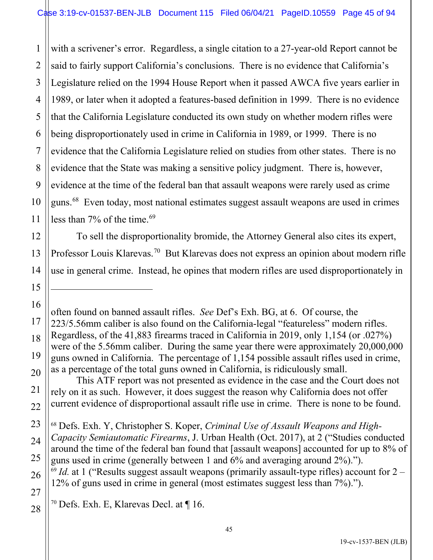1 with a scrivener's error. Regardless, a single citation to a 27-year-old Report cannot be said to fairly support California's conclusions. There is no evidence that California's Legislature relied on the 1994 House Report when it passed AWCA five years earlier in 1989, or later when it adopted a features-based definition in 1999. There is no evidence that the California Legislature conducted its own study on whether modern rifles were being disproportionately used in crime in California in 1989, or 1999. There is no evidence that the California Legislature relied on studies from other states. There is no evidence that the State was making a sensitive policy judgment. There is, however, evidence at the time of the federal ban that assault weapons were rarely used as crime guns.<sup>[68](#page-44-0)</sup> Even today, most national estimates suggest assault weapons are used in crimes less than 7% of the time.<sup>[69](#page-44-1)</sup>

To sell the disproportionality bromide, the Attorney General also cites its expert, Professor Louis Klarevas.<sup>[70](#page-44-2)</sup> But Klarevas does not express an opinion about modern rifle use in general crime. Instead, he opines that modern rifles are used disproportionately in

This ATF report was not presented as evidence in the case and the Court does not rely on it as such. However, it does suggest the reason why California does not offer current evidence of disproportional assault rifle use in crime. There is none to be found.

<span id="page-44-0"></span><sup>68</sup> Defs. Exh. Y, Christopher S. Koper, *Criminal Use of Assault Weapons and High-Capacity Semiautomatic Firearms*, J. Urban Health (Oct. 2017), at 2 ("Studies conducted around the time of the federal ban found that [assault weapons] accounted for up to 8% of guns used in crime (generally between 1 and 6% and averaging around 2%).").  $69$  *Id.* at 1 ("Results suggest assault weapons (primarily assault-type rifles) account for  $2 -$ 12% of guns used in crime in general (most estimates suggest less than 7%).").

<span id="page-44-2"></span><span id="page-44-1"></span><sup>70</sup> Defs. Exh. E, Klarevas Decl. at  $\P$  16.

often found on banned assault rifles. *See* Def's Exh. BG, at 6. Of course, the 223/5.56mm caliber is also found on the California-legal "featureless" modern rifles. Regardless, of the 41,883 firearms traced in California in 2019, only 1,154 (or .027%) were of the 5.56mm caliber. During the same year there were approximately 20,000,000 guns owned in California. The percentage of 1,154 possible assault rifles used in crime, as a percentage of the total guns owned in California, is ridiculously small.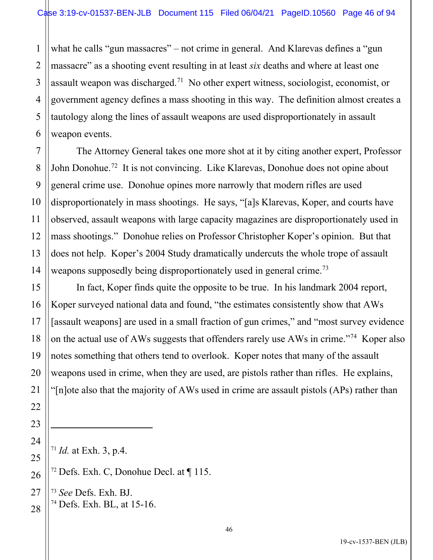1 2 3 what he calls "gun massacres" – not crime in general. And Klarevas defines a "gun massacre" as a shooting event resulting in at least *six* deaths and where at least one assault weapon was discharged.<sup>[71](#page-45-0)</sup> No other expert witness, sociologist, economist, or government agency defines a mass shooting in this way. The definition almost creates a tautology along the lines of assault weapons are used disproportionately in assault weapon events.

The Attorney General takes one more shot at it by citing another expert, Professor John Donohue.<sup>[72](#page-45-1)</sup> It is not convincing. Like Klarevas, Donohue does not opine about general crime use. Donohue opines more narrowly that modern rifles are used disproportionately in mass shootings. He says, "[a]s Klarevas, Koper, and courts have observed, assault weapons with large capacity magazines are disproportionately used in mass shootings." Donohue relies on Professor Christopher Koper's opinion. But that does not help. Koper's 2004 Study dramatically undercuts the whole trope of assault weapons supposedly being disproportionately used in general crime.<sup>[73](#page-45-2)</sup>

In fact, Koper finds quite the opposite to be true. In his landmark 2004 report, Koper surveyed national data and found, "the estimates consistently show that AWs [assault weapons] are used in a small fraction of gun crimes," and "most survey evidence on the actual use of AWs suggests that offenders rarely use AWs in crime."<sup>[74](#page-45-3)</sup> Koper also notes something that others tend to overlook. Koper notes that many of the assault weapons used in crime, when they are used, are pistols rather than rifles. He explains, "[n]ote also that the majority of AWs used in crime are assault pistols (APs) rather than

<span id="page-45-0"></span><sup>71</sup> *Id.* at Exh. 3, p.4.

<sup>72</sup> Defs. Exh. C, Donohue Decl. at ¶ 115.

<span id="page-45-3"></span><span id="page-45-2"></span><span id="page-45-1"></span><sup>73</sup> *See* Defs. Exh. BJ. <sup>74</sup> Defs. Exh. BL, at 15-16.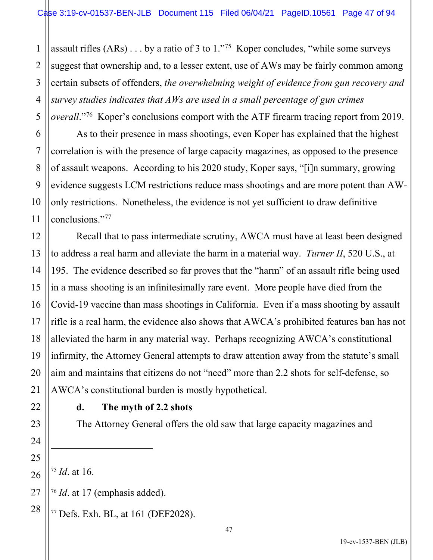1 2 assault rifles  $(ARs) \dots$  by a ratio of 3 to  $1.^{175}$  $1.^{175}$  $1.^{175}$  Koper concludes, "while some surveys suggest that ownership and, to a lesser extent, use of AWs may be fairly common among certain subsets of offenders, *the overwhelming weight of evidence from gun recovery and survey studies indicates that AWs are used in a small percentage of gun crimes overall*."[76](#page-46-1) Koper's conclusions comport with the ATF firearm tracing report from 2019.

As to their presence in mass shootings, even Koper has explained that the highest correlation is with the presence of large capacity magazines, as opposed to the presence of assault weapons. According to his 2020 study, Koper says, "[i]n summary, growing evidence suggests LCM restrictions reduce mass shootings and are more potent than AWonly restrictions. Nonetheless, the evidence is not yet sufficient to draw definitive conclusions."[77](#page-46-2)

Recall that to pass intermediate scrutiny, AWCA must have at least been designed to address a real harm and alleviate the harm in a material way. *Turner II*, 520 U.S., at 195. The evidence described so far proves that the "harm" of an assault rifle being used in a mass shooting is an infinitesimally rare event. More people have died from the Covid-19 vaccine than mass shootings in California. Even if a mass shooting by assault rifle is a real harm, the evidence also shows that AWCA's prohibited features ban has not alleviated the harm in any material way. Perhaps recognizing AWCA's constitutional infirmity, the Attorney General attempts to draw attention away from the statute's small aim and maintains that citizens do not "need" more than 2.2 shots for self-defense, so AWCA's constitutional burden is mostly hypothetical.

# **d. The myth of 2.2 shots**

The Attorney General offers the old saw that large capacity magazines and

<span id="page-46-0"></span><sup>75</sup> *Id*. at 16.

<span id="page-46-1"></span><sup>76</sup> *Id*. at 17 (emphasis added).

<span id="page-46-2"></span><sup>77</sup> Defs. Exh. BL, at 161 (DEF2028).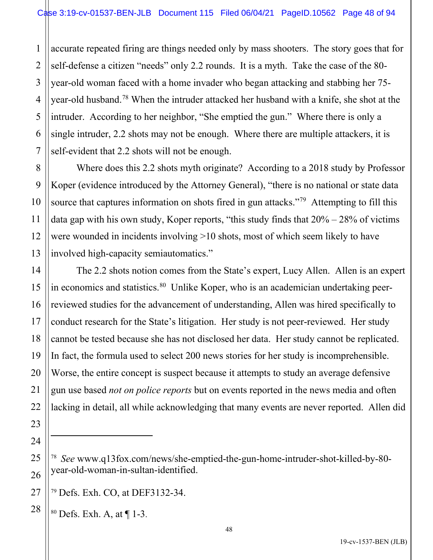1 2 3 4 5 6 7 accurate repeated firing are things needed only by mass shooters. The story goes that for self-defense a citizen "needs" only 2.2 rounds. It is a myth. Take the case of the 80 year-old woman faced with a home invader who began attacking and stabbing her 75 year-old husband.[78](#page-47-0) When the intruder attacked her husband with a knife, she shot at the intruder. According to her neighbor, "She emptied the gun." Where there is only a single intruder, 2.2 shots may not be enough. Where there are multiple attackers, it is self-evident that 2.2 shots will not be enough.

10 Where does this 2.2 shots myth originate? According to a 2018 study by Professor Koper (evidence introduced by the Attorney General), "there is no national or state data source that captures information on shots fired in gun attacks."<sup>[79](#page-47-1)</sup> Attempting to fill this data gap with his own study, Koper reports, "this study finds that  $20\% - 28\%$  of victims were wounded in incidents involving >10 shots, most of which seem likely to have involved high-capacity semiautomatics."

The 2.2 shots notion comes from the State's expert, Lucy Allen. Allen is an expert in economics and statistics.<sup>[80](#page-47-2)</sup> Unlike Koper, who is an academician undertaking peerreviewed studies for the advancement of understanding, Allen was hired specifically to conduct research for the State's litigation. Her study is not peer-reviewed. Her study cannot be tested because she has not disclosed her data. Her study cannot be replicated. In fact, the formula used to select 200 news stories for her study is incomprehensible. Worse, the entire concept is suspect because it attempts to study an average defensive gun use based *not on police reports* but on events reported in the news media and often lacking in detail, all while acknowledging that many events are never reported. Allen did

<span id="page-47-2"></span><span id="page-47-1"></span>27 <sup>79</sup> Defs. Exh. CO, at DEF3132-34.

<sup>80</sup> Defs. Exh. A, at ¶ 1-3.

8

9

11

12

13

14

15

16

17

18

19

20

21

22

23

24

<span id="page-47-0"></span>25

26

<sup>78</sup> *See* www.q13fox.com/news/she-emptied-the-gun-home-intruder-shot-killed-by-80 year-old-woman-in-sultan-identified.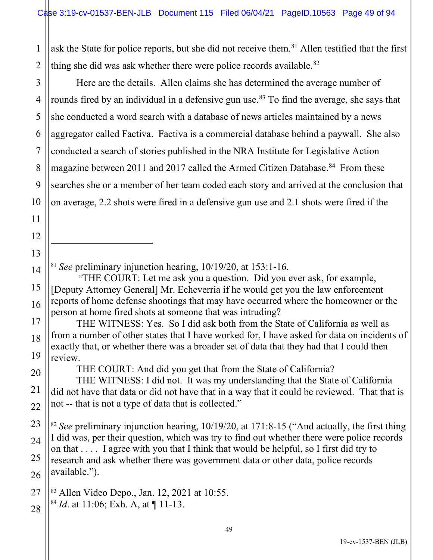1 2 ask the State for police reports, but she did not receive them.<sup>[81](#page-48-0)</sup> Allen testified that the first thing she did was ask whether there were police records available.<sup>[82](#page-48-1)</sup>

10 Here are the details. Allen claims she has determined the average number of rounds fired by an individual in a defensive gun use.<sup>[83](#page-48-2)</sup> To find the average, she says that she conducted a word search with a database of news articles maintained by a news aggregator called Factiva. Factiva is a commercial database behind a paywall. She also conducted a search of stories published in the NRA Institute for Legislative Action magazine between 2011 and 2017 called the Armed Citizen Database.<sup>[84](#page-48-3)</sup> From these searches she or a member of her team coded each story and arrived at the conclusion that on average, 2.2 shots were fired in a defensive gun use and 2.1 shots were fired if the

<sup>81</sup> *See* preliminary injunction hearing, 10/19/20, at 153:1-16.

3

4

5

6

7

8

9

11

12

13

<span id="page-48-0"></span>14

15

16

17

18

19

20

21

22

<span id="page-48-1"></span>23

25

 "THE COURT: Let me ask you a question. Did you ever ask, for example, [Deputy Attorney General] Mr. Echeverria if he would get you the law enforcement reports of home defense shootings that may have occurred where the homeowner or the person at home fired shots at someone that was intruding?

THE WITNESS: Yes. So I did ask both from the State of California as well as from a number of other states that I have worked for, I have asked for data on incidents of exactly that, or whether there was a broader set of data that they had that I could then review.

THE COURT: And did you get that from the State of California?

THE WITNESS: I did not. It was my understanding that the State of California did not have that data or did not have that in a way that it could be reviewed. That that is not -- that is not a type of data that is collected."

24 26 <sup>82</sup> *See* preliminary injunction hearing, 10/19/20, at 171:8-15 ("And actually, the first thing I did was, per their question, which was try to find out whether there were police records on that . . . . I agree with you that I think that would be helpful, so I first did try to research and ask whether there was government data or other data, police records available.").

<span id="page-48-3"></span><span id="page-48-2"></span>27 28 <sup>83</sup> Allen Video Depo., Jan. 12, 2021 at 10:55. <sup>84</sup> *Id*. at 11:06; Exh. A, at ¶ 11-13.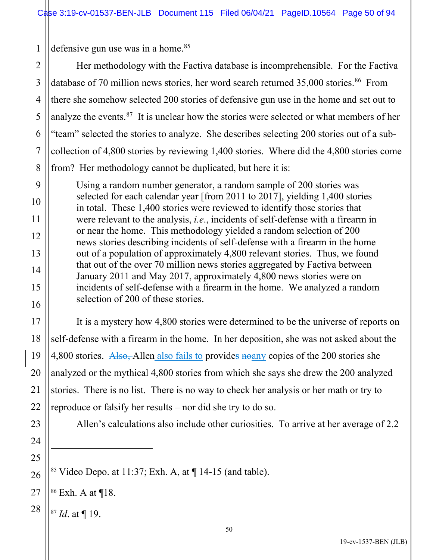1 defensive gun use was in a home.<sup>[85](#page-49-0)</sup>

2 3 4 5 6 7 8 Her methodology with the Factiva database is incomprehensible. For the Factiva database of 70 million news stories, her word search returned  $35,000$  stories.<sup>[86](#page-49-1)</sup> From there she somehow selected 200 stories of defensive gun use in the home and set out to analyze the events.<sup>[87](#page-49-2)</sup> It is unclear how the stories were selected or what members of her "team" selected the stories to analyze. She describes selecting 200 stories out of a subcollection of 4,800 stories by reviewing 1,400 stories. Where did the 4,800 stories come from? Her methodology cannot be duplicated, but here it is:

Using a random number generator, a random sample of 200 stories was selected for each calendar year [from 2011 to 2017], yielding 1,400 stories in total. These 1,400 stories were reviewed to identify those stories that were relevant to the analysis, *i.e*., incidents of self-defense with a firearm in or near the home. This methodology yielded a random selection of 200 news stories describing incidents of self-defense with a firearm in the home out of a population of approximately 4,800 relevant stories. Thus, we found that out of the over 70 million news stories aggregated by Factiva between January 2011 and May 2017, approximately 4,800 news stories were on incidents of self-defense with a firearm in the home. We analyzed a random selection of 200 of these stories.

It is a mystery how 4,800 stories were determined to be the universe of reports on self-defense with a firearm in the home. In her deposition, she was not asked about the 4,800 stories. Also, Allen also fails to provides noany copies of the 200 stories she analyzed or the mythical 4,800 stories from which she says she drew the 200 analyzed stories. There is no list. There is no way to check her analysis or her math or try to reproduce or falsify her results – nor did she try to do so.

23

9

10

11

12

13

14

15

16

17

18

19

20

21

22

24

25

<span id="page-49-0"></span>26

<span id="page-49-2"></span>28

Allen's calculations also include other curiosities. To arrive at her average of 2.2

<sup>85</sup> Video Depo. at 11:37; Exh. A, at  $\P$  14-15 (and table).

<span id="page-49-1"></span>27 <sup>86</sup> Exh. A at ¶18.

<sup>87</sup> *Id*. at ¶ 19.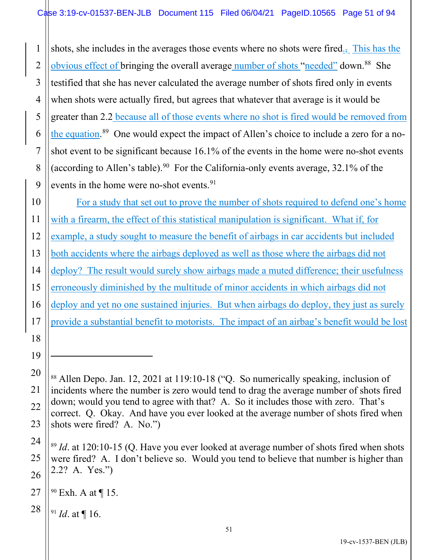1 2 3 4 5 6 7 8 9 shots, she includes in the averages those events where no shots were fired., This has the obvious effect of bringing the overall average number of shots "needed" down.<sup>[88](#page-50-0)</sup> She testified that she has never calculated the average number of shots fired only in events when shots were actually fired, but agrees that whatever that average is it would be greater than 2.2 because all of those events where no shot is fired would be removed from the equation.<sup>[89](#page-50-1)</sup> One would expect the impact of Allen's choice to include a zero for a noshot event to be significant because 16.1% of the events in the home were no-shot events (according to Allen's table).<sup>[90](#page-50-2)</sup> For the California-only events average,  $32.1\%$  of the events in the home were no-shot events.<sup>[91](#page-50-3)</sup>

10 11 12 13 14 15 16 17 18 For a study that set out to prove the number of shots required to defend one's home with a firearm, the effect of this statistical manipulation is significant. What if, for example, a study sought to measure the benefit of airbags in car accidents but included both accidents where the airbags deployed as well as those where the airbags did not deploy? The result would surely show airbags made a muted difference; their usefulness erroneously diminished by the multitude of minor accidents in which airbags did not deploy and yet no one sustained injuries. But when airbags do deploy, they just as surely provide a substantial benefit to motorists. The impact of an airbag's benefit would be lost

<sup>91</sup> *Id*. at ¶ 16.

19

<span id="page-50-0"></span>20

21

22

23

<span id="page-50-1"></span>24

25

26

<sup>88</sup> Allen Depo. Jan. 12, 2021 at 119:10-18 ("Q. So numerically speaking, inclusion of incidents where the number is zero would tend to drag the average number of shots fired down; would you tend to agree with that? A. So it includes those with zero. That's correct. Q. Okay. And have you ever looked at the average number of shots fired when shots were fired? A. No.")

<sup>89</sup> *Id*. at 120:10-15 (Q. Have you ever looked at average number of shots fired when shots were fired? A. I don't believe so. Would you tend to believe that number is higher than 2.2? A. Yes.")

<span id="page-50-3"></span><span id="page-50-2"></span><sup>27</sup> <sup>90</sup> Exh. A at ¶ 15.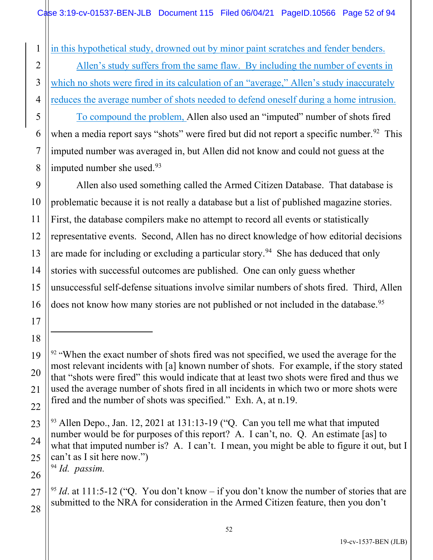1 in this hypothetical study, drowned out by minor paint scratches and fender benders.

Allen's study suffers from the same flaw. By including the number of events in which no shots were fired in its calculation of an "average," Allen's study inaccurately reduces the average number of shots needed to defend oneself during a home intrusion.

To compound the problem, Allen also used an "imputed" number of shots fired when a media report says "shots" were fired but did not report a specific number.  $92$  This imputed number was averaged in, but Allen did not know and could not guess at the imputed number she used. [93](#page-51-1)

Allen also used something called the Armed Citizen Database. That database is problematic because it is not really a database but a list of published magazine stories. First, the database compilers make no attempt to record all events or statistically representative events. Second, Allen has no direct knowledge of how editorial decisions are made for including or excluding a particular story.<sup>[94](#page-51-2)</sup> She has deduced that only stories with successful outcomes are published. One can only guess whether unsuccessful self-defense situations involve similar numbers of shots fired. Third, Allen does not know how many stories are not published or not included in the database.<sup>[95](#page-51-3)</sup>

<span id="page-51-2"></span><sup>94</sup> *Id. passim.*

<span id="page-51-0"></span><sup>&</sup>lt;sup>92</sup> "When the exact number of shots fired was not specified, we used the average for the most relevant incidents with [a] known number of shots. For example, if the story stated that "shots were fired" this would indicate that at least two shots were fired and thus we used the average number of shots fired in all incidents in which two or more shots were fired and the number of shots was specified." Exh. A, at n.19.

<span id="page-51-1"></span><sup>93</sup> Allen Depo., Jan. 12, 2021 at 131:13-19 ("Q. Can you tell me what that imputed number would be for purposes of this report? A. I can't, no. Q. An estimate [as] to what that imputed number is? A. I can't. I mean, you might be able to figure it out, but I can't as I sit here now.")

<span id="page-51-3"></span><sup>&</sup>lt;sup>95</sup> *Id.* at 111:5-12 ("O. You don't know – if you don't know the number of stories that are submitted to the NRA for consideration in the Armed Citizen feature, then you don't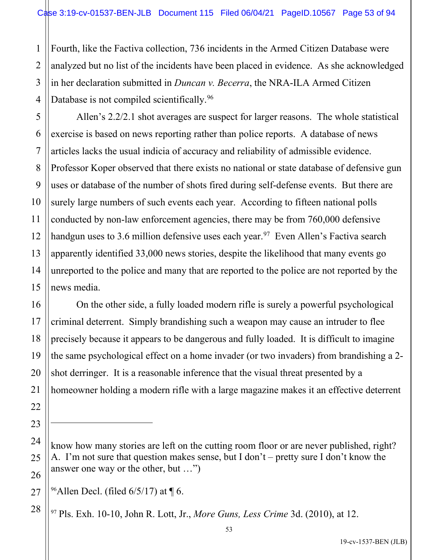Fourth, like the Factiva collection, 736 incidents in the Armed Citizen Database were analyzed but no list of the incidents have been placed in evidence. As she acknowledged in her declaration submitted in *Duncan v. Becerra*, the NRA-ILA Armed Citizen Database is not compiled scientifically.<sup>[96](#page-52-0)</sup>

Allen's 2.2/2.1 shot averages are suspect for larger reasons. The whole statistical exercise is based on news reporting rather than police reports. A database of news articles lacks the usual indicia of accuracy and reliability of admissible evidence. Professor Koper observed that there exists no national or state database of defensive gun uses or database of the number of shots fired during self-defense events. But there are surely large numbers of such events each year. According to fifteen national polls conducted by non-law enforcement agencies, there may be from 760,000 defensive handgun uses to 3.6 million defensive uses each year.<sup>[97](#page-52-1)</sup> Even Allen's Factiva search apparently identified 33,000 news stories, despite the likelihood that many events go unreported to the police and many that are reported to the police are not reported by the news media.

On the other side, a fully loaded modern rifle is surely a powerful psychological criminal deterrent. Simply brandishing such a weapon may cause an intruder to flee precisely because it appears to be dangerous and fully loaded. It is difficult to imagine the same psychological effect on a home invader (or two invaders) from brandishing a 2 shot derringer. It is a reasonable inference that the visual threat presented by a homeowner holding a modern rifle with a large magazine makes it an effective deterrent

1

know how many stories are left on the cutting room floor or are never published, right? A. I'm not sure that question makes sense, but I don't – pretty sure I don't know the answer one way or the other, but …")

<span id="page-52-0"></span> $96$ Allen Decl. (filed 6/5/17) at ¶ 6.

<span id="page-52-1"></span><sup>97</sup> Pls. Exh. 10-10, John R. Lott, Jr., *More Guns, Less Crime* 3d. (2010), at 12.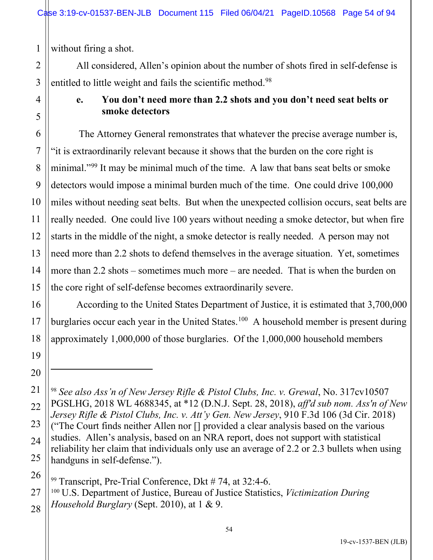without firing a shot.

All considered, Allen's opinion about the number of shots fired in self-defense is entitled to little weight and fails the scientific method.<sup>[98](#page-53-0)</sup>

# **e. You don't need more than 2.2 shots and you don't need seat belts or smoke detectors**

The Attorney General remonstrates that whatever the precise average number is, "it is extraordinarily relevant because it shows that the burden on the core right is minimal."[99](#page-53-1) It may be minimal much of the time. A law that bans seat belts or smoke detectors would impose a minimal burden much of the time. One could drive 100,000 miles without needing seat belts. But when the unexpected collision occurs, seat belts are really needed. One could live 100 years without needing a smoke detector, but when fire starts in the middle of the night, a smoke detector is really needed. A person may not need more than 2.2 shots to defend themselves in the average situation. Yet, sometimes more than 2.2 shots – sometimes much more – are needed. That is when the burden on the core right of self-defense becomes extraordinarily severe.

According to the United States Department of Justice, it is estimated that 3,700,000 burglaries occur each year in the United States.<sup>[100](#page-53-2)</sup> A household member is present during approximately 1,000,000 of those burglaries. Of the 1,000,000 household members

<sup>99</sup> Transcript, Pre-Trial Conference, Dkt # 74, at 32:4-6.

<span id="page-53-2"></span><span id="page-53-1"></span><sup>100</sup> U.S. Department of Justice, Bureau of Justice Statistics, *Victimization During Household Burglary* (Sept. 2010), at 1 & 9.

<span id="page-53-0"></span><sup>98</sup> *See also Ass'n of New Jersey Rifle & Pistol Clubs, Inc. v. Grewal*, No. 317cv10507 PGSLHG, 2018 WL 4688345, at \*12 (D.N.J. Sept. 28, 2018), *aff'd sub nom. Ass'n of New Jersey Rifle & Pistol Clubs, Inc. v. Att'y Gen. New Jersey*, 910 F.3d 106 (3d Cir. 2018) ("The Court finds neither Allen nor [] provided a clear analysis based on the various studies. Allen's analysis, based on an NRA report, does not support with statistical reliability her claim that individuals only use an average of 2.2 or 2.3 bullets when using handguns in self-defense.").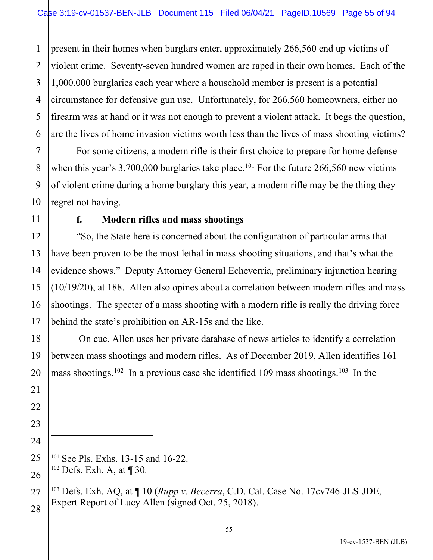1 2 3 4 5 6 present in their homes when burglars enter, approximately 266,560 end up victims of violent crime. Seventy-seven hundred women are raped in their own homes. Each of the 1,000,000 burglaries each year where a household member is present is a potential circumstance for defensive gun use. Unfortunately, for 266,560 homeowners, either no firearm was at hand or it was not enough to prevent a violent attack. It begs the question, are the lives of home invasion victims worth less than the lives of mass shooting victims?

For some citizens, a modern rifle is their first choice to prepare for home defense when this year's 3,700,000 burglaries take place.<sup>[101](#page-54-0)</sup> For the future 266,560 new victims of violent crime during a home burglary this year, a modern rifle may be the thing they regret not having.

## **f. Modern rifles and mass shootings**

"So, the State here is concerned about the configuration of particular arms that have been proven to be the most lethal in mass shooting situations, and that's what the evidence shows." Deputy Attorney General Echeverria, preliminary injunction hearing (10/19/20), at 188. Allen also opines about a correlation between modern rifles and mass shootings. The specter of a mass shooting with a modern rifle is really the driving force behind the state's prohibition on AR-15s and the like.

On cue, Allen uses her private database of news articles to identify a correlation between mass shootings and modern rifles. As of December 2019, Allen identifies 161 mass shootings.<sup>[102](#page-54-1)</sup> In a previous case she identified 109 mass shootings.<sup>[103](#page-54-2)</sup> In the

7

8

9

10

11

12

13

14

15

16

17

18

19

20

21

22

23

24

<span id="page-54-0"></span>25

<span id="page-54-1"></span>26

<span id="page-54-2"></span>27

28

<sup>103</sup> Defs. Exh. AQ, at ¶ 10 (*Rupp v. Becerra*, C.D. Cal. Case No. 17cv746-JLS-JDE, Expert Report of Lucy Allen (signed Oct. 25, 2018).

<sup>101</sup> See Pls. Exhs. 13-15 and 16-22.

 $102$  Defs. Exh. A, at  $\P$  30.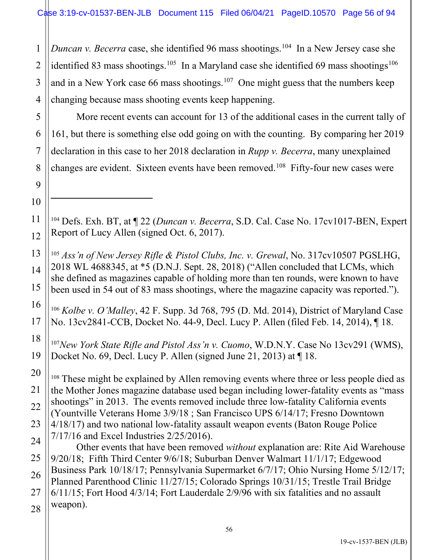1 2 3 4 *Duncan v. Becerra* case, she identified 96 mass shootings.<sup>[104](#page-55-0)</sup> In a New Jersey case she identified 83 mass shootings.<sup>[105](#page-55-1)</sup> In a Maryland case she identified 69 mass shootings<sup>[106](#page-55-2)</sup> and in a New York case 66 mass shootings.<sup>[107](#page-55-3)</sup> One might guess that the numbers keep changing because mass shooting events keep happening.

More recent events can account for 13 of the additional cases in the current tally of 161, but there is something else odd going on with the counting. By comparing her 2019 declaration in this case to her 2018 declaration in *Rupp v. Becerra*, many unexplained changes are evident. Sixteen events have been removed.<sup>[108](#page-55-4)</sup> Fifty-four new cases were

<span id="page-55-0"></span><sup>104</sup> Defs. Exh. BT, at ¶ 22 (*Duncan v. Becerra*, S.D. Cal. Case No. 17cv1017-BEN, Expert Report of Lucy Allen (signed Oct. 6, 2017).

<span id="page-55-1"></span><sup>105</sup> *Ass'n of New Jersey Rifle & Pistol Clubs, Inc. v. Grewal*, No. 317cv10507 PGSLHG, 2018 WL 4688345, at \*5 (D.N.J. Sept. 28, 2018) ("Allen concluded that LCMs, which she defined as magazines capable of holding more than ten rounds, were known to have been used in 54 out of 83 mass shootings, where the magazine capacity was reported.").

<span id="page-55-2"></span><sup>106</sup> *Kolbe v. O'Malley*, 42 F. Supp. 3d 768, 795 (D. Md. 2014), District of Maryland Case No. 13cv2841-CCB, Docket No. 44-9, Decl. Lucy P. Allen (filed Feb. 14, 2014), ¶ 18.

<span id="page-55-3"></span><sup>107</sup>*New York State Rifle and Pistol Ass'n v. Cuomo*, W.D.N.Y. Case No 13cv291 (WMS), Docket No. 69, Decl. Lucy P. Allen (signed June 21, 2013) at ¶ 18.

<span id="page-55-4"></span><sup>108</sup> These might be explained by Allen removing events where three or less people died as the Mother Jones magazine database used began including lower-fatality events as "mass shootings" in 2013. The events removed include three low-fatality California events (Yountville Veterans Home 3/9/18 ; San Francisco UPS 6/14/17; Fresno Downtown 4/18/17) and two national low-fatality assault weapon events (Baton Rouge Police 7/17/16 and Excel Industries 2/25/2016).

 Other events that have been removed *without* explanation are: Rite Aid Warehouse 9/20/18; Fifth Third Center 9/6/18; Suburban Denver Walmart 11/1/17; Edgewood Business Park 10/18/17; Pennsylvania Supermarket 6/7/17; Ohio Nursing Home 5/12/17; Planned Parenthood Clinic 11/27/15; Colorado Springs 10/31/15; Trestle Trail Bridge 6/11/15; Fort Hood 4/3/14; Fort Lauderdale 2/9/96 with six fatalities and no assault weapon).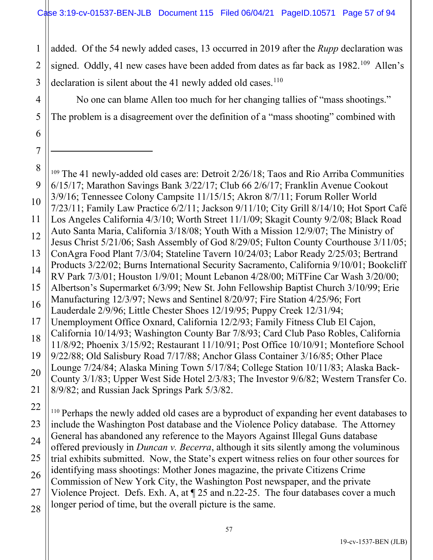1

2

3

4

5

6

7

added. Of the 54 newly added cases, 13 occurred in 2019 after the *Rupp* declaration was signed. Oddly, 41 new cases have been added from dates as far back as 1982.<sup>[109](#page-56-0)</sup> Allen's declaration is silent about the 41 newly added old cases.<sup>[110](#page-56-1)</sup>

No one can blame Allen too much for her changing tallies of "mass shootings." The problem is a disagreement over the definition of a "mass shooting" combined with

<span id="page-56-0"></span>8 9 10 11 12 13 14 15 16 17 18 19 20 21 22 23 <sup>109</sup> The 41 newly-added old cases are: Detroit 2/26/18; Taos and Rio Arriba Communities 6/15/17; Marathon Savings Bank 3/22/17; Club 66 2/6/17; Franklin Avenue Cookout 3/9/16; Tennessee Colony Campsite 11/15/15; Akron 8/7/11; Forum Roller World 7/23/11; Family Law Practice 6/2/11; Jackson 9/11/10; City Grill 8/14/10; Hot Sport Café Los Angeles California 4/3/10; Worth Street 11/1/09; Skagit County 9/2/08; Black Road Auto Santa Maria, California 3/18/08; Youth With a Mission 12/9/07; The Ministry of Jesus Christ 5/21/06; Sash Assembly of God 8/29/05; Fulton County Courthouse 3/11/05; ConAgra Food Plant 7/3/04; Stateline Tavern 10/24/03; Labor Ready 2/25/03; Bertrand Products 3/22/02; Burns International Security Sacramento, California 9/10/01; Bookcliff RV Park 7/3/01; Houston 1/9/01; Mount Lebanon 4/28/00; MiTFine Car Wash 3/20/00; Albertson's Supermarket 6/3/99; New St. John Fellowship Baptist Church 3/10/99; Erie Manufacturing 12/3/97; News and Sentinel 8/20/97; Fire Station 4/25/96; Fort Lauderdale 2/9/96; Little Chester Shoes 12/19/95; Puppy Creek 12/31/94; Unemployment Office Oxnard, California 12/2/93; Family Fitness Club El Cajon, California 10/14/93; Washington County Bar 7/8/93; Card Club Paso Robles, California 11/8/92; Phoenix 3/15/92; Restaurant 11/10/91; Post Office 10/10/91; Montefiore School 9/22/88; Old Salisbury Road 7/17/88; Anchor Glass Container 3/16/85; Other Place Lounge 7/24/84; Alaska Mining Town 5/17/84; College Station 10/11/83; Alaska Back-County 3/1/83; Upper West Side Hotel 2/3/83; The Investor 9/6/82; Western Transfer Co. 8/9/82; and Russian Jack Springs Park 5/3/82. <sup>110</sup> Perhaps the newly added old cases are a byproduct of expanding her event databases to

<span id="page-56-1"></span>24 25 26 27 28 include the Washington Post database and the Violence Policy database. The Attorney General has abandoned any reference to the Mayors Against Illegal Guns database offered previously in *Duncan v. Becerra*, although it sits silently among the voluminous trial exhibits submitted. Now, the State's expert witness relies on four other sources for identifying mass shootings: Mother Jones magazine, the private Citizens Crime Commission of New York City, the Washington Post newspaper, and the private Violence Project. Defs. Exh. A, at ¶ 25 and n.22-25. The four databases cover a much longer period of time, but the overall picture is the same.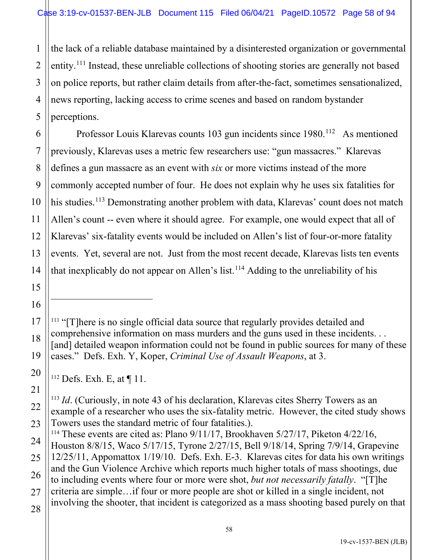1 2 the lack of a reliable database maintained by a disinterested organization or governmental entity.[111](#page-57-0) Instead, these unreliable collections of shooting stories are generally not based on police reports, but rather claim details from after-the-fact, sometimes sensationalized, news reporting, lacking access to crime scenes and based on random bystander perceptions.

Professor Louis Klarevas counts 103 gun incidents since 1980.<sup>[112](#page-57-1)</sup> As mentioned previously, Klarevas uses a metric few researchers use: "gun massacres." Klarevas defines a gun massacre as an event with *six* or more victims instead of the more commonly accepted number of four. He does not explain why he uses six fatalities for his studies.<sup>[113](#page-57-2)</sup> Demonstrating another problem with data, Klarevas' count does not match Allen's count -- even where it should agree. For example, one would expect that all of Klarevas' six-fatality events would be included on Allen's list of four-or-more fatality events. Yet, several are not. Just from the most recent decade, Klarevas lists ten events that inexplicably do not appear on Allen's list. [114](#page-57-3) Adding to the unreliability of his

<span id="page-57-0"></span><sup>111</sup> "[T]here is no single official data source that regularly provides detailed and comprehensive information on mass murders and the guns used in these incidents. . . [and] detailed weapon information could not be found in public sources for many of these cases." Defs. Exh. Y, Koper, *Criminal Use of Assault Weapons*, at 3.

 $112$  Defs. Exh. E, at  $\P$  11.

<span id="page-57-2"></span><span id="page-57-1"></span><sup>113</sup> *Id*. (Curiously, in note 43 of his declaration, Klarevas cites Sherry Towers as an example of a researcher who uses the six-fatality metric. However, the cited study shows Towers uses the standard metric of four fatalities.).

<span id="page-57-3"></span><sup>114</sup> These events are cited as: Plano 9/11/17, Brookhaven 5/27/17, Piketon 4/22/16, Houston 8/8/15, Waco 5/17/15, Tyrone 2/27/15, Bell 9/18/14, Spring 7/9/14, Grapevine 12/25/11, Appomattox 1/19/10. Defs. Exh. E-3. Klarevas cites for data his own writings and the Gun Violence Archive which reports much higher totals of mass shootings, due to including events where four or more were shot, *but not necessarily fatally*. "[T]he criteria are simple…if four or more people are shot or killed in a single incident, not involving the shooter, that incident is categorized as a mass shooting based purely on that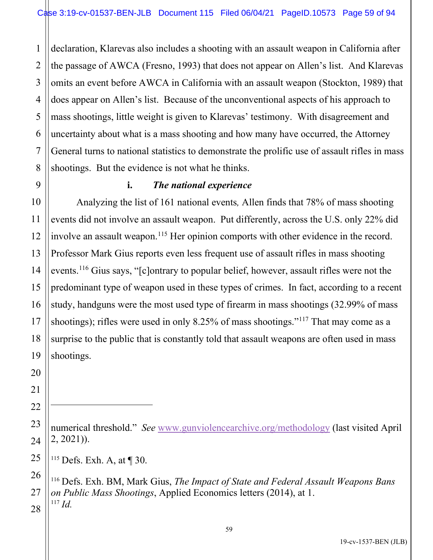1 2 3 4 5 6 7 8 declaration, Klarevas also includes a shooting with an assault weapon in California after the passage of AWCA (Fresno, 1993) that does not appear on Allen's list. And Klarevas omits an event before AWCA in California with an assault weapon (Stockton, 1989) that does appear on Allen's list. Because of the unconventional aspects of his approach to mass shootings, little weight is given to Klarevas' testimony. With disagreement and uncertainty about what is a mass shooting and how many have occurred, the Attorney General turns to national statistics to demonstrate the prolific use of assault rifles in mass shootings. But the evidence is not what he thinks.

9

10

11

12

13

14

15

17

18

19

20

21

22

<span id="page-58-0"></span>25

<span id="page-58-1"></span>26

27

<span id="page-58-2"></span>28

#### **i.** *The national experience*

16 Analyzing the list of 161 national events*,* Allen finds that 78% of mass shooting events did not involve an assault weapon. Put differently, across the U.S. only 22% did involve an assault weapon.<sup>[115](#page-58-0)</sup> Her opinion comports with other evidence in the record. Professor Mark Gius reports even less frequent use of assault rifles in mass shooting events.[116](#page-58-1) Gius says, "[c]ontrary to popular belief, however, assault rifles were not the predominant type of weapon used in these types of crimes. In fact, according to a recent study, handguns were the most used type of firearm in mass shootings (32.99% of mass shootings); rifles were used in only 8.25% of mass shootings."<sup>[117](#page-58-2)</sup> That may come as a surprise to the public that is constantly told that assault weapons are often used in mass shootings.

<sup>115</sup> Defs. Exh. A, at ¶ 30.

<sup>116</sup> Defs. Exh. BM, Mark Gius, *The Impact of State and Federal Assault Weapons Bans on Public Mass Shootings*, Applied Economics letters (2014), at 1. <sup>117</sup> *Id.*

<sup>23</sup> 24 numerical threshold." *See* [www.gunviolencearchive.org/methodology](http://www.gunviolencearchive.org/methodology) (last visited April 2, 2021)).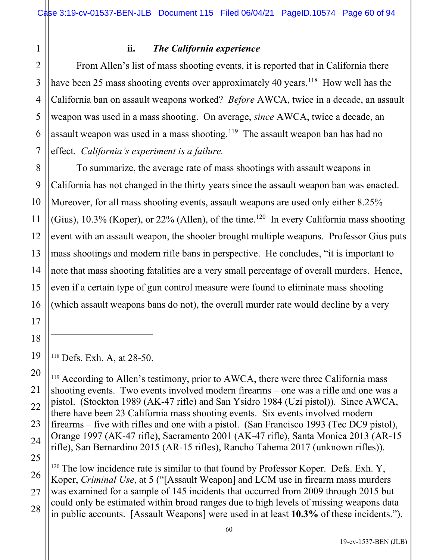1

8

9

10

11

12

13

14

15

16

17

18

<span id="page-59-0"></span>19

<span id="page-59-1"></span>20

21

22

23

24

#### **ii.** *The California experience*

2 3 4 5 6 7 From Allen's list of mass shooting events, it is reported that in California there have been 25 mass shooting events over approximately 40 years.<sup>[118](#page-59-0)</sup> How well has the California ban on assault weapons worked? *Before* AWCA, twice in a decade, an assault weapon was used in a mass shooting. On average, *since* AWCA, twice a decade, an assault weapon was used in a mass shooting.<sup>[119](#page-59-1)</sup> The assault weapon ban has had no effect. *California's experiment is a failure.*

To summarize, the average rate of mass shootings with assault weapons in California has not changed in the thirty years since the assault weapon ban was enacted. Moreover, for all mass shooting events, assault weapons are used only either 8.25% (Gius),  $10.3\%$  (Koper), or  $22\%$  (Allen), of the time.<sup>[120](#page-59-2)</sup> In every California mass shooting event with an assault weapon, the shooter brought multiple weapons. Professor Gius puts mass shootings and modern rifle bans in perspective. He concludes, "it is important to note that mass shooting fatalities are a very small percentage of overall murders. Hence, even if a certain type of gun control measure were found to eliminate mass shooting (which assault weapons bans do not), the overall murder rate would decline by a very

<sup>118</sup> Defs. Exh. A, at 28-50.

<sup>119</sup> According to Allen's testimony, prior to AWCA, there were three California mass shooting events. Two events involved modern firearms – one was a rifle and one was a pistol. (Stockton 1989 (AK-47 rifle) and San Ysidro 1984 (Uzi pistol)). Since AWCA, there have been 23 California mass shooting events. Six events involved modern firearms – five with rifles and one with a pistol. (San Francisco 1993 (Tec DC9 pistol), Orange 1997 (AK-47 rifle), Sacramento 2001 (AK-47 rifle), Santa Monica 2013 (AR-15 rifle), San Bernardino 2015 (AR-15 rifles), Rancho Tahema 2017 (unknown rifles)).

<span id="page-59-2"></span>25 26 27 28  $120$  The low incidence rate is similar to that found by Professor Koper. Defs. Exh. Y, Koper, *Criminal Use*, at 5 ("[Assault Weapon] and LCM use in firearm mass murders was examined for a sample of 145 incidents that occurred from 2009 through 2015 but could only be estimated within broad ranges due to high levels of missing weapons data in public accounts. [Assault Weapons] were used in at least **10.3%** of these incidents.").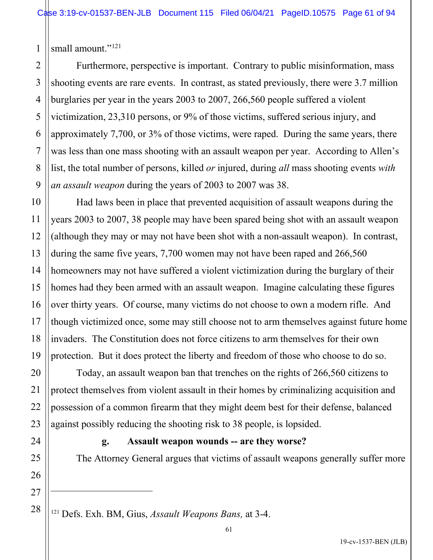1 small amount."<sup>[121](#page-60-0)</sup>

2

7

3 4 5 6 8 9 Furthermore, perspective is important. Contrary to public misinformation, mass shooting events are rare events. In contrast, as stated previously, there were 3.7 million burglaries per year in the years 2003 to 2007, 266,560 people suffered a violent victimization, 23,310 persons, or 9% of those victims, suffered serious injury, and approximately 7,700, or 3% of those victims, were raped. During the same years, there was less than one mass shooting with an assault weapon per year. According to Allen's list, the total number of persons, killed *or* injured, during *all* mass shooting events *with an assault weapon* during the years of 2003 to 2007 was 38.

Had laws been in place that prevented acquisition of assault weapons during the years 2003 to 2007, 38 people may have been spared being shot with an assault weapon (although they may or may not have been shot with a non-assault weapon). In contrast, during the same five years, 7,700 women may not have been raped and 266,560 homeowners may not have suffered a violent victimization during the burglary of their homes had they been armed with an assault weapon. Imagine calculating these figures over thirty years. Of course, many victims do not choose to own a modern rifle. And though victimized once, some may still choose not to arm themselves against future home invaders. The Constitution does not force citizens to arm themselves for their own protection. But it does protect the liberty and freedom of those who choose to do so.

Today, an assault weapon ban that trenches on the rights of 266,560 citizens to protect themselves from violent assault in their homes by criminalizing acquisition and possession of a common firearm that they might deem best for their defense, balanced against possibly reducing the shooting risk to 38 people, is lopsided.

# **g. Assault weapon wounds -- are they worse?**

The Attorney General argues that victims of assault weapons generally suffer more

<span id="page-60-0"></span><sup>121</sup> Defs. Exh. BM, Gius, *Assault Weapons Bans,* at 3-4.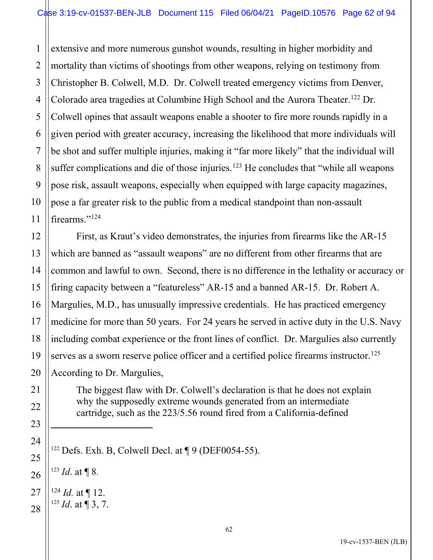1 2 3 4 5 6 7 8 9 10 11 extensive and more numerous gunshot wounds, resulting in higher morbidity and mortality than victims of shootings from other weapons, relying on testimony from Christopher B. Colwell, M.D. Dr. Colwell treated emergency victims from Denver, Colorado area tragedies at Columbine High School and the Aurora Theater.<sup>[122](#page-61-0)</sup> Dr. Colwell opines that assault weapons enable a shooter to fire more rounds rapidly in a given period with greater accuracy, increasing the likelihood that more individuals will be shot and suffer multiple injuries, making it "far more likely" that the individual will suffer complications and die of those injuries.<sup>[123](#page-61-1)</sup> He concludes that "while all weapons" pose risk, assault weapons, especially when equipped with large capacity magazines, pose a far greater risk to the public from a medical standpoint than non-assault firearms."[124](#page-61-2)

16 20 First, as Kraut's video demonstrates, the injuries from firearms like the AR-15 which are banned as "assault weapons" are no different from other firearms that are common and lawful to own. Second, there is no difference in the lethality or accuracy or firing capacity between a "featureless" AR-15 and a banned AR-15. Dr. Robert A. Margulies, M.D., has unusually impressive credentials. He has practiced emergency medicine for more than 50 years. For 24 years he served in active duty in the U.S. Navy including combat experience or the front lines of conflict. Dr. Margulies also currently serves as a sworn reserve police officer and a certified police firearms instructor.<sup>[125](#page-61-3)</sup> According to Dr. Margulies,

> The biggest flaw with Dr. Colwell's declaration is that he does not explain why the supposedly extreme wounds generated from an intermediate cartridge, such as the 223/5.56 round fired from a California-defined

<sup>123</sup> *Id*. at ¶ 8.

12

13

14

15

17

18

19

21

22

23

<span id="page-61-0"></span>24

25

<span id="page-61-1"></span>26

<span id="page-61-2"></span>27  $124$  *Id.* at  $\P$  12.

<span id="page-61-3"></span>28  $125$  *Id.* at  $\P$  3, 7.

 $122$  Defs. Exh. B, Colwell Decl. at  $\P$  9 (DEF0054-55).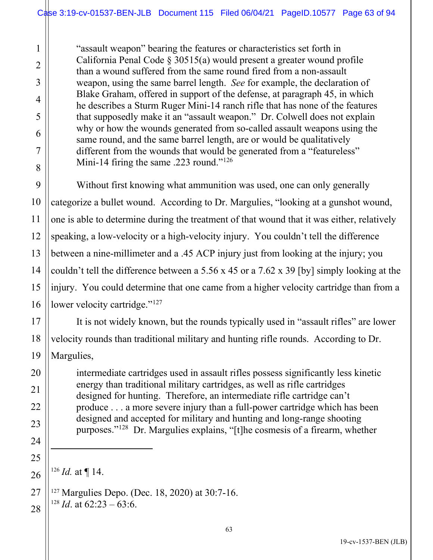"assault weapon" bearing the features or characteristics set forth in California Penal Code § 30515(a) would present a greater wound profile than a wound suffered from the same round fired from a non-assault weapon, using the same barrel length. *See* for example, the declaration of Blake Graham, offered in support of the defense, at paragraph 45, in which he describes a Sturm Ruger Mini-14 ranch rifle that has none of the features that supposedly make it an "assault weapon." Dr. Colwell does not explain why or how the wounds generated from so-called assault weapons using the same round, and the same barrel length, are or would be qualitatively different from the wounds that would be generated from a "featureless" Mini-14 firing the same .223 round."<sup>[126](#page-62-0)</sup>

Without first knowing what ammunition was used, one can only generally categorize a bullet wound. According to Dr. Margulies, "looking at a gunshot wound, one is able to determine during the treatment of that wound that it was either, relatively speaking, a low-velocity or a high-velocity injury. You couldn't tell the difference between a nine-millimeter and a .45 ACP injury just from looking at the injury; you couldn't tell the difference between a 5.56 x 45 or a 7.62 x 39 [by] simply looking at the injury. You could determine that one came from a higher velocity cartridge than from a lower velocity cartridge."<sup>[127](#page-62-1)</sup>

It is not widely known, but the rounds typically used in "assault rifles" are lower velocity rounds than traditional military and hunting rifle rounds. According to Dr. Margulies,

intermediate cartridges used in assault rifles possess significantly less kinetic energy than traditional military cartridges, as well as rifle cartridges designed for hunting. Therefore, an intermediate rifle cartridge can't produce . . . a more severe injury than a full-power cartridge which has been designed and accepted for military and hunting and long-range shooting purposes."[128](#page-62-2) Dr. Margulies explains, "[t]he cosmesis of a firearm, whether

 $126$  *Id.* at ¶ 14.

1

2

3

4

5

6

7

8

9

10

11

12

13

14

15

16

17

18

19

20

21

22

23

24

25

<span id="page-62-0"></span>26

<span id="page-62-1"></span>27

<span id="page-62-2"></span>28

 $127$  Margulies Depo. (Dec. 18, 2020) at 30:7-16. <sup>128</sup> *Id.* at  $62:23 - 63:6$ .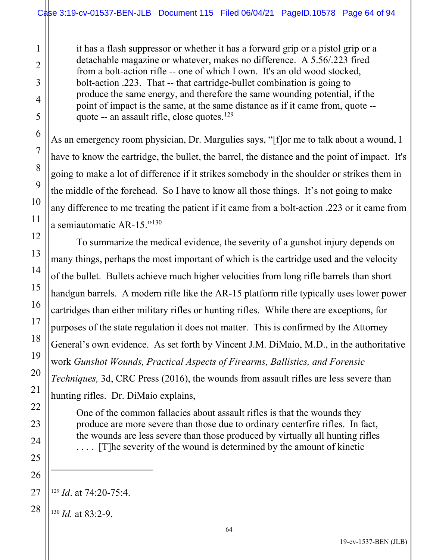it has a flash suppressor or whether it has a forward grip or a pistol grip or a detachable magazine or whatever, makes no difference. A 5.56/.223 fired from a bolt-action rifle -- one of which I own. It's an old wood stocked, bolt-action .223. That -- that cartridge-bullet combination is going to produce the same energy, and therefore the same wounding potential, if the point of impact is the same, at the same distance as if it came from, quote -- quote -- an assault rifle, close quotes.<sup>[129](#page-63-0)</sup>

As an emergency room physician, Dr. Margulies says, "[f]or me to talk about a wound, I have to know the cartridge, the bullet, the barrel, the distance and the point of impact. It's going to make a lot of difference if it strikes somebody in the shoulder or strikes them in the middle of the forehead. So I have to know all those things. It's not going to make any difference to me treating the patient if it came from a bolt-action .223 or it came from a semiautomatic AR-15."<sup>[130](#page-63-1)</sup>

To summarize the medical evidence, the severity of a gunshot injury depends on many things, perhaps the most important of which is the cartridge used and the velocity of the bullet. Bullets achieve much higher velocities from long rifle barrels than short handgun barrels. A modern rifle like the AR-15 platform rifle typically uses lower power cartridges than either military rifles or hunting rifles. While there are exceptions, for purposes of the state regulation it does not matter. This is confirmed by the Attorney General's own evidence. As set forth by Vincent J.M. DiMaio, M.D., in the authoritative work *Gunshot Wounds, Practical Aspects of Firearms, Ballistics, and Forensic Techniques,* 3d, CRC Press (2016), the wounds from assault rifles are less severe than hunting rifles. Dr. DiMaio explains,

One of the common fallacies about assault rifles is that the wounds they produce are more severe than those due to ordinary centerfire rifles. In fact, the wounds are less severe than those produced by virtually all hunting rifles . . . . [T]he severity of the wound is determined by the amount of kinetic

<span id="page-63-1"></span><span id="page-63-0"></span><sup>129</sup> *Id*. at 74:20-75:4.

<sup>130</sup> *Id.* at 83:2-9.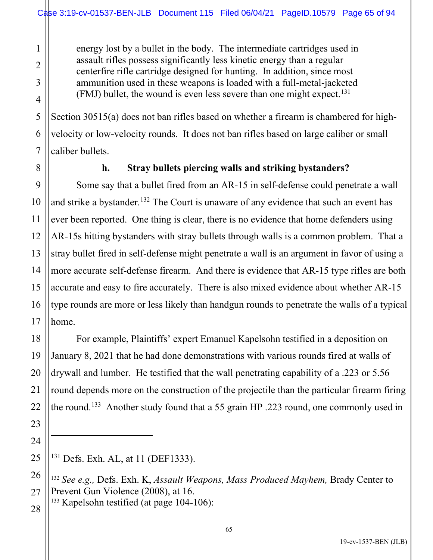energy lost by a bullet in the body. The intermediate cartridges used in assault rifles possess significantly less kinetic energy than a regular centerfire rifle cartridge designed for hunting. In addition, since most ammunition used in these weapons is loaded with a full-metal-jacketed (FMJ) bullet, the wound is even less severe than one might expect.<sup>[131](#page-64-0)</sup>

Section 30515(a) does not ban rifles based on whether a firearm is chambered for highvelocity or low-velocity rounds. It does not ban rifles based on large caliber or small caliber bullets.

1

2

### **h. Stray bullets piercing walls and striking bystanders?**

Some say that a bullet fired from an AR-15 in self-defense could penetrate a wall and strike a bystander.<sup>[132](#page-64-1)</sup> The Court is unaware of any evidence that such an event has ever been reported. One thing is clear, there is no evidence that home defenders using AR-15s hitting bystanders with stray bullets through walls is a common problem. That a stray bullet fired in self-defense might penetrate a wall is an argument in favor of using a more accurate self-defense firearm. And there is evidence that AR-15 type rifles are both accurate and easy to fire accurately. There is also mixed evidence about whether AR-15 type rounds are more or less likely than handgun rounds to penetrate the walls of a typical home.

For example, Plaintiffs' expert Emanuel Kapelsohn testified in a deposition on January 8, 2021 that he had done demonstrations with various rounds fired at walls of drywall and lumber. He testified that the wall penetrating capability of a .223 or 5.56 round depends more on the construction of the projectile than the particular firearm firing the round.<sup>[133](#page-64-2)</sup> Another study found that a 55 grain HP .223 round, one commonly used in

<span id="page-64-2"></span> $133$  Kapelsohn testified (at page 104-106):

<span id="page-64-0"></span><sup>&</sup>lt;sup>131</sup> Defs. Exh. AL, at 11 (DEF1333).

<span id="page-64-1"></span><sup>132</sup> *See e.g.,* Defs. Exh. K, *Assault Weapons, Mass Produced Mayhem,* Brady Center to Prevent Gun Violence (2008), at 16.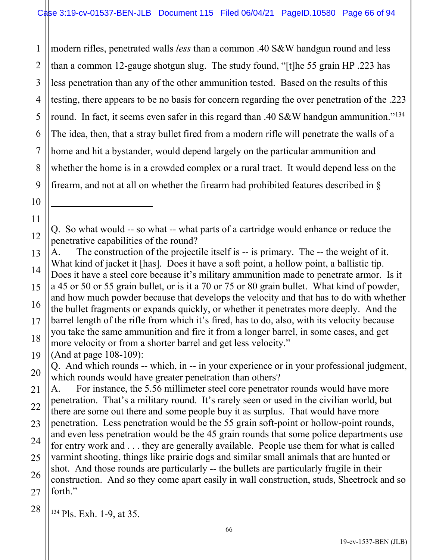1 2 3 4 5 6 7 8 9 modern rifles, penetrated walls *less* than a common .40 S&W handgun round and less than a common 12-gauge shotgun slug. The study found, "[t]he 55 grain HP .223 has less penetration than any of the other ammunition tested. Based on the results of this testing, there appears to be no basis for concern regarding the over penetration of the .223 round. In fact, it seems even safer in this regard than .40 S&W handgun ammunition."<sup>[134](#page-65-0)</sup> The idea, then, that a stray bullet fired from a modern rifle will penetrate the walls of a home and hit a bystander, would depend largely on the particular ammunition and whether the home is in a crowded complex or a rural tract. It would depend less on the firearm, and not at all on whether the firearm had prohibited features described in §

Q. So what would -- so what -- what parts of a cartridge would enhance or reduce the penetrative capabilities of the round?

13 14 15 16 17 18 A. The construction of the projectile itself is -- is primary. The -- the weight of it. What kind of jacket it [has]. Does it have a soft point, a hollow point, a ballistic tip. Does it have a steel core because it's military ammunition made to penetrate armor. Is it a 45 or 50 or 55 grain bullet, or is it a 70 or 75 or 80 grain bullet. What kind of powder, and how much powder because that develops the velocity and that has to do with whether the bullet fragments or expands quickly, or whether it penetrates more deeply. And the barrel length of the rifle from which it's fired, has to do, also, with its velocity because you take the same ammunition and fire it from a longer barrel, in some cases, and get more velocity or from a shorter barrel and get less velocity."

19 (And at page 108-109):

10

11

12

20

Q. And which rounds -- which, in -- in your experience or in your professional judgment, which rounds would have greater penetration than others?

21 22 23 24 25 26 27 A. For instance, the 5.56 millimeter steel core penetrator rounds would have more penetration. That's a military round. It's rarely seen or used in the civilian world, but there are some out there and some people buy it as surplus. That would have more penetration. Less penetration would be the 55 grain soft-point or hollow-point rounds, and even less penetration would be the 45 grain rounds that some police departments use for entry work and . . . they are generally available. People use them for what is called varmint shooting, things like prairie dogs and similar small animals that are hunted or shot. And those rounds are particularly -- the bullets are particularly fragile in their construction. And so they come apart easily in wall construction, studs, Sheetrock and so forth."

<span id="page-65-0"></span>28 <sup>134</sup> Pls. Exh. 1-9, at 35.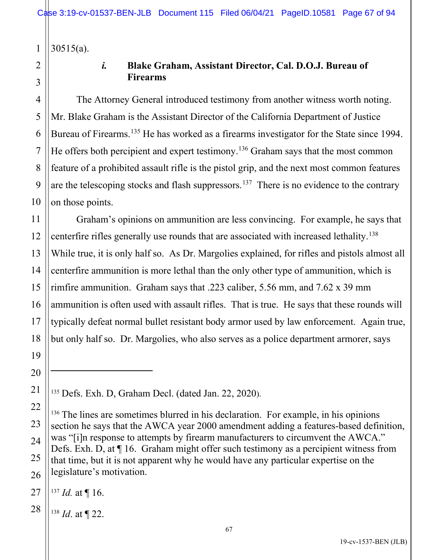1 30515(a).

2 3

# *i.* **Blake Graham, Assistant Director, Cal. D.O.J. Bureau of Firearms**

The Attorney General introduced testimony from another witness worth noting. Mr. Blake Graham is the Assistant Director of the California Department of Justice Bureau of Firearms.<sup>[135](#page-66-0)</sup> He has worked as a firearms investigator for the State since 1994. He offers both percipient and expert testimony.<sup>[136](#page-66-1)</sup> Graham says that the most common feature of a prohibited assault rifle is the pistol grip, and the next most common features are the telescoping stocks and flash suppressors.<sup>[137](#page-66-2)</sup> There is no evidence to the contrary on those points.

Graham's opinions on ammunition are less convincing. For example, he says that centerfire rifles generally use rounds that are associated with increased lethality.<sup>[138](#page-66-3)</sup> While true, it is only half so. As Dr. Margolies explained, for rifles and pistols almost all centerfire ammunition is more lethal than the only other type of ammunition, which is rimfire ammunition. Graham says that .223 caliber, 5.56 mm, and 7.62 x 39 mm ammunition is often used with assault rifles. That is true. He says that these rounds will typically defeat normal bullet resistant body armor used by law enforcement. Again true, but only half so. Dr. Margolies, who also serves as a police department armorer, says

<span id="page-66-0"></span><sup>135</sup> Defs. Exh. D, Graham Decl. (dated Jan. 22, 2020).

<span id="page-66-1"></span><sup>136</sup> The lines are sometimes blurred in his declaration. For example, in his opinions section he says that the AWCA year 2000 amendment adding a features-based definition, was "[i]n response to attempts by firearm manufacturers to circumvent the AWCA." Defs. Exh. D, at ¶ 16. Graham might offer such testimony as a percipient witness from that time, but it is not apparent why he would have any particular expertise on the legislature's motivation.

<span id="page-66-2"></span> $137$  *Id.* at ¶ 16.

<span id="page-66-3"></span><sup>138</sup> *Id*. at ¶ 22.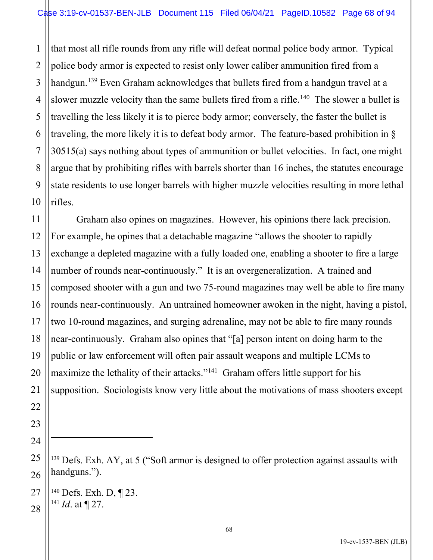1 2 3 4 5 6 7 8 9 10 that most all rifle rounds from any rifle will defeat normal police body armor. Typical police body armor is expected to resist only lower caliber ammunition fired from a handgun.<sup>[139](#page-67-0)</sup> Even Graham acknowledges that bullets fired from a handgun travel at a slower muzzle velocity than the same bullets fired from a rifle.<sup>[140](#page-67-1)</sup> The slower a bullet is travelling the less likely it is to pierce body armor; conversely, the faster the bullet is traveling, the more likely it is to defeat body armor. The feature-based prohibition in § 30515(a) says nothing about types of ammunition or bullet velocities. In fact, one might argue that by prohibiting rifles with barrels shorter than 16 inches, the statutes encourage state residents to use longer barrels with higher muzzle velocities resulting in more lethal rifles.

12 13 14 15 16 17 18 19 20 Graham also opines on magazines. However, his opinions there lack precision. For example, he opines that a detachable magazine "allows the shooter to rapidly exchange a depleted magazine with a fully loaded one, enabling a shooter to fire a large number of rounds near-continuously." It is an overgeneralization. A trained and composed shooter with a gun and two 75-round magazines may well be able to fire many rounds near-continuously. An untrained homeowner awoken in the night, having a pistol, two 10-round magazines, and surging adrenaline, may not be able to fire many rounds near-continuously. Graham also opines that "[a] person intent on doing harm to the public or law enforcement will often pair assault weapons and multiple LCMs to maximize the lethality of their attacks."<sup>[141](#page-67-2)</sup> Graham offers little support for his supposition. Sociologists know very little about the motivations of mass shooters except

 $139$  Defs. Exh. AY, at 5 ("Soft armor is designed to offer protection against assaults with handguns.").

<span id="page-67-2"></span><span id="page-67-1"></span>28  $140$  Defs. Exh. D, ¶ 23. <sup>141</sup> *Id*. at ¶ 27.

11

21

22

23

24

<span id="page-67-0"></span>25

26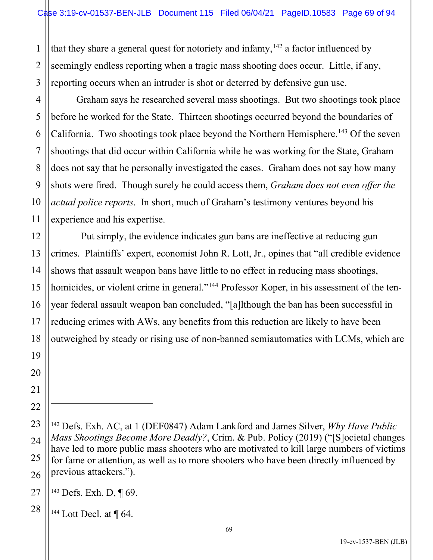1 2 3 that they share a general quest for notoriety and infamy, <sup>[142](#page-68-0)</sup> a factor influenced by seemingly endless reporting when a tragic mass shooting does occur. Little, if any, reporting occurs when an intruder is shot or deterred by defensive gun use.

Graham says he researched several mass shootings. But two shootings took place before he worked for the State. Thirteen shootings occurred beyond the boundaries of California. Two shootings took place beyond the Northern Hemisphere.<sup>[143](#page-68-1)</sup> Of the seven shootings that did occur within California while he was working for the State, Graham does not say that he personally investigated the cases. Graham does not say how many shots were fired. Though surely he could access them, *Graham does not even offer the actual police reports*. In short, much of Graham's testimony ventures beyond his experience and his expertise.

 Put simply, the evidence indicates gun bans are ineffective at reducing gun crimes. Plaintiffs' expert, economist John R. Lott, Jr., opines that "all credible evidence shows that assault weapon bans have little to no effect in reducing mass shootings, homicides, or violent crime in general."<sup>[144](#page-68-2)</sup> Professor Koper, in his assessment of the tenyear federal assault weapon ban concluded, "[a]lthough the ban has been successful in reducing crimes with AWs, any benefits from this reduction are likely to have been outweighed by steady or rising use of non-banned semiautomatics with LCMs, which are

<span id="page-68-1"></span>27 <sup>143</sup> Defs. Exh. D, ¶ 69.

4

5

6

7

8

9

10

11

12

13

14

15

16

17

18

19

20

21

22

<span id="page-68-0"></span>23

24

25

26

<span id="page-68-2"></span>28

 $144$  Lott Decl. at  $\P$  64.

<sup>142</sup> Defs. Exh. AC, at 1 (DEF0847) Adam Lankford and James Silver, *Why Have Public Mass Shootings Become More Deadly?*, Crim. & Pub. Policy (2019) ("[S]ocietal changes have led to more public mass shooters who are motivated to kill large numbers of victims for fame or attention, as well as to more shooters who have been directly influenced by previous attackers.").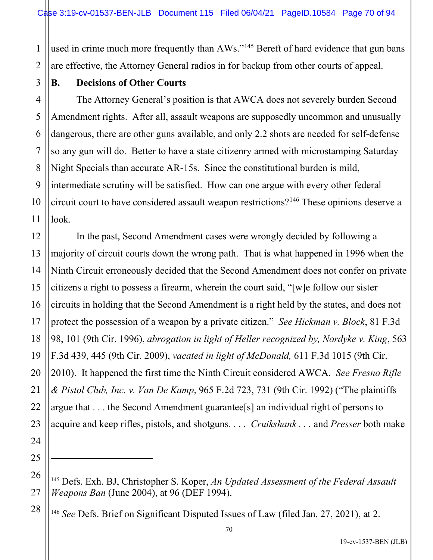used in crime much more frequently than AWs."<sup>[145](#page-69-0)</sup> Bereft of hard evidence that gun bans are effective, the Attorney General radios in for backup from other courts of appeal.

1

2

3

5

6

7

8

9

10

11

17

21

24

25

<span id="page-69-0"></span>26

27

<span id="page-69-1"></span>28

### **B. Decisions of Other Courts**

4 The Attorney General's position is that AWCA does not severely burden Second Amendment rights. After all, assault weapons are supposedly uncommon and unusually dangerous, there are other guns available, and only 2.2 shots are needed for self-defense so any gun will do. Better to have a state citizenry armed with microstamping Saturday Night Specials than accurate AR-15s. Since the constitutional burden is mild, intermediate scrutiny will be satisfied. How can one argue with every other federal circuit court to have considered assault weapon restrictions? [146](#page-69-1) These opinions deserve a look.

12 13 14 15 16 18 19 20 22 23 In the past, Second Amendment cases were wrongly decided by following a majority of circuit courts down the wrong path. That is what happened in 1996 when the Ninth Circuit erroneously decided that the Second Amendment does not confer on private citizens a right to possess a firearm, wherein the court said, "[w]e follow our sister circuits in holding that the Second Amendment is a right held by the states, and does not protect the possession of a weapon by a private citizen." *See Hickman v. Block*, 81 F.3d 98, 101 (9th Cir. 1996), *abrogation in light of Heller recognized by, Nordyke v. King*, 563 F.3d 439, 445 (9th Cir. 2009), *vacated in light of McDonald,* 611 F.3d 1015 (9th Cir. 2010). It happened the first time the Ninth Circuit considered AWCA. *See Fresno Rifle & Pistol Club, Inc. v. Van De Kamp*, 965 F.2d 723, 731 (9th Cir. 1992) ("The plaintiffs argue that . . . the Second Amendment guarantee[s] an individual right of persons to acquire and keep rifles, pistols, and shotguns. . . . *Cruikshank . . .* and *Presser* both make

<sup>145</sup> Defs. Exh. BJ, Christopher S. Koper, *An Updated Assessment of the Federal Assault Weapons Ban* (June 2004), at 96 (DEF 1994).

<sup>146</sup> *See* Defs. Brief on Significant Disputed Issues of Law (filed Jan. 27, 2021), at 2.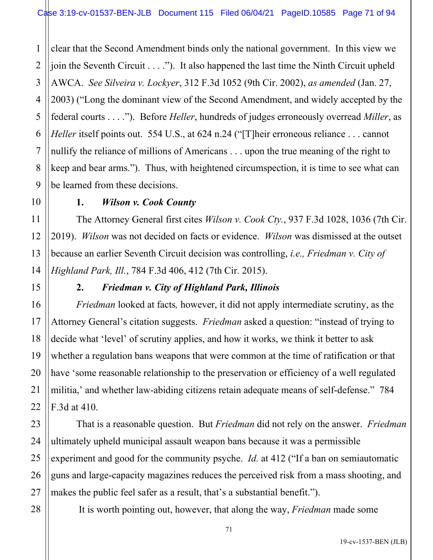1 2 3 4 5 6 7 8 9 clear that the Second Amendment binds only the national government. In this view we join the Seventh Circuit  $\dots$ ."). It also happened the last time the Ninth Circuit upheld AWCA. *See Silveira v. Lockyer*, 312 F.3d 1052 (9th Cir. 2002), *as amended* (Jan. 27, 2003) ("Long the dominant view of the Second Amendment, and widely accepted by the federal courts . . . ."). Before *Heller*, hundreds of judges erroneously overread *Miller*, as *Heller* itself points out. 554 U.S., at 624 n.24 ("Their erroneous reliance ... cannot nullify the reliance of millions of Americans . . . upon the true meaning of the right to keep and bear arms."). Thus, with heightened circumspection, it is time to see what can be learned from these decisions.

### **1.** *Wilson v. Cook County*

The Attorney General first cites *Wilson v. Cook Cty.*, 937 F.3d 1028, 1036 (7th Cir. 2019). *Wilson* was not decided on facts or evidence. *Wilson* was dismissed at the outset because an earlier Seventh Circuit decision was controlling, *i.e., Friedman v. City of Highland Park, Ill.*, 784 F.3d 406, 412 (7th Cir. 2015).

# **2.** *Friedman v. City of Highland Park, Illinois*

*Friedman* looked at facts*,* however, it did not apply intermediate scrutiny, as the Attorney General's citation suggests. *Friedman* asked a question: "instead of trying to decide what 'level' of scrutiny applies, and how it works, we think it better to ask whether a regulation bans weapons that were common at the time of ratification or that have 'some reasonable relationship to the preservation or efficiency of a well regulated militia,' and whether law-abiding citizens retain adequate means of self-defense." 784 F.3d at 410.

That is a reasonable question. But *Friedman* did not rely on the answer. *Friedman* ultimately upheld municipal assault weapon bans because it was a permissible experiment and good for the community psyche. *Id.* at 412 ("If a ban on semiautomatic guns and large-capacity magazines reduces the perceived risk from a mass shooting, and makes the public feel safer as a result, that's a substantial benefit.").

28

10

11

12

13

14

15

16

17

18

19

20

21

22

23

24

25

26

27

It is worth pointing out, however, that along the way, *Friedman* made some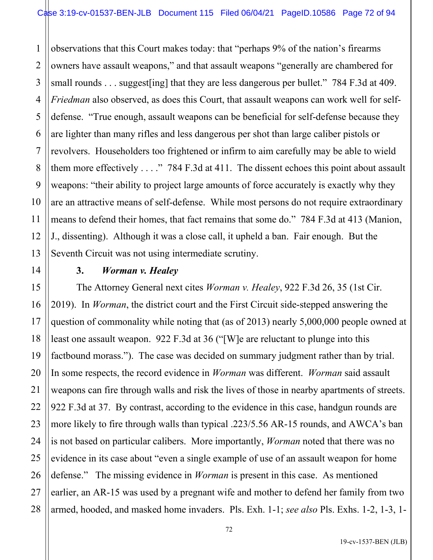1 2 3 4 5 6 7 8 9 10 11 12 13 observations that this Court makes today: that "perhaps 9% of the nation's firearms owners have assault weapons," and that assault weapons "generally are chambered for small rounds . . . suggest [ing] that they are less dangerous per bullet." 784 F.3d at 409. *Friedman* also observed, as does this Court, that assault weapons can work well for selfdefense. "True enough, assault weapons can be beneficial for self-defense because they are lighter than many rifles and less dangerous per shot than large caliber pistols or revolvers. Householders too frightened or infirm to aim carefully may be able to wield them more effectively  $\dots$ ." 784 F.3d at 411. The dissent echoes this point about assault weapons: "their ability to project large amounts of force accurately is exactly why they are an attractive means of self-defense. While most persons do not require extraordinary means to defend their homes, that fact remains that some do." 784 F.3d at 413 (Manion, J., dissenting). Although it was a close call, it upheld a ban. Fair enough. But the Seventh Circuit was not using intermediate scrutiny.

14

15

16

17

18

19

20

21

22

23

24

25

26

27

28

#### **3.** *Worman v. Healey*

The Attorney General next cites *Worman v. Healey*, 922 F.3d 26, 35 (1st Cir. 2019). In *Worman*, the district court and the First Circuit side-stepped answering the question of commonality while noting that (as of 2013) nearly 5,000,000 people owned at least one assault weapon. 922 F.3d at 36 ("[W]e are reluctant to plunge into this factbound morass."). The case was decided on summary judgment rather than by trial. In some respects, the record evidence in *Worman* was different. *Worman* said assault weapons can fire through walls and risk the lives of those in nearby apartments of streets. 922 F.3d at 37. By contrast, according to the evidence in this case, handgun rounds are more likely to fire through walls than typical .223/5.56 AR-15 rounds, and AWCA's ban is not based on particular calibers. More importantly, *Worman* noted that there was no evidence in its case about "even a single example of use of an assault weapon for home defense." The missing evidence in *Worman* is present in this case. As mentioned earlier, an AR-15 was used by a pregnant wife and mother to defend her family from two armed, hooded, and masked home invaders. Pls. Exh. 1-1; *see also* Pls. Exhs. 1-2, 1-3, 1-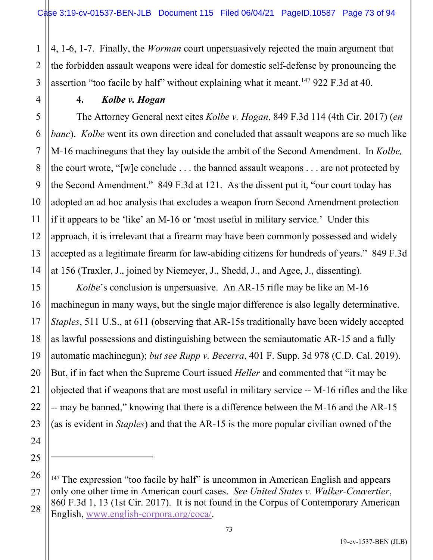2 3 4, 1-6, 1-7. Finally, the *Worman* court unpersuasively rejected the main argument that the forbidden assault weapons were ideal for domestic self-defense by pronouncing the assertion "too facile by half" without explaining what it meant.<sup>[147](#page-72-0)</sup> 922 F.3d at 40.

#### **4.** *Kolbe v. Hogan*

1

4

5

6

7

8

9

10

11

12

13

14

15

16

17

18

19

20

21

22

23

24

25

The Attorney General next cites *Kolbe v. Hogan*, 849 F.3d 114 (4th Cir. 2017) (*en banc*). *Kolbe* went its own direction and concluded that assault weapons are so much like M-16 machineguns that they lay outside the ambit of the Second Amendment. In *Kolbe,* the court wrote, "[w]e conclude . . . the banned assault weapons . . . are not protected by the Second Amendment." 849 F.3d at 121. As the dissent put it, "our court today has adopted an ad hoc analysis that excludes a weapon from Second Amendment protection if it appears to be 'like' an M-16 or 'most useful in military service.' Under this approach, it is irrelevant that a firearm may have been commonly possessed and widely accepted as a legitimate firearm for law-abiding citizens for hundreds of years." 849 F.3d at 156 (Traxler, J., joined by Niemeyer, J., Shedd, J., and Agee, J., dissenting).

*Kolbe*'s conclusion is unpersuasive. An AR-15 rifle may be like an M-16 machinegun in many ways, but the single major difference is also legally determinative. *Staples*, 511 U.S., at 611 (observing that AR-15s traditionally have been widely accepted as lawful possessions and distinguishing between the semiautomatic AR-15 and a fully automatic machinegun); *but see Rupp v. Becerra*, 401 F. Supp. 3d 978 (C.D. Cal. 2019). But, if in fact when the Supreme Court issued *Heller* and commented that "it may be objected that if weapons that are most useful in military service -- M-16 rifles and the like -- may be banned," knowing that there is a difference between the M-16 and the AR-15 (as is evident in *Staples*) and that the AR-15 is the more popular civilian owned of the

<span id="page-72-0"></span><sup>26</sup> 27 28  $147$  The expression "too facile by half" is uncommon in American English and appears only one other time in American court cases. *See United States v. Walker-Couvertier*, 860 F.3d 1, 13 (1st Cir. 2017). It is not found in the Corpus of Contemporary American English, [www.english-corpora.org/coca/.](http://www.english-corpora.org/coca/)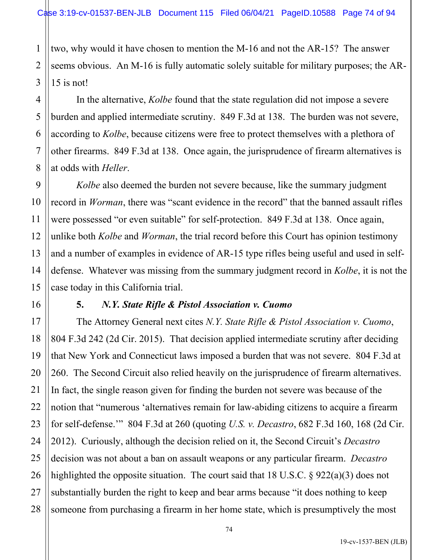1 two, why would it have chosen to mention the M-16 and not the AR-15? The answer seems obvious. An M-16 is fully automatic solely suitable for military purposes; the AR-15 is not!

In the alternative, *Kolbe* found that the state regulation did not impose a severe burden and applied intermediate scrutiny. 849 F.3d at 138. The burden was not severe, according to *Kolbe*, because citizens were free to protect themselves with a plethora of other firearms. 849 F.3d at 138. Once again, the jurisprudence of firearm alternatives is at odds with *Heller*.

*Kolbe* also deemed the burden not severe because, like the summary judgment record in *Worman*, there was "scant evidence in the record" that the banned assault rifles were possessed "or even suitable" for self-protection. 849 F.3d at 138. Once again, unlike both *Kolbe* and *Worman*, the trial record before this Court has opinion testimony and a number of examples in evidence of AR-15 type rifles being useful and used in selfdefense. Whatever was missing from the summary judgment record in *Kolbe*, it is not the case today in this California trial.

#### **5.** *N.Y. State Rifle & Pistol Association v. Cuomo*

The Attorney General next cites *N.Y. State Rifle & Pistol Association v. Cuomo*, 804 F.3d 242 (2d Cir. 2015). That decision applied intermediate scrutiny after deciding that New York and Connecticut laws imposed a burden that was not severe. 804 F.3d at 260. The Second Circuit also relied heavily on the jurisprudence of firearm alternatives. In fact, the single reason given for finding the burden not severe was because of the notion that "numerous 'alternatives remain for law-abiding citizens to acquire a firearm for self-defense.'" 804 F.3d at 260 (quoting *U.S. v. Decastro*, 682 F.3d 160, 168 (2d Cir. 2012). Curiously, although the decision relied on it, the Second Circuit's *Decastro* decision was not about a ban on assault weapons or any particular firearm. *Decastro* highlighted the opposite situation. The court said that 18 U.S.C. § 922(a)(3) does not substantially burden the right to keep and bear arms because "it does nothing to keep someone from purchasing a firearm in her home state, which is presumptively the most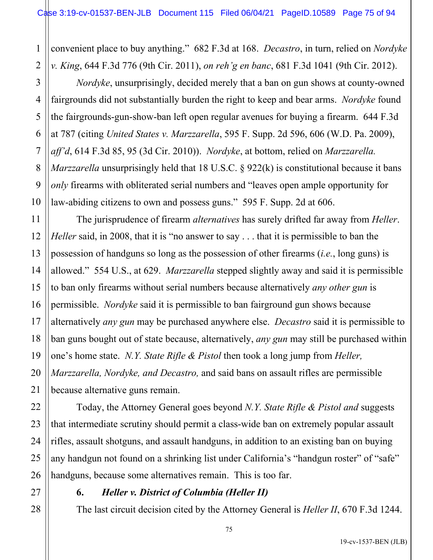1 2 convenient place to buy anything." 682 F.3d at 168. *Decastro*, in turn, relied on *Nordyke v. King*, 644 F.3d 776 (9th Cir. 2011), *on reh'g en banc*, 681 F.3d 1041 (9th Cir. 2012).

*Nordyke*, unsurprisingly, decided merely that a ban on gun shows at county-owned fairgrounds did not substantially burden the right to keep and bear arms. *Nordyke* found the fairgrounds-gun-show-ban left open regular avenues for buying a firearm. 644 F.3d at 787 (citing *United States v. Marzzarella*, 595 F. Supp. 2d 596, 606 (W.D. Pa. 2009), *aff'd*, 614 F.3d 85, 95 (3d Cir. 2010)). *Nordyke*, at bottom, relied on *Marzzarella. Marzzarella* unsurprisingly held that 18 U.S.C. § 922(k) is constitutional because it bans *only* firearms with obliterated serial numbers and "leaves open ample opportunity for law-abiding citizens to own and possess guns." 595 F. Supp. 2d at 606.

12 13 14 15 16 18 19 20 The jurisprudence of firearm *alternatives* has surely drifted far away from *Heller*. *Heller* said, in 2008, that it is "no answer to say . . . that it is permissible to ban the possession of handguns so long as the possession of other firearms (*i.e.*, long guns) is allowed." 554 U.S., at 629. *Marzzarella* stepped slightly away and said it is permissible to ban only firearms without serial numbers because alternatively *any other gun* is permissible. *Nordyke* said it is permissible to ban fairground gun shows because alternatively *any gun* may be purchased anywhere else. *Decastro* said it is permissible to ban guns bought out of state because, alternatively, *any gun* may still be purchased within one's home state. *N.Y. State Rifle & Pistol* then took a long jump from *Heller, Marzzarella, Nordyke, and Decastro,* and said bans on assault rifles are permissible because alternative guns remain.

Today, the Attorney General goes beyond *N.Y. State Rifle & Pistol and* suggests that intermediate scrutiny should permit a class-wide ban on extremely popular assault rifles, assault shotguns, and assault handguns, in addition to an existing ban on buying any handgun not found on a shrinking list under California's "handgun roster" of "safe" handguns, because some alternatives remain. This is too far.

3

4

5

6

7

8

9

10

11

17

21

22

23

24

25

26

27

28

# **6.** *Heller v. District of Columbia (Heller II)*

The last circuit decision cited by the Attorney General is *Heller II*, 670 F.3d 1244.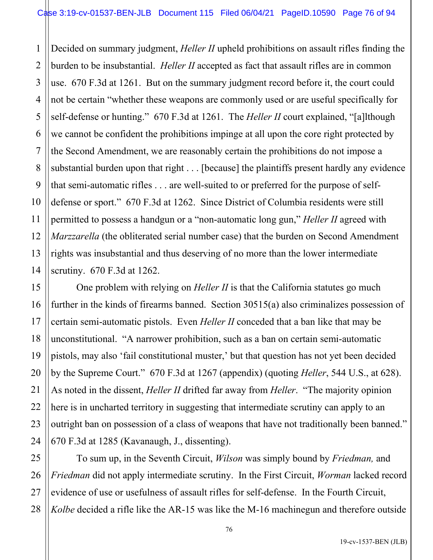1 2 3 4 5 6 7 8 9 10 11 12 13 14 Decided on summary judgment, *Heller II* upheld prohibitions on assault rifles finding the burden to be insubstantial. *Heller II* accepted as fact that assault rifles are in common use. 670 F.3d at 1261. But on the summary judgment record before it, the court could not be certain "whether these weapons are commonly used or are useful specifically for self-defense or hunting." 670 F.3d at 1261. The *Heller II* court explained, "[a]lthough we cannot be confident the prohibitions impinge at all upon the core right protected by the Second Amendment, we are reasonably certain the prohibitions do not impose a substantial burden upon that right . . . [because] the plaintiffs present hardly any evidence that semi-automatic rifles . . . are well-suited to or preferred for the purpose of selfdefense or sport." 670 F.3d at 1262. Since District of Columbia residents were still permitted to possess a handgun or a "non-automatic long gun," *Heller II* agreed with *Marzzarella* (the obliterated serial number case) that the burden on Second Amendment rights was insubstantial and thus deserving of no more than the lower intermediate scrutiny. 670 F.3d at 1262.

One problem with relying on *Heller II* is that the California statutes go much further in the kinds of firearms banned. Section 30515(a) also criminalizes possession of certain semi-automatic pistols. Even *Heller II* conceded that a ban like that may be unconstitutional. "A narrower prohibition, such as a ban on certain semi-automatic pistols, may also 'fail constitutional muster,' but that question has not yet been decided by the Supreme Court." 670 F.3d at 1267 (appendix) (quoting *Heller*, 544 U.S., at 628). As noted in the dissent, *Heller II* drifted far away from *Heller*. "The majority opinion here is in uncharted territory in suggesting that intermediate scrutiny can apply to an outright ban on possession of a class of weapons that have not traditionally been banned." 670 F.3d at 1285 (Kavanaugh, J., dissenting).

15

16

17

18

19

20

21

22

23

24

25

26

27

28

To sum up, in the Seventh Circuit, *Wilson* was simply bound by *Friedman,* and *Friedman* did not apply intermediate scrutiny. In the First Circuit, *Worman* lacked record evidence of use or usefulness of assault rifles for self-defense. In the Fourth Circuit, *Kolbe* decided a rifle like the AR-15 was like the M-16 machinegun and therefore outside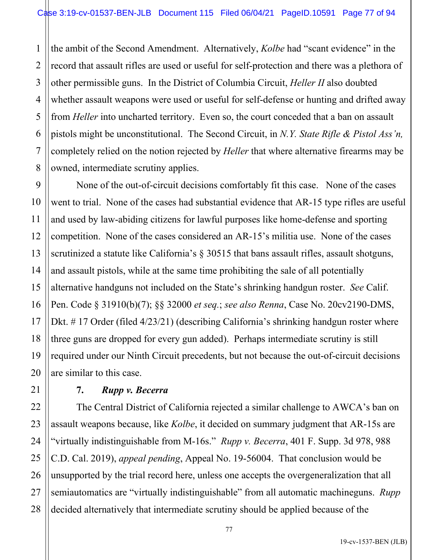1 2 the ambit of the Second Amendment. Alternatively, *Kolbe* had "scant evidence" in the record that assault rifles are used or useful for self-protection and there was a plethora of other permissible guns. In the District of Columbia Circuit, *Heller II* also doubted whether assault weapons were used or useful for self-defense or hunting and drifted away from *Heller* into uncharted territory. Even so, the court conceded that a ban on assault pistols might be unconstitutional. The Second Circuit, in *N.Y. State Rifle & Pistol Ass'n,* completely relied on the notion rejected by *Heller* that where alternative firearms may be owned, intermediate scrutiny applies.

None of the out-of-circuit decisions comfortably fit this case. None of the cases went to trial. None of the cases had substantial evidence that AR-15 type rifles are useful and used by law-abiding citizens for lawful purposes like home-defense and sporting competition. None of the cases considered an AR-15's militia use. None of the cases scrutinized a statute like California's  $\S$  30515 that bans assault rifles, assault shotguns, and assault pistols, while at the same time prohibiting the sale of all potentially alternative handguns not included on the State's shrinking handgun roster. *See* Calif. Pen. Code § 31910(b)(7); §§ 32000 *et seq.*; *see also Renna*, Case No. 20cv2190-DMS, Dkt. #17 Order (filed 4/23/21) (describing California's shrinking handgun roster where three guns are dropped for every gun added). Perhaps intermediate scrutiny is still required under our Ninth Circuit precedents, but not because the out-of-circuit decisions are similar to this case.

### **7.** *Rupp v. Becerra*

The Central District of California rejected a similar challenge to AWCA's ban on assault weapons because, like *Kolbe*, it decided on summary judgment that AR-15s are "virtually indistinguishable from M-16s." *Rupp v. Becerra*, 401 F. Supp. 3d 978, 988 C.D. Cal. 2019), *appeal pending*, Appeal No. 19-56004. That conclusion would be unsupported by the trial record here, unless one accepts the overgeneralization that all semiautomatics are "virtually indistinguishable" from all automatic machineguns. *Rupp* decided alternatively that intermediate scrutiny should be applied because of the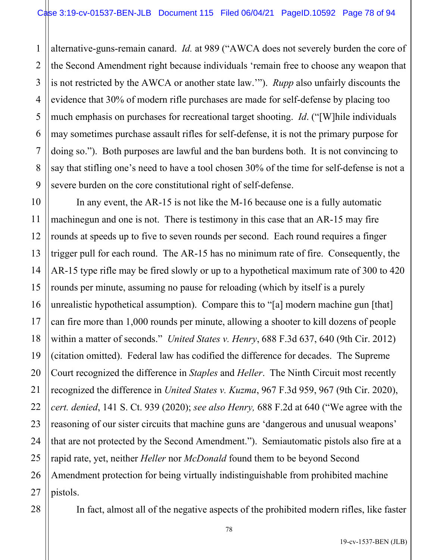1 2 3 4 5 6 7 8 9 alternative-guns-remain canard. *Id.* at 989 ("AWCA does not severely burden the core of the Second Amendment right because individuals 'remain free to choose any weapon that is not restricted by the AWCA or another state law.'"). *Rupp* also unfairly discounts the evidence that 30% of modern rifle purchases are made for self-defense by placing too much emphasis on purchases for recreational target shooting. *Id*. ("[W]hile individuals may sometimes purchase assault rifles for self-defense, it is not the primary purpose for doing so."). Both purposes are lawful and the ban burdens both. It is not convincing to say that stifling one's need to have a tool chosen 30% of the time for self-defense is not a severe burden on the core constitutional right of self-defense.

10 11 12 13 14 15 16 17 18 19 20 21 22 23 24 25 26 27 In any event, the AR-15 is not like the M-16 because one is a fully automatic machinegun and one is not. There is testimony in this case that an AR-15 may fire rounds at speeds up to five to seven rounds per second. Each round requires a finger trigger pull for each round. The AR-15 has no minimum rate of fire. Consequently, the AR-15 type rifle may be fired slowly or up to a hypothetical maximum rate of 300 to 420 rounds per minute, assuming no pause for reloading (which by itself is a purely unrealistic hypothetical assumption). Compare this to "[a] modern machine gun [that] can fire more than 1,000 rounds per minute, allowing a shooter to kill dozens of people within a matter of seconds." *United States v. Henry*, 688 F.3d 637, 640 (9th Cir. 2012) (citation omitted). Federal law has codified the difference for decades. The Supreme Court recognized the difference in *Staples* and *Heller*. The Ninth Circuit most recently recognized the difference in *United States v. Kuzma*, 967 F.3d 959, 967 (9th Cir. 2020), *cert. denied*, 141 S. Ct. 939 (2020); *see also Henry,* 688 F.2d at 640 ("We agree with the reasoning of our sister circuits that machine guns are 'dangerous and unusual weapons' that are not protected by the Second Amendment."). Semiautomatic pistols also fire at a rapid rate, yet, neither *Heller* nor *McDonald* found them to be beyond Second Amendment protection for being virtually indistinguishable from prohibited machine pistols.

In fact, almost all of the negative aspects of the prohibited modern rifles, like faster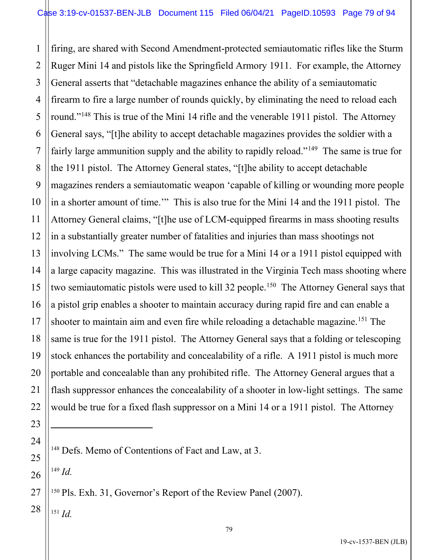1 2 3 4 5 6 7 8 9 10 11 12 13 14 15 16 17 18 19 20 21 22 firing, are shared with Second Amendment-protected semiautomatic rifles like the Sturm Ruger Mini 14 and pistols like the Springfield Armory 1911. For example, the Attorney General asserts that "detachable magazines enhance the ability of a semiautomatic firearm to fire a large number of rounds quickly, by eliminating the need to reload each round."<sup>[148](#page-78-0)</sup> This is true of the Mini 14 rifle and the venerable 1911 pistol. The Attorney General says, "[t]he ability to accept detachable magazines provides the soldier with a fairly large ammunition supply and the ability to rapidly reload."<sup>[149](#page-78-1)</sup> The same is true for the 1911 pistol. The Attorney General states, "[t]he ability to accept detachable magazines renders a semiautomatic weapon 'capable of killing or wounding more people in a shorter amount of time.'" This is also true for the Mini 14 and the 1911 pistol. The Attorney General claims, "[t]he use of LCM-equipped firearms in mass shooting results in a substantially greater number of fatalities and injuries than mass shootings not involving LCMs." The same would be true for a Mini 14 or a 1911 pistol equipped with a large capacity magazine. This was illustrated in the Virginia Tech mass shooting where two semiautomatic pistols were used to kill 32 people.<sup>[150](#page-78-2)</sup> The Attorney General says that a pistol grip enables a shooter to maintain accuracy during rapid fire and can enable a shooter to maintain aim and even fire while reloading a detachable magazine.<sup>[151](#page-78-3)</sup> The same is true for the 1911 pistol. The Attorney General says that a folding or telescoping stock enhances the portability and concealability of a rifle. A 1911 pistol is much more portable and concealable than any prohibited rifle. The Attorney General argues that a flash suppressor enhances the concealability of a shooter in low-light settings. The same would be true for a fixed flash suppressor on a Mini 14 or a 1911 pistol. The Attorney

<sup>149</sup> *Id.*

23

<span id="page-78-0"></span>24

25

<span id="page-78-1"></span>26

<span id="page-78-2"></span>27

<span id="page-78-3"></span>28

<sup>151</sup> *Id.*

<sup>&</sup>lt;sup>148</sup> Defs. Memo of Contentions of Fact and Law, at 3.

<sup>150</sup> Pls. Exh. 31, Governor's Report of the Review Panel (2007).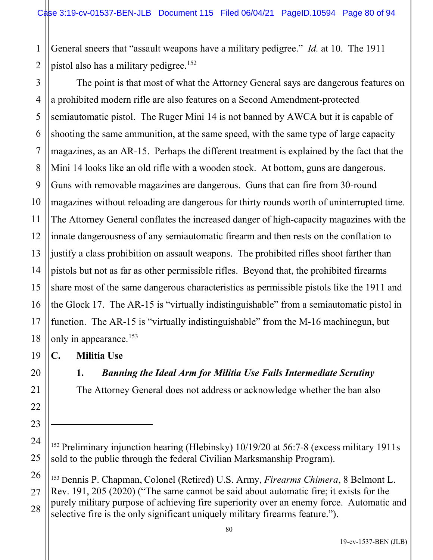1 2 General sneers that "assault weapons have a military pedigree." *Id.* at 10. The 1911 pistol also has a military pedigree.<sup>[152](#page-79-0)</sup>

3 4 5 6 7 8 9 10 11 12 13 14 15 16 17 18 The point is that most of what the Attorney General says are dangerous features on a prohibited modern rifle are also features on a Second Amendment-protected semiautomatic pistol. The Ruger Mini 14 is not banned by AWCA but it is capable of shooting the same ammunition, at the same speed, with the same type of large capacity magazines, as an AR-15. Perhaps the different treatment is explained by the fact that the Mini 14 looks like an old rifle with a wooden stock. At bottom, guns are dangerous. Guns with removable magazines are dangerous. Guns that can fire from 30-round magazines without reloading are dangerous for thirty rounds worth of uninterrupted time. The Attorney General conflates the increased danger of high-capacity magazines with the innate dangerousness of any semiautomatic firearm and then rests on the conflation to justify a class prohibition on assault weapons. The prohibited rifles shoot farther than pistols but not as far as other permissible rifles. Beyond that, the prohibited firearms share most of the same dangerous characteristics as permissible pistols like the 1911 and the Glock 17. The AR-15 is "virtually indistinguishable" from a semiautomatic pistol in function. The AR-15 is "virtually indistinguishable" from the M-16 machinegun, but only in appearance.<sup>[153](#page-79-1)</sup>

**C. Militia Use**

**1.** *Banning the Ideal Arm for Militia Use Fails Intermediate Scrutiny*

The Attorney General does not address or acknowledge whether the ban also

<span id="page-79-1"></span>26 27 28 <sup>153</sup> Dennis P. Chapman, Colonel (Retired) U.S. Army, *Firearms Chimera*, 8 Belmont L. Rev. 191, 205 (2020) ("The same cannot be said about automatic fire; it exists for the purely military purpose of achieving fire superiority over an enemy force. Automatic and selective fire is the only significant uniquely military firearms feature.").

19

20

21

22

23

<span id="page-79-0"></span>24

<sup>&</sup>lt;sup>152</sup> Preliminary injunction hearing (Hlebinsky) 10/19/20 at 56:7-8 (excess military 1911s) sold to the public through the federal Civilian Marksmanship Program).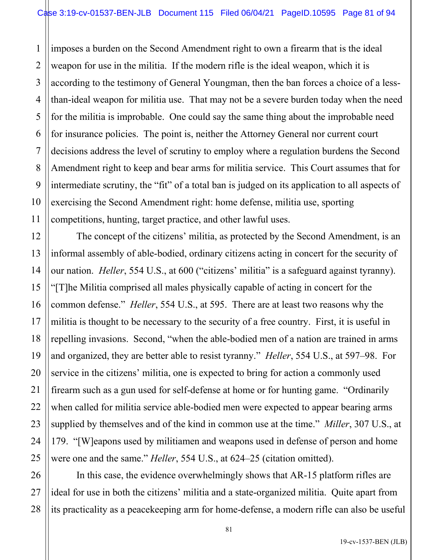1 2 3 4 5 6 7 8 9 10 11 imposes a burden on the Second Amendment right to own a firearm that is the ideal weapon for use in the militia. If the modern rifle is the ideal weapon, which it is according to the testimony of General Youngman, then the ban forces a choice of a lessthan-ideal weapon for militia use. That may not be a severe burden today when the need for the militia is improbable. One could say the same thing about the improbable need for insurance policies. The point is, neither the Attorney General nor current court decisions address the level of scrutiny to employ where a regulation burdens the Second Amendment right to keep and bear arms for militia service. This Court assumes that for intermediate scrutiny, the "fit" of a total ban is judged on its application to all aspects of exercising the Second Amendment right: home defense, militia use, sporting competitions, hunting, target practice, and other lawful uses.

12 13 14 15 16 18 19 20 22 23 24 25 The concept of the citizens' militia, as protected by the Second Amendment, is an informal assembly of able-bodied, ordinary citizens acting in concert for the security of our nation. *Heller*, 554 U.S., at 600 ("citizens' militia" is a safeguard against tyranny). "[T]he Militia comprised all males physically capable of acting in concert for the common defense." *Heller*, 554 U.S., at 595. There are at least two reasons why the militia is thought to be necessary to the security of a free country. First, it is useful in repelling invasions. Second, "when the able-bodied men of a nation are trained in arms and organized, they are better able to resist tyranny." *Heller*, 554 U.S., at 597–98. For service in the citizens' militia, one is expected to bring for action a commonly used firearm such as a gun used for self-defense at home or for hunting game. "Ordinarily when called for militia service able-bodied men were expected to appear bearing arms supplied by themselves and of the kind in common use at the time." *Miller*, 307 U.S., at 179. "[W]eapons used by militiamen and weapons used in defense of person and home were one and the same." *Heller*, 554 U.S., at 624–25 (citation omitted).

17

21

27

28

26 In this case, the evidence overwhelmingly shows that AR-15 platform rifles are ideal for use in both the citizens' militia and a state-organized militia. Quite apart from its practicality as a peacekeeping arm for home-defense, a modern rifle can also be useful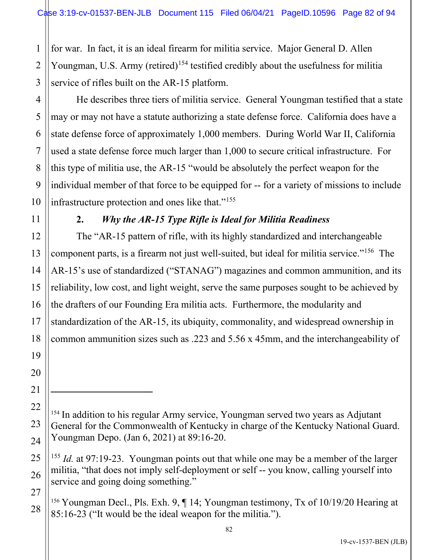for war. In fact, it is an ideal firearm for militia service. Major General D. Allen Youngman, U.S. Army (retired)<sup>[154](#page-81-0)</sup> testified credibly about the usefulness for militia service of rifles built on the AR-15 platform.

He describes three tiers of militia service. General Youngman testified that a state may or may not have a statute authorizing a state defense force. California does have a state defense force of approximately 1,000 members. During World War II, California used a state defense force much larger than 1,000 to secure critical infrastructure. For this type of militia use, the AR-15 "would be absolutely the perfect weapon for the individual member of that force to be equipped for -- for a variety of missions to include infrastructure protection and ones like that."<sup>[155](#page-81-1)</sup>

# **2.** *Why the AR-15 Type Rifle is Ideal for Militia Readiness*

The "AR-15 pattern of rifle, with its highly standardized and interchangeable component parts, is a firearm not just well-suited, but ideal for militia service."<sup>[156](#page-81-2)</sup> The AR-15's use of standardized ("STANAG") magazines and common ammunition, and its reliability, low cost, and light weight, serve the same purposes sought to be achieved by the drafters of our Founding Era militia acts. Furthermore, the modularity and standardization of the AR-15, its ubiquity, commonality, and widespread ownership in common ammunition sizes such as .223 and 5.56 x 45mm, and the interchangeability of

1

<span id="page-81-0"></span><sup>&</sup>lt;sup>154</sup> In addition to his regular Army service, Youngman served two years as Adjutant General for the Commonwealth of Kentucky in charge of the Kentucky National Guard. Youngman Depo. (Jan 6, 2021) at 89:16-20.

<span id="page-81-1"></span><sup>155</sup> *Id.* at 97:19-23. Youngman points out that while one may be a member of the larger militia, "that does not imply self-deployment or self -- you know, calling yourself into service and going doing something."

<span id="page-81-2"></span><sup>156</sup> Youngman Decl., Pls. Exh. 9, ¶ 14; Youngman testimony, Tx of 10/19/20 Hearing at 85:16-23 ("It would be the ideal weapon for the militia.").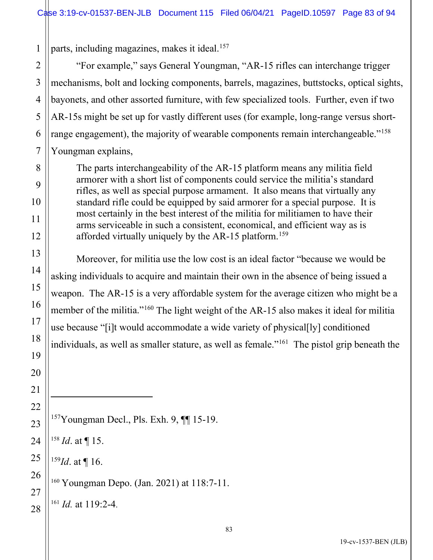parts, including magazines, makes it ideal.<sup>[157](#page-82-0)</sup>

 "For example," says General Youngman, "AR-15 rifles can interchange trigger mechanisms, bolt and locking components, barrels, magazines, buttstocks, optical sights, bayonets, and other assorted furniture, with few specialized tools. Further, even if two AR-15s might be set up for vastly different uses (for example, long-range versus short-range engagement), the majority of wearable components remain interchangeable."<sup>[158](#page-82-1)</sup> Youngman explains,

The parts interchangeability of the AR-15 platform means any militia field armorer with a short list of components could service the militia's standard rifles, as well as special purpose armament. It also means that virtually any standard rifle could be equipped by said armorer for a special purpose. It is most certainly in the best interest of the militia for militiamen to have their arms serviceable in such a consistent, economical, and efficient way as is afforded virtually uniquely by the AR-15 platform.<sup>[159](#page-82-2)</sup>

Moreover, for militia use the low cost is an ideal factor "because we would be asking individuals to acquire and maintain their own in the absence of being issued a weapon. The AR-15 is a very affordable system for the average citizen who might be a member of the militia."<sup>[160](#page-82-3)</sup> The light weight of the AR-15 also makes it ideal for militia use because "[i]t would accommodate a wide variety of physical[ly] conditioned individuals, as well as smaller stature, as well as female."<sup>[161](#page-82-4)</sup> The pistol grip beneath the

<span id="page-82-4"></span><span id="page-82-3"></span><span id="page-82-2"></span><span id="page-82-1"></span><span id="page-82-0"></span> Youngman Decl., Pls. Exh. 9,  $\P$  15-19. *Id*. at ¶ 15. *Id.* at ¶ 16. Youngman Depo. (Jan. 2021) at 118:7-11. *Id.* at 119:2-4.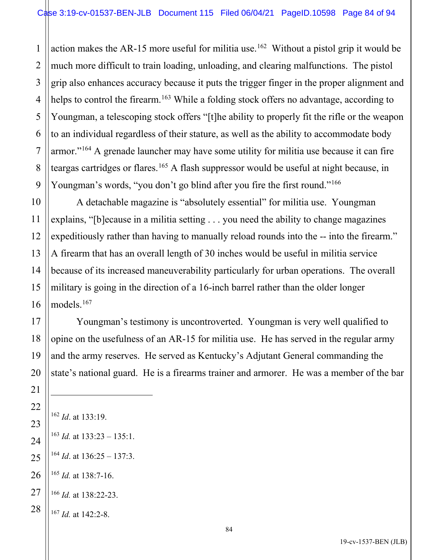action makes the AR-15 more useful for militia use.<sup>[162](#page-83-0)</sup> Without a pistol grip it would be much more difficult to train loading, unloading, and clearing malfunctions. The pistol grip also enhances accuracy because it puts the trigger finger in the proper alignment and helps to control the firearm.<sup>[163](#page-83-1)</sup> While a folding stock offers no advantage, according to Youngman, a telescoping stock offers "[t]he ability to properly fit the rifle or the weapon to an individual regardless of their stature, as well as the ability to accommodate body armor."<sup>[164](#page-83-2)</sup> A grenade launcher may have some utility for militia use because it can fire teargas cartridges or flares.<sup>[165](#page-83-3)</sup> A flash suppressor would be useful at night because, in Youngman's words, "you don't go blind after you fire the first round."<sup>[166](#page-83-4)</sup>

A detachable magazine is "absolutely essential" for militia use. Youngman explains, "[b]ecause in a militia setting . . . you need the ability to change magazines expeditiously rather than having to manually reload rounds into the -- into the firearm." A firearm that has an overall length of 30 inches would be useful in militia service because of its increased maneuverability particularly for urban operations. The overall military is going in the direction of a 16-inch barrel rather than the older longer models.[167](#page-83-5)

Youngman's testimony is uncontroverted. Youngman is very well qualified to opine on the usefulness of an AR-15 for militia use. He has served in the regular army and the army reserves. He served as Kentucky's Adjutant General commanding the state's national guard. He is a firearms trainer and armorer. He was a member of the bar

<span id="page-83-5"></span><span id="page-83-4"></span><span id="page-83-3"></span><span id="page-83-2"></span><span id="page-83-1"></span><span id="page-83-0"></span> *Id*. at 133:19. *Id.* at 133:23 – 135:1. *Id.* at 136:25 – 137:3. *Id.* at 138:7-16. *Id.* at 138:22-23. *Id.* at 142:2-8.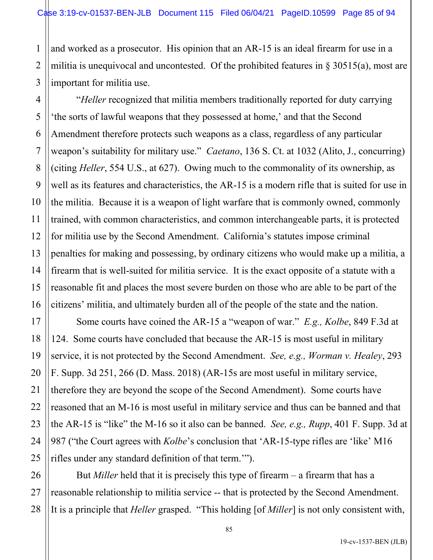1 2 3 and worked as a prosecutor. His opinion that an AR-15 is an ideal firearm for use in a militia is unequivocal and uncontested. Of the prohibited features in  $\S 30515(a)$ , most are important for militia use.

4

5

6

7

8

9

10

11

12

13

14

15

16

17

18

19

21

22

23

"*Heller* recognized that militia members traditionally reported for duty carrying 'the sorts of lawful weapons that they possessed at home,' and that the Second Amendment therefore protects such weapons as a class, regardless of any particular weapon's suitability for military use." *Caetano*, 136 S. Ct. at 1032 (Alito, J., concurring) (citing *Heller*, 554 U.S., at 627). Owing much to the commonality of its ownership, as well as its features and characteristics, the AR-15 is a modern rifle that is suited for use in the militia. Because it is a weapon of light warfare that is commonly owned, commonly trained, with common characteristics, and common interchangeable parts, it is protected for militia use by the Second Amendment. California's statutes impose criminal penalties for making and possessing, by ordinary citizens who would make up a militia, a firearm that is well-suited for militia service. It is the exact opposite of a statute with a reasonable fit and places the most severe burden on those who are able to be part of the citizens' militia, and ultimately burden all of the people of the state and the nation.

20 24 25 Some courts have coined the AR-15 a "weapon of war." *E.g., Kolbe*, 849 F.3d at 124. Some courts have concluded that because the AR-15 is most useful in military service, it is not protected by the Second Amendment. *See, e.g., Worman v. Healey*, 293 F. Supp. 3d 251, 266 (D. Mass. 2018) (AR-15s are most useful in military service, therefore they are beyond the scope of the Second Amendment). Some courts have reasoned that an M-16 is most useful in military service and thus can be banned and that the AR-15 is "like" the M-16 so it also can be banned. *See, e.g., Rupp*, 401 F. Supp. 3d at 987 ("the Court agrees with *Kolbe*'s conclusion that 'AR-15-type rifles are 'like' M16 rifles under any standard definition of that term.'").

26 27 28 But *Miller* held that it is precisely this type of firearm – a firearm that has a reasonable relationship to militia service -- that is protected by the Second Amendment. It is a principle that *Heller* grasped. "This holding [of *Miller*] is not only consistent with,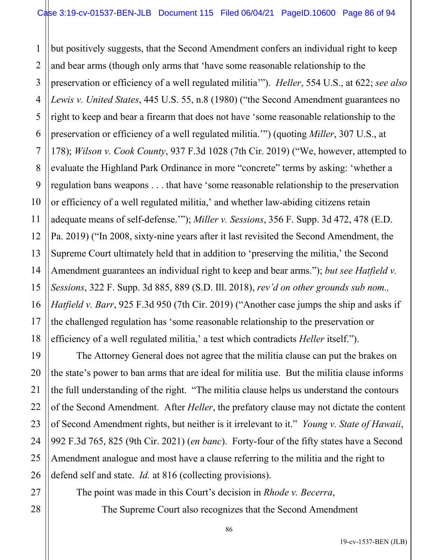1 2 3 4 5 6 7 8 9 10 11 12 13 14 15 16 17 18 but positively suggests, that the Second Amendment confers an individual right to keep and bear arms (though only arms that 'have some reasonable relationship to the preservation or efficiency of a well regulated militia'"). *Heller*, 554 U.S., at 622; *see also Lewis v. United States*, 445 U.S. 55, n.8 (1980) ("the Second Amendment guarantees no right to keep and bear a firearm that does not have 'some reasonable relationship to the preservation or efficiency of a well regulated militia.'") (quoting *Miller*, 307 U.S., at 178); *Wilson v. Cook County*, 937 F.3d 1028 (7th Cir. 2019) ("We, however, attempted to evaluate the Highland Park Ordinance in more "concrete" terms by asking: 'whether a regulation bans weapons . . . that have 'some reasonable relationship to the preservation or efficiency of a well regulated militia,' and whether law-abiding citizens retain adequate means of self-defense.'"); *Miller v. Sessions*, 356 F. Supp. 3d 472, 478 (E.D. Pa. 2019) ("In 2008, sixty-nine years after it last revisited the Second Amendment, the Supreme Court ultimately held that in addition to 'preserving the militia,' the Second Amendment guarantees an individual right to keep and bear arms."); *but see Hatfield v. Sessions*, 322 F. Supp. 3d 885, 889 (S.D. Ill. 2018), *rev'd on other grounds sub nom., Hatfield v. Barr*, 925 F.3d 950 (7th Cir. 2019) ("Another case jumps the ship and asks if the challenged regulation has 'some reasonable relationship to the preservation or efficiency of a well regulated militia,' a test which contradicts *Heller* itself.").

19 20 22 23 24 25 26 The Attorney General does not agree that the militia clause can put the brakes on the state's power to ban arms that are ideal for militia use. But the militia clause informs the full understanding of the right. "The militia clause helps us understand the contours of the Second Amendment. After *Heller*, the prefatory clause may not dictate the content of Second Amendment rights, but neither is it irrelevant to it." *Young v. State of Hawaii*, 992 F.3d 765, 825 (9th Cir. 2021) (*en banc*). Forty-four of the fifty states have a Second Amendment analogue and most have a clause referring to the militia and the right to defend self and state. *Id.* at 816 (collecting provisions).

The point was made in this Court's decision in *Rhode v. Becerra*,

21

27

28

The Supreme Court also recognizes that the Second Amendment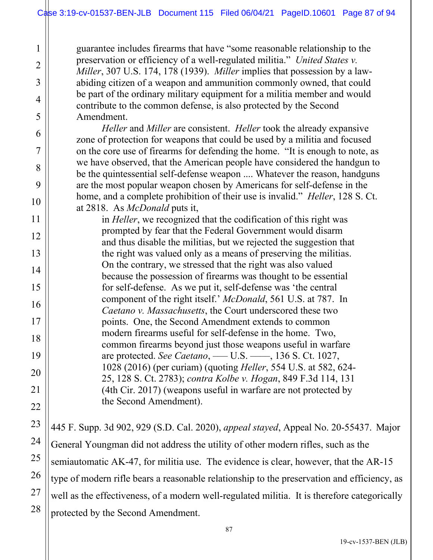1

2

3

4

5

6

7

8

9

10

11

12

13

14

15

16

17

18

19

20

21

22

23

24

25

26

27

28

guarantee includes firearms that have "some reasonable relationship to the preservation or efficiency of a well-regulated militia." *United States v. Miller*, 307 U.S. 174, 178 (1939). *Miller* implies that possession by a lawabiding citizen of a weapon and ammunition commonly owned, that could be part of the ordinary military equipment for a militia member and would contribute to the common defense, is also protected by the Second Amendment.

*Heller* and *Miller* are consistent. *Heller* took the already expansive zone of protection for weapons that could be used by a militia and focused on the core use of firearms for defending the home. "It is enough to note, as we have observed, that the American people have considered the handgun to be the quintessential self-defense weapon .... Whatever the reason, handguns are the most popular weapon chosen by Americans for self-defense in the home, and a complete prohibition of their use is invalid." *Heller*, 128 S. Ct. at 2818. As *McDonald* puts it,

in *Heller*, we recognized that the codification of this right was prompted by fear that the Federal Government would disarm and thus disable the militias, but we rejected the suggestion that the right was valued only as a means of preserving the militias. On the contrary, we stressed that the right was also valued because the possession of firearms was thought to be essential for self-defense. As we put it, self-defense was 'the central component of the right itself.' *McDonald*, 561 U.S. at 787. In *Caetano v. Massachusetts*, the Court underscored these two points. One, the Second Amendment extends to common modern firearms useful for self-defense in the home. Two, common firearms beyond just those weapons useful in warfare are protected. *See Caetano*, ––– U.S. ––––, 136 S. Ct. 1027, 1028 (2016) (per curiam) (quoting *Heller*, 554 U.S. at 582, 624- 25, 128 S. Ct. 2783); *contra Kolbe v. Hogan*, 849 F.3d 114, 131 (4th Cir. 2017) (weapons useful in warfare are not protected by the Second Amendment).

445 F. Supp. 3d 902, 929 (S.D. Cal. 2020), *appeal stayed*, Appeal No. 20-55437. Major General Youngman did not address the utility of other modern rifles, such as the semiautomatic AK-47, for militia use. The evidence is clear, however, that the AR-15 type of modern rifle bears a reasonable relationship to the preservation and efficiency, as well as the effectiveness, of a modern well-regulated militia. It is therefore categorically protected by the Second Amendment.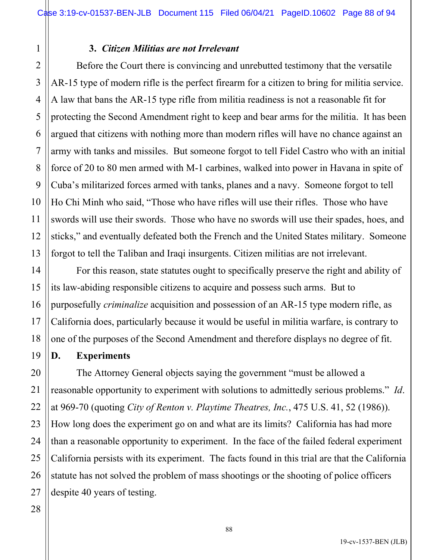#### **3.** *Citizen Militias are not Irrelevant*

Before the Court there is convincing and unrebutted testimony that the versatile AR-15 type of modern rifle is the perfect firearm for a citizen to bring for militia service. A law that bans the AR-15 type rifle from militia readiness is not a reasonable fit for protecting the Second Amendment right to keep and bear arms for the militia. It has been argued that citizens with nothing more than modern rifles will have no chance against an army with tanks and missiles. But someone forgot to tell Fidel Castro who with an initial force of 20 to 80 men armed with M-1 carbines, walked into power in Havana in spite of Cuba's militarized forces armed with tanks, planes and a navy. Someone forgot to tell Ho Chi Minh who said, "Those who have rifles will use their rifles. Those who have swords will use their swords. Those who have no swords will use their spades, hoes, and sticks," and eventually defeated both the French and the United States military. Someone forgot to tell the Taliban and Iraqi insurgents. Citizen militias are not irrelevant.

For this reason, state statutes ought to specifically preserve the right and ability of its law-abiding responsible citizens to acquire and possess such arms. But to purposefully *criminalize* acquisition and possession of an AR-15 type modern rifle, as California does, particularly because it would be useful in militia warfare, is contrary to one of the purposes of the Second Amendment and therefore displays no degree of fit.

### **D. Experiments**

The Attorney General objects saying the government "must be allowed a reasonable opportunity to experiment with solutions to admittedly serious problems." *Id*. at 969-70 (quoting *City of Renton v. Playtime Theatres, Inc.*, 475 U.S. 41, 52 (1986)). How long does the experiment go on and what are its limits? California has had more than a reasonable opportunity to experiment. In the face of the failed federal experiment California persists with its experiment. The facts found in this trial are that the California statute has not solved the problem of mass shootings or the shooting of police officers despite 40 years of testing.

1

2

3

4

5

6

7

8

9

10

11

12

13

14

15

16

17

18

19

20

21

22

23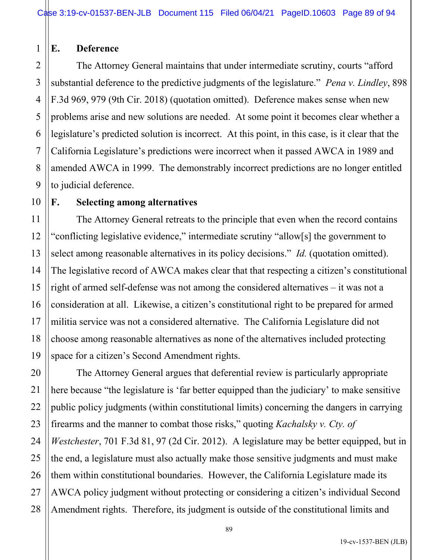#### 1 **E. Deference**

10

11

12

13

14

15

16

17

18

19

21

2 3 4 5 6 7 8 9 The Attorney General maintains that under intermediate scrutiny, courts "afford substantial deference to the predictive judgments of the legislature." *Pena v. Lindley*, 898 F.3d 969, 979 (9th Cir. 2018) (quotation omitted). Deference makes sense when new problems arise and new solutions are needed. At some point it becomes clear whether a legislature's predicted solution is incorrect. At this point, in this case, is it clear that the California Legislature's predictions were incorrect when it passed AWCA in 1989 and amended AWCA in 1999. The demonstrably incorrect predictions are no longer entitled to judicial deference.

### **F. Selecting among alternatives**

The Attorney General retreats to the principle that even when the record contains "conflicting legislative evidence," intermediate scrutiny "allow[s] the government to select among reasonable alternatives in its policy decisions." *Id.* (quotation omitted). The legislative record of AWCA makes clear that that respecting a citizen's constitutional right of armed self-defense was not among the considered alternatives – it was not a consideration at all. Likewise, a citizen's constitutional right to be prepared for armed militia service was not a considered alternative. The California Legislature did not choose among reasonable alternatives as none of the alternatives included protecting space for a citizen's Second Amendment rights.

20 22 23 24 25 26 27 28 The Attorney General argues that deferential review is particularly appropriate here because "the legislature is 'far better equipped than the judiciary' to make sensitive public policy judgments (within constitutional limits) concerning the dangers in carrying firearms and the manner to combat those risks," quoting *Kachalsky v. Cty. of Westchester*, 701 F.3d 81, 97 (2d Cir. 2012). A legislature may be better equipped, but in the end, a legislature must also actually make those sensitive judgments and must make them within constitutional boundaries. However, the California Legislature made its AWCA policy judgment without protecting or considering a citizen's individual Second Amendment rights. Therefore, its judgment is outside of the constitutional limits and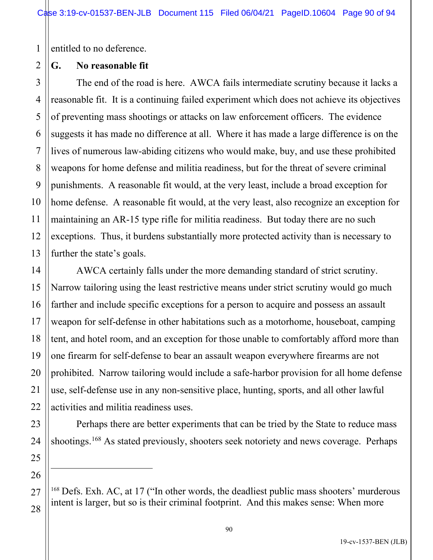1 entitled to no deference.

## **G. No reasonable fit**

2

14

15

16

17

18

19

20

21

22

23

24

25

26

<span id="page-89-0"></span>27

28

3 4 5 6 7 8 9 10 11 12 13 The end of the road is here. AWCA fails intermediate scrutiny because it lacks a reasonable fit. It is a continuing failed experiment which does not achieve its objectives of preventing mass shootings or attacks on law enforcement officers. The evidence suggests it has made no difference at all. Where it has made a large difference is on the lives of numerous law-abiding citizens who would make, buy, and use these prohibited weapons for home defense and militia readiness, but for the threat of severe criminal punishments. A reasonable fit would, at the very least, include a broad exception for home defense. A reasonable fit would, at the very least, also recognize an exception for maintaining an AR-15 type rifle for militia readiness. But today there are no such exceptions. Thus, it burdens substantially more protected activity than is necessary to further the state's goals.

AWCA certainly falls under the more demanding standard of strict scrutiny. Narrow tailoring using the least restrictive means under strict scrutiny would go much farther and include specific exceptions for a person to acquire and possess an assault weapon for self-defense in other habitations such as a motorhome, houseboat, camping tent, and hotel room, and an exception for those unable to comfortably afford more than one firearm for self-defense to bear an assault weapon everywhere firearms are not prohibited. Narrow tailoring would include a safe-harbor provision for all home defense use, self-defense use in any non-sensitive place, hunting, sports, and all other lawful activities and militia readiness uses.

Perhaps there are better experiments that can be tried by the State to reduce mass shootings.<sup>[168](#page-89-0)</sup> As stated previously, shooters seek notoriety and news coverage. Perhaps

 $168$  Defs. Exh. AC, at 17 ("In other words, the deadliest public mass shooters' murderous intent is larger, but so is their criminal footprint. And this makes sense: When more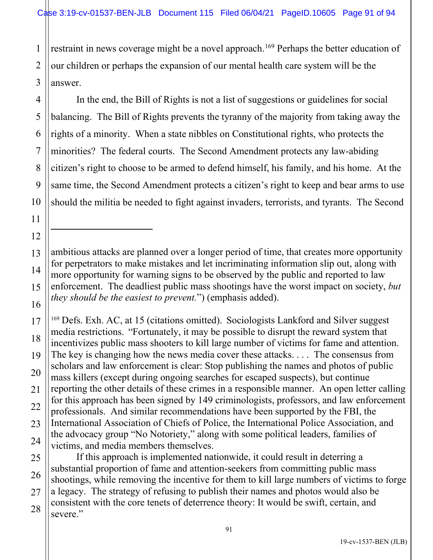1 2 restraint in news coverage might be a novel approach.<sup>[169](#page-90-0)</sup> Perhaps the better education of our children or perhaps the expansion of our mental health care system will be the answer.

In the end, the Bill of Rights is not a list of suggestions or guidelines for social balancing. The Bill of Rights prevents the tyranny of the majority from taking away the rights of a minority. When a state nibbles on Constitutional rights, who protects the minorities? The federal courts. The Second Amendment protects any law-abiding citizen's right to choose to be armed to defend himself, his family, and his home. At the same time, the Second Amendment protects a citizen's right to keep and bear arms to use should the militia be needed to fight against invaders, terrorists, and tyrants. The Second

ambitious attacks are planned over a longer period of time, that creates more opportunity for perpetrators to make mistakes and let incriminating information slip out, along with more opportunity for warning signs to be observed by the public and reported to law enforcement. The deadliest public mass shootings have the worst impact on society, *but they should be the easiest to prevent.*") (emphasis added).

<span id="page-90-0"></span><sup>169</sup> Defs. Exh. AC, at 15 (citations omitted). Sociologists Lankford and Silver suggest media restrictions. "Fortunately, it may be possible to disrupt the reward system that incentivizes public mass shooters to kill large number of victims for fame and attention. The key is changing how the news media cover these attacks. . . . The consensus from scholars and law enforcement is clear: Stop publishing the names and photos of public mass killers (except during ongoing searches for escaped suspects), but continue reporting the other details of these crimes in a responsible manner. An open letter calling for this approach has been signed by 149 criminologists, professors, and law enforcement professionals. And similar recommendations have been supported by the FBI, the International Association of Chiefs of Police, the International Police Association, and the advocacy group "No Notoriety," along with some political leaders, families of victims, and media members themselves.

If this approach is implemented nationwide, it could result in deterring a substantial proportion of fame and attention-seekers from committing public mass shootings, while removing the incentive for them to kill large numbers of victims to forge a legacy. The strategy of refusing to publish their names and photos would also be consistent with the core tenets of deterrence theory: It would be swift, certain, and severe."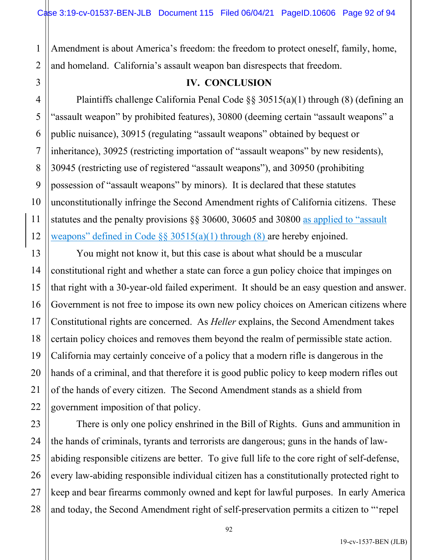1 2 Amendment is about America's freedom: the freedom to protect oneself, family, home, and homeland. California's assault weapon ban disrespects that freedom.

3

4

5

6

7

8

9

10

11

12

13

14

15

16

17

18

19

20

21

22

#### **IV. CONCLUSION**

Plaintiffs challenge California Penal Code §§ 30515(a)(1) through (8) (defining an "assault weapon" by prohibited features), 30800 (deeming certain "assault weapons" a public nuisance), 30915 (regulating "assault weapons" obtained by bequest or inheritance), 30925 (restricting importation of "assault weapons" by new residents), 30945 (restricting use of registered "assault weapons"), and 30950 (prohibiting possession of "assault weapons" by minors). It is declared that these statutes unconstitutionally infringe the Second Amendment rights of California citizens. These statutes and the penalty provisions §§ 30600, 30605 and 30800 as applied to "assault weapons" defined in Code  $\S$ § 30515(a)(1) through (8) are hereby enjoined.

You might not know it, but this case is about what should be a muscular constitutional right and whether a state can force a gun policy choice that impinges on that right with a 30-year-old failed experiment. It should be an easy question and answer. Government is not free to impose its own new policy choices on American citizens where Constitutional rights are concerned. As *Heller* explains, the Second Amendment takes certain policy choices and removes them beyond the realm of permissible state action. California may certainly conceive of a policy that a modern rifle is dangerous in the hands of a criminal, and that therefore it is good public policy to keep modern rifles out of the hands of every citizen. The Second Amendment stands as a shield from government imposition of that policy.

23 24 25 26 27 28 There is only one policy enshrined in the Bill of Rights. Guns and ammunition in the hands of criminals, tyrants and terrorists are dangerous; guns in the hands of lawabiding responsible citizens are better. To give full life to the core right of self-defense, every law-abiding responsible individual citizen has a constitutionally protected right to keep and bear firearms commonly owned and kept for lawful purposes. In early America and today, the Second Amendment right of self-preservation permits a citizen to "'repel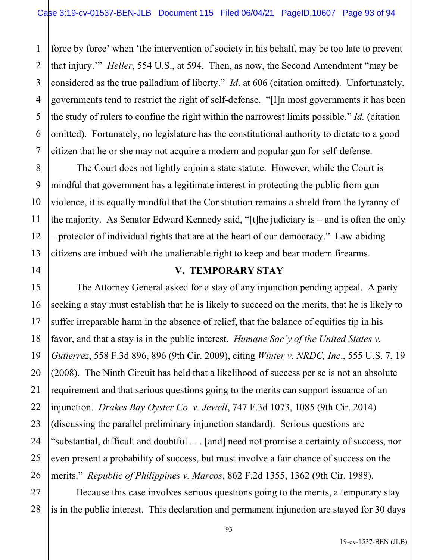1 2 force by force' when 'the intervention of society in his behalf, may be too late to prevent that injury.'" *Heller*, 554 U.S., at 594. Then, as now, the Second Amendment "may be considered as the true palladium of liberty." *Id*. at 606 (citation omitted). Unfortunately, governments tend to restrict the right of self-defense. "[I]n most governments it has been the study of rulers to confine the right within the narrowest limits possible." *Id.* (citation omitted). Fortunately, no legislature has the constitutional authority to dictate to a good citizen that he or she may not acquire a modern and popular gun for self-defense.

The Court does not lightly enjoin a state statute. However, while the Court is mindful that government has a legitimate interest in protecting the public from gun violence, it is equally mindful that the Constitution remains a shield from the tyranny of the majority. As Senator Edward Kennedy said, "[t]he judiciary is – and is often the only – protector of individual rights that are at the heart of our democracy." Law-abiding citizens are imbued with the unalienable right to keep and bear modern firearms.

#### **V. TEMPORARY STAY**

The Attorney General asked for a stay of any injunction pending appeal. A party seeking a stay must establish that he is likely to succeed on the merits, that he is likely to suffer irreparable harm in the absence of relief, that the balance of equities tip in his favor, and that a stay is in the public interest. *Humane Soc'y of the United States v. Gutierrez*, 558 F.3d 896, 896 (9th Cir. 2009), citing *Winter v. NRDC, Inc*., 555 U.S. 7, 19 (2008). The Ninth Circuit has held that a likelihood of success per se is not an absolute requirement and that serious questions going to the merits can support issuance of an injunction. *Drakes Bay Oyster Co. v. Jewell*, 747 F.3d 1073, 1085 (9th Cir. 2014) (discussing the parallel preliminary injunction standard). Serious questions are "substantial, difficult and doubtful . . . [and] need not promise a certainty of success, nor even present a probability of success, but must involve a fair chance of success on the merits." *Republic of Philippines v. Marcos*, 862 F.2d 1355, 1362 (9th Cir. 1988).

Because this case involves serious questions going to the merits, a temporary stay is in the public interest. This declaration and permanent injunction are stayed for 30 days